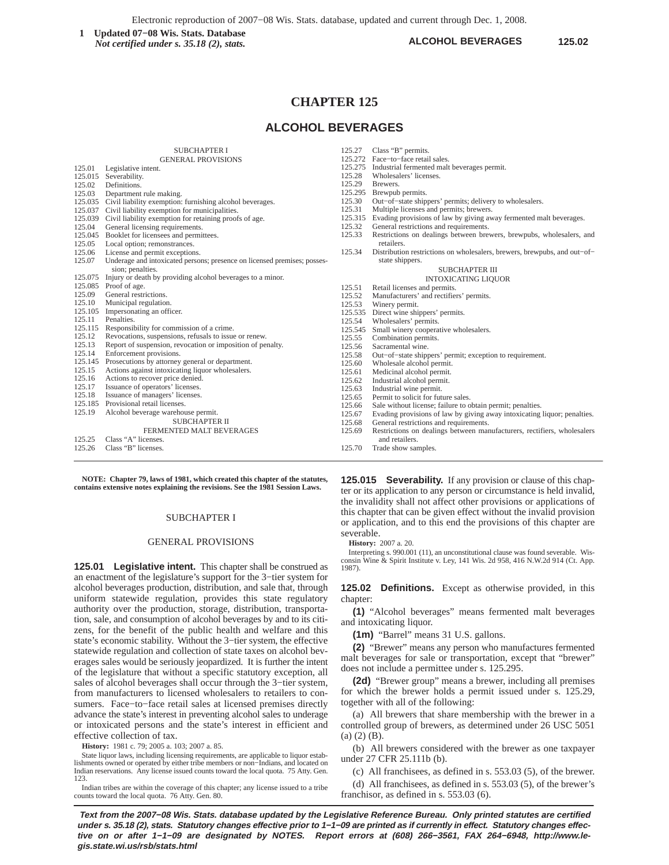Electronic reproduction of 2007−08 Wis. Stats. database, updated and current through Dec. 1, 2008.

**ALCOHOL BEVERAGES 125.02 1** Updated 07–08 Wis. Stats. Database **125.02 125.02 125.02 125.02 125.02 125.02** *Not certified under s. 35.18 (2), stats.*

# **CHAPTER 125**

# **ALCOHOL BEVERAGES**

125.27 Class "B" permits.

# SUBCHAPTER I

|         | <b>GENERAL PROVISIONS</b>                                                |         | 125.272 Face-to-face retail sales.                  |
|---------|--------------------------------------------------------------------------|---------|-----------------------------------------------------|
| 125.01  | Legislative intent.                                                      |         | 125.275 Industrial fermented malt beverages permit. |
| 125.015 | Severability.                                                            | 125.28  | Wholesalers' licenses.                              |
| 125.02  | Definitions.                                                             | 125.29  | Brewers.                                            |
| 125.03  | Department rule making.                                                  | 125.295 | Brewpub permits.                                    |
| 125.035 | Civil liability exemption: furnishing alcohol beverages.                 | 125.30  | Out-of-state shippers' permits; delivery to         |
| 125.037 | Civil liability exemption for municipalities.                            | 125.31  | Multiple licenses and permits; brewers.             |
| 125.039 | Civil liability exemption for retaining proofs of age.                   | 125.315 | Evading provisions of law by giving away f          |
| 125.04  | General licensing requirements.                                          | 125.32  | General restrictions and requirements.              |
| 125.045 | Booklet for licensees and permittees.                                    |         | Restrictions on dealings between brewers,           |
| 125.05  | Local option; remonstrances.                                             |         | retailers.                                          |
| 125.06  | License and permit exceptions.                                           | 125.34  | Distribution restrictions on wholesalers, bre       |
| 125.07  | Underage and intoxicated persons; presence on licensed premises; posses- |         | state shippers.                                     |
|         | sion; penalties.                                                         |         | <b>SUBCHAPTER III</b>                               |
|         | 125.075 Injury or death by providing alcohol beverages to a minor.       |         | <b>INTOXICATING LIQUO</b>                           |
|         | 125.085 Proof of age.                                                    | 125.51  | Retail licenses and permits.                        |
| 125.09  | General restrictions.                                                    | 125.52  | Manufacturers' and rectifiers' permits.             |
| 125.10  | Municipal regulation.                                                    | 125.53  | Winery permit.                                      |
| 125.105 | Impersonating an officer.                                                | 125.535 | Direct wine shippers' permits.                      |
| 125.11  | Penalties.                                                               | 125.54  | Wholesalers' permits.                               |
| 125.115 | Responsibility for commission of a crime.                                | 125.545 | Small winery cooperative wholesalers.               |
| 125.12  | Revocations, suspensions, refusals to issue or renew.                    | 125.55  | Combination permits.                                |
| 125.13  | Report of suspension, revocation or imposition of penalty.               | 125.56  | Sacramental wine.                                   |
| 125.14  | Enforcement provisions.                                                  | 125.58  | Out-of-state shippers' permit; exception to         |
| 125.145 | Prosecutions by attorney general or department.                          | 125.60  | Wholesale alcohol permit.                           |
| 125.15  | Actions against intoxicating liquor wholesalers.                         | 125.61  | Medicinal alcohol permit.                           |
| 125.16  | Actions to recover price denied.                                         | 125.62  | Industrial alcohol permit.                          |
| 125.17  | Issuance of operators' licenses.                                         | 125.63  | Industrial wine permit.                             |
| 125.18  | Issuance of managers' licenses.                                          | 125.65  | Permit to solicit for future sales.                 |
| 125.185 | Provisional retail licenses.                                             | 125.66  | Sale without license; failure to obtain permi       |
| 125.19  | Alcohol beverage warehouse permit.                                       | 125.67  | Evading provisions of law by giving away i          |
|         | <b>SUBCHAPTER II</b>                                                     | 125.68  | General restrictions and requirements.              |
|         | FERMENTED MALT BEVERAGES                                                 | 125.69  | Restrictions on dealings between manufact           |
| 125.25  | Class "A" licenses.                                                      |         | and retailers.                                      |
| 125.26  | Class "B" licenses.                                                      | 125.70  | Trade show samples.                                 |
|         |                                                                          |         |                                                     |

**NOTE: Chapter 79, laws of 1981, which created this chapter of the statutes, contains extensive notes explaining the revisions. See the 1981 Session Laws.**

### SUBCHAPTER I

### GENERAL PROVISIONS

**125.01 Legislative intent.** This chapter shall be construed as an enactment of the legislature's support for the 3−tier system for alcohol beverages production, distribution, and sale that, through uniform statewide regulation, provides this state regulatory authority over the production, storage, distribution, transportation, sale, and consumption of alcohol beverages by and to its citizens, for the benefit of the public health and welfare and this state's economic stability. Without the 3−tier system, the effective statewide regulation and collection of state taxes on alcohol beverages sales would be seriously jeopardized. It is further the intent of the legislature that without a specific statutory exception, all sales of alcohol beverages shall occur through the 3−tier system, from manufacturers to licensed wholesalers to retailers to consumers. Face−to−face retail sales at licensed premises directly advance the state's interest in preventing alcohol sales to underage or intoxicated persons and the state's interest in efficient and effective collection of tax.

**History:** 1981 c. 79; 2005 a. 103; 2007 a. 85.

State liquor laws, including licensing requirements, are applicable to liquor establishments owned or operated by either tribe members or non−Indians, and located on Indian reservations. Any license issued counts toward the local quota. 75 Atty. Gen. 123.

Indian tribes are within the coverage of this chapter; any license issued to a tribe counts toward the local quota. 76 Atty. Gen. 80.

|                | 125.28  | Wholesalers' licenses.                                                                      |  |
|----------------|---------|---------------------------------------------------------------------------------------------|--|
|                | 125.29  | Brewers.                                                                                    |  |
|                | 125.295 | Brewpub permits.                                                                            |  |
|                | 125.30  | Out–of–state shippers' permits; delivery to wholesalers.                                    |  |
|                | 125.31  | Multiple licenses and permits; brewers.                                                     |  |
|                | 125.315 | Evading provisions of law by giving away fermented malt beverages.                          |  |
|                | 125.32  | General restrictions and requirements.                                                      |  |
|                | 125.33  | Restrictions on dealings between brewers, brewpubs, wholesalers, and<br>retailers.          |  |
|                | 125.34  | Distribution restrictions on wholesalers, brewers, brewpubs, and out-of-<br>state shippers. |  |
| SUBCHAPTER III |         |                                                                                             |  |
|                |         | <b>INTOXICATING LIQUOR</b>                                                                  |  |
|                | 125.51  | Retail licenses and permits.                                                                |  |
|                | 125.52  | Manufacturers' and rectifiers' permits.                                                     |  |
|                | 125.53  | Winery permit.                                                                              |  |
|                | 125.535 | Direct wine shippers' permits.                                                              |  |
|                | 125.54  | Wholesalers' permits.                                                                       |  |
|                | 125.545 | Small winery cooperative wholesalers.                                                       |  |
|                | 125.55  | Combination permits.                                                                        |  |
|                | 125.56  | Sacramental wine.                                                                           |  |
|                | 125.58  | Out-of-state shippers' permit; exception to requirement.                                    |  |
|                | 125.60  | Wholesale alcohol permit.                                                                   |  |
|                | 125.61  | Medicinal alcohol permit.                                                                   |  |
|                | 125.62  | Industrial alcohol permit.                                                                  |  |
|                | 125.63  | Industrial wine permit.                                                                     |  |
|                | 125.65  | Permit to solicit for future sales.                                                         |  |
|                | 125.66  | Sale without license; failure to obtain permit; penalties.                                  |  |
|                | 125.67  | Evading provisions of law by giving away intoxicating liquor; penalties.                    |  |
|                | 125.68  | General restrictions and requirements.                                                      |  |
|                | 125.69  | Restrictions on dealings between manufacturers, rectifiers, wholesalers                     |  |
|                |         | and retailers.                                                                              |  |

**125.015 Severability.** If any provision or clause of this chapter or its application to any person or circumstance is held invalid, the invalidity shall not affect other provisions or applications of this chapter that can be given effect without the invalid provision or application, and to this end the provisions of this chapter are severable.

**History:** 2007 a. 20.

Interpreting s. 990.001 (11), an unconstitutional clause was found severable. Wis-consin Wine & Spirit Institute v. Ley, 141 Wis. 2d 958, 416 N.W.2d 914 (Ct. App. 1987).

**125.02 Definitions.** Except as otherwise provided, in this chapter:

**(1)** "Alcohol beverages" means fermented malt beverages and intoxicating liquor.

**(1m)** "Barrel" means 31 U.S. gallons.

**(2)** "Brewer" means any person who manufactures fermented malt beverages for sale or transportation, except that "brewer" does not include a permittee under s. 125.295.

**(2d)** "Brewer group" means a brewer, including all premises for which the brewer holds a permit issued under s. 125.29, together with all of the following:

(a) All brewers that share membership with the brewer in a controlled group of brewers, as determined under 26 USC 5051 (a) (2) (B).

(b) All brewers considered with the brewer as one taxpayer under 27 CFR 25.111b (b).

(c) All franchisees, as defined in s. 553.03 (5), of the brewer.

(d) All franchisees, as defined in s. 553.03 (5), of the brewer's franchisor, as defined in s. 553.03 (6).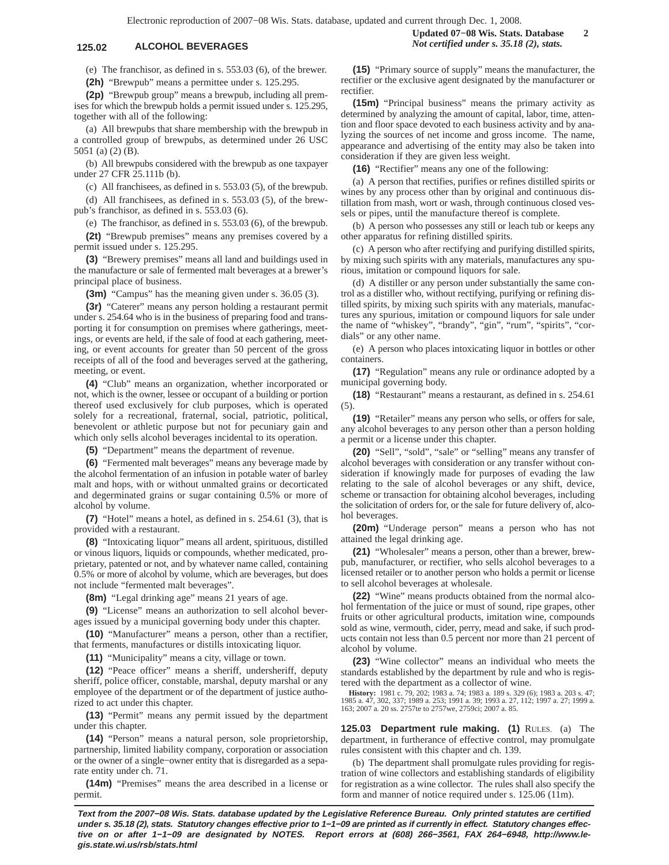(e) The franchisor, as defined in s. 553.03 (6), of the brewer. **(2h)** "Brewpub" means a permittee under s. 125.295.

**(2p)** "Brewpub group" means a brewpub, including all prem-

ises for which the brewpub holds a permit issued under s. 125.295, together with all of the following:

(a) All brewpubs that share membership with the brewpub in a controlled group of brewpubs, as determined under 26 USC 5051 (a) (2) (B).

(b) All brewpubs considered with the brewpub as one taxpayer under 27 CFR 25.111b (b).

(c) All franchisees, as defined in s. 553.03 (5), of the brewpub.

(d) All franchisees, as defined in s. 553.03 (5), of the brewpub's franchisor, as defined in s. 553.03 (6).

(e) The franchisor, as defined in s. 553.03 (6), of the brewpub. **(2t)** "Brewpub premises" means any premises covered by a

permit issued under s. 125.295.

**(3)** "Brewery premises" means all land and buildings used in the manufacture or sale of fermented malt beverages at a brewer's principal place of business.

**(3m)** "Campus" has the meaning given under s. 36.05 (3).

**(3r)** "Caterer" means any person holding a restaurant permit under s. 254.64 who is in the business of preparing food and transporting it for consumption on premises where gatherings, meetings, or events are held, if the sale of food at each gathering, meeting, or event accounts for greater than 50 percent of the gross receipts of all of the food and beverages served at the gathering, meeting, or event.

**(4)** "Club" means an organization, whether incorporated or not, which is the owner, lessee or occupant of a building or portion thereof used exclusively for club purposes, which is operated solely for a recreational, fraternal, social, patriotic, political, benevolent or athletic purpose but not for pecuniary gain and which only sells alcohol beverages incidental to its operation.

**(5)** "Department" means the department of revenue.

**(6)** "Fermented malt beverages" means any beverage made by the alcohol fermentation of an infusion in potable water of barley malt and hops, with or without unmalted grains or decorticated and degerminated grains or sugar containing 0.5% or more of alcohol by volume.

**(7)** "Hotel" means a hotel, as defined in s. 254.61 (3), that is provided with a restaurant.

**(8)** "Intoxicating liquor" means all ardent, spirituous, distilled or vinous liquors, liquids or compounds, whether medicated, proprietary, patented or not, and by whatever name called, containing 0.5% or more of alcohol by volume, which are beverages, but does not include "fermented malt beverages".

**(8m)** "Legal drinking age" means 21 years of age.

**(9)** "License" means an authorization to sell alcohol beverages issued by a municipal governing body under this chapter.

**(10)** "Manufacturer" means a person, other than a rectifier, that ferments, manufactures or distills intoxicating liquor.

**(11)** "Municipality" means a city, village or town.

**(12)** "Peace officer" means a sheriff, undersheriff, deputy sheriff, police officer, constable, marshal, deputy marshal or any employee of the department or of the department of justice authorized to act under this chapter.

**(13)** "Permit" means any permit issued by the department under this chapter.

**(14)** "Person" means a natural person, sole proprietorship, partnership, limited liability company, corporation or association or the owner of a single−owner entity that is disregarded as a separate entity under ch. 71.

**(14m)** "Premises" means the area described in a license or permit.

**(15)** "Primary source of supply" means the manufacturer, the rectifier or the exclusive agent designated by the manufacturer or rectifier.

**(15m)** "Principal business" means the primary activity as determined by analyzing the amount of capital, labor, time, attention and floor space devoted to each business activity and by analyzing the sources of net income and gross income. The name, appearance and advertising of the entity may also be taken into consideration if they are given less weight.

**(16)** "Rectifier" means any one of the following:

(a) A person that rectifies, purifies or refines distilled spirits or wines by any process other than by original and continuous distillation from mash, wort or wash, through continuous closed vessels or pipes, until the manufacture thereof is complete.

(b) A person who possesses any still or leach tub or keeps any other apparatus for refining distilled spirits.

(c) A person who after rectifying and purifying distilled spirits, by mixing such spirits with any materials, manufactures any spurious, imitation or compound liquors for sale.

(d) A distiller or any person under substantially the same control as a distiller who, without rectifying, purifying or refining distilled spirits, by mixing such spirits with any materials, manufactures any spurious, imitation or compound liquors for sale under the name of "whiskey", "brandy", "gin", "rum", "spirits", "cordials" or any other name.

(e) A person who places intoxicating liquor in bottles or other containers.

**(17)** "Regulation" means any rule or ordinance adopted by a municipal governing body.

**(18)** "Restaurant" means a restaurant, as defined in s. 254.61 (5).

**(19)** "Retailer" means any person who sells, or offers for sale, any alcohol beverages to any person other than a person holding a permit or a license under this chapter.

**(20)** "Sell", "sold", "sale" or "selling" means any transfer of alcohol beverages with consideration or any transfer without consideration if knowingly made for purposes of evading the law relating to the sale of alcohol beverages or any shift, device, scheme or transaction for obtaining alcohol beverages, including the solicitation of orders for, or the sale for future delivery of, alcohol beverages.

**(20m)** "Underage person" means a person who has not attained the legal drinking age.

**(21)** "Wholesaler" means a person, other than a brewer, brewpub, manufacturer, or rectifier, who sells alcohol beverages to a licensed retailer or to another person who holds a permit or license to sell alcohol beverages at wholesale.

**(22)** "Wine" means products obtained from the normal alcohol fermentation of the juice or must of sound, ripe grapes, other fruits or other agricultural products, imitation wine, compounds sold as wine, vermouth, cider, perry, mead and sake, if such products contain not less than 0.5 percent nor more than 21 percent of alcohol by volume.

**(23)** "Wine collector" means an individual who meets the standards established by the department by rule and who is registered with the department as a collector of wine.

**History:** 1981 c. 79, 202; 1983 a. 74; 1983 a. 189 s. 329 (6); 1983 a. 203 s. 47; 1985 a. 47, 302, 337; 1989 a. 253; 1991 a. 39; 1993 a. 27, 112; 1997 a. 27; 1999 a. 163; 2007 a. 20 ss. 2757te to 2757we, 2759ci; 2007 a. 85.

**125.03 Department rule making. (1)** RULES. (a) The department, in furtherance of effective control, may promulgate rules consistent with this chapter and ch. 139.

(b) The department shall promulgate rules providing for registration of wine collectors and establishing standards of eligibility for registration as a wine collector. The rules shall also specify the form and manner of notice required under s. 125.06 (11m).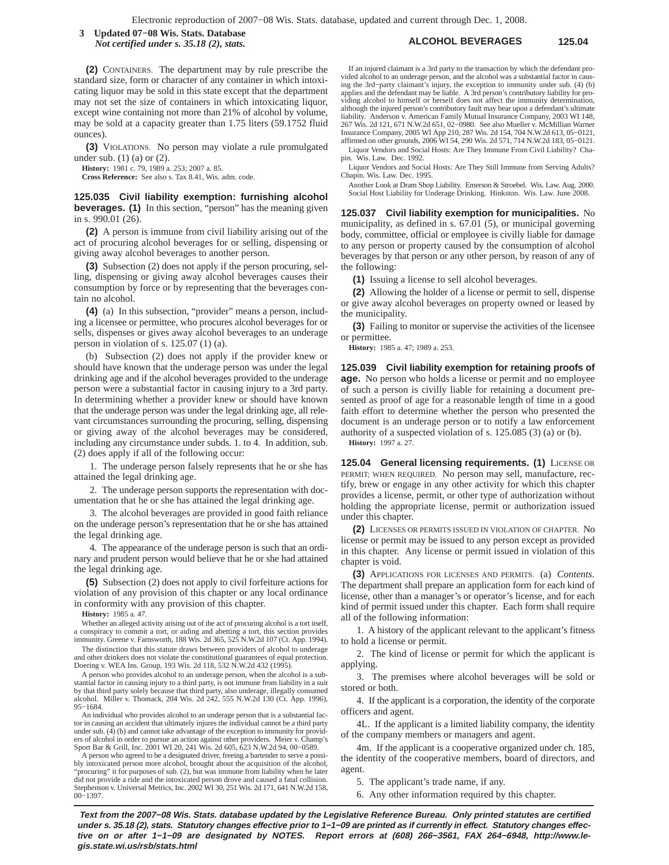**ALCOHOL BEVERAGES 125.04 3 Updated 07−08 Wis. Stats. Database** *Not certified under s. 35.18 (2), stats.*

**(2)** CONTAINERS. The department may by rule prescribe the standard size, form or character of any container in which intoxicating liquor may be sold in this state except that the department may not set the size of containers in which intoxicating liquor, except wine containing not more than 21% of alcohol by volume, may be sold at a capacity greater than 1.75 liters (59.1752 fluid ounces).

**(3)** VIOLATIONS. No person may violate a rule promulgated under sub. (1) (a) or (2).

**History:** 1981 c. 79, 1989 a. 253; 2007 a. 85.

**Cross Reference:** See also s. Tax 8.41, Wis. adm. code.

**125.035 Civil liability exemption: furnishing alcohol beverages. (1)** In this section, "person" has the meaning given in s. 990.01 (26).

**(2)** A person is immune from civil liability arising out of the act of procuring alcohol beverages for or selling, dispensing or giving away alcohol beverages to another person.

**(3)** Subsection (2) does not apply if the person procuring, selling, dispensing or giving away alcohol beverages causes their consumption by force or by representing that the beverages contain no alcohol.

**(4)** (a) In this subsection, "provider" means a person, including a licensee or permittee, who procures alcohol beverages for or sells, dispenses or gives away alcohol beverages to an underage person in violation of s. 125.07 (1) (a).

(b) Subsection (2) does not apply if the provider knew or should have known that the underage person was under the legal drinking age and if the alcohol beverages provided to the underage person were a substantial factor in causing injury to a 3rd party. In determining whether a provider knew or should have known that the underage person was under the legal drinking age, all relevant circumstances surrounding the procuring, selling, dispensing or giving away of the alcohol beverages may be considered, including any circumstance under subds. 1. to 4. In addition, sub. (2) does apply if all of the following occur:

1. The underage person falsely represents that he or she has attained the legal drinking age.

2. The underage person supports the representation with documentation that he or she has attained the legal drinking age.

3. The alcohol beverages are provided in good faith reliance on the underage person's representation that he or she has attained the legal drinking age.

4. The appearance of the underage person is such that an ordinary and prudent person would believe that he or she had attained the legal drinking age.

**(5)** Subsection (2) does not apply to civil forfeiture actions for violation of any provision of this chapter or any local ordinance in conformity with any provision of this chapter.

**History:** 1985 a. 47.

Whether an alleged activity arising out of the act of procuring alcohol is a tort itself, a conspiracy to commit a tort, or aiding and abetting a tort, this section provides immunity. Greene v. Farnsworth, 188 Wis. 2d 365, 525 N.W.2d 107 (Ct. App. 1994).

The distinction that this statute draws between providers of alcohol to underage and other drinkers does not violate the constitutional guarantees of equal protection. Doering v. WEA Ins. Group, 193 Wis. 2d 118, 532 N.W.2d 432 (1995).

A person who provides alcohol to an underage person, when the alcohol is a substantial factor in causing injury to a third party, is not immune from liability in a suit by that third party solely because that third party, also underage, illegally consumed alcohol. Miller v. Thomack, 204 Wis. 2d 242, 555 N.W.2d 130 (Ct. App. 1996), 95−1684.

An individual who provides alcohol to an underage person that is a substantial factor in causing an accident that ultimately injures the individual cannot be a third party under sub. (4) (b) and cannot take advantage of the exception to immunity for providers of alcohol in order to pursue an action against other providers. Meier v. Champ's Sport Bar & Grill, Inc. 2001 WI 20, 241 Wis. 2d 605, 623 N.W.2d 94, 00−0589.

A person who agreed to be a designated driver, freeing a bartender to serve a possibly intoxicated person more alcohol, brought about the acquisition of the alcohol, 'procuring" it for purposes of sub. (2), but was immune from liability when he later did not provide a ride and the intoxicated person drove and caused a fatal collision. Stephenson v. Universal Metrics, Inc. 2002 WI 30, 251 Wis. 2d 171, 641 N.W.2d 158, 00−1397.

If an injured claimant is a 3rd party to the transaction by which the defendant provided alcohol to an underage person, and the alcohol was a substantial factor in causing the 3rd−party claimant's injury, the exception to immunity under sub. (4) (b) applies and the defendant may be liable. A 3rd person's contributory liability for providing alcohol to himself or herself does not affect the immunity determination, although the injured person's contributory fault may bear upon a defendant's ultimate liability. Anderson v. American Family Mutual Insurance Company, 2003 WI 148, 267 Wis. 2d 121, 671 N.W.2d 651, 02−0980. See also Mueller v. McMillian Warner Insurance Company, 2005 WI App 210, 287 Wis. 2d 154, 704 N.W.2d 613, 05−0121, affirmed on other grounds, 2006 WI 54, 290 Wis. 2d 571, 714 N.W.2d 183, 05−0121. Liquor Vendors and Social Hosts: Are They Immune From Civil Liability? Cha-

pin. Wis. Law. Dec. 1992.

Liquor Vendors and Social Hosts: Are They Still Immune from Serving Adults? Chapin. Wis. Law. Dec. 1995.

Another Look at Dram Shop Liability. Emerson & Stroebel. Wis. Law. Aug. 2000. Social Host Liability for Underage Drinking. Hinkston. Wis. Law. June 2008.

**125.037 Civil liability exemption for municipalities.** No municipality, as defined in s. 67.01 (5), or municipal governing body, committee, official or employee is civilly liable for damage to any person or property caused by the consumption of alcohol beverages by that person or any other person, by reason of any of the following:

**(1)** Issuing a license to sell alcohol beverages.

**(2)** Allowing the holder of a license or permit to sell, dispense or give away alcohol beverages on property owned or leased by the municipality.

**(3)** Failing to monitor or supervise the activities of the licensee or permittee.

**History:** 1985 a. 47; 1989 a. 253.

**125.039 Civil liability exemption for retaining proofs of age.** No person who holds a license or permit and no employee of such a person is civilly liable for retaining a document presented as proof of age for a reasonable length of time in a good faith effort to determine whether the person who presented the document is an underage person or to notify a law enforcement authority of a suspected violation of s. 125.085 (3) (a) or (b). **History:** 1997 a. 27.

**125.04 General licensing requirements. (1)** LICENSE OR PERMIT; WHEN REQUIRED. No person may sell, manufacture, rectify, brew or engage in any other activity for which this chapter provides a license, permit, or other type of authorization without holding the appropriate license, permit or authorization issued under this chapter.

**(2)** LICENSES OR PERMITS ISSUED IN VIOLATION OF CHAPTER. No license or permit may be issued to any person except as provided in this chapter. Any license or permit issued in violation of this chapter is void.

**(3)** APPLICATIONS FOR LICENSES AND PERMITS. (a) *Contents.* The department shall prepare an application form for each kind of license, other than a manager's or operator's license, and for each kind of permit issued under this chapter. Each form shall require all of the following information:

1. A history of the applicant relevant to the applicant's fitness to hold a license or permit.

2. The kind of license or permit for which the applicant is applying.

3. The premises where alcohol beverages will be sold or stored or both.

4. If the applicant is a corporation, the identity of the corporate officers and agent.

4L. If the applicant is a limited liability company, the identity of the company members or managers and agent.

4m. If the applicant is a cooperative organized under ch. 185, the identity of the cooperative members, board of directors, and agent.

5. The applicant's trade name, if any.

6. Any other information required by this chapter.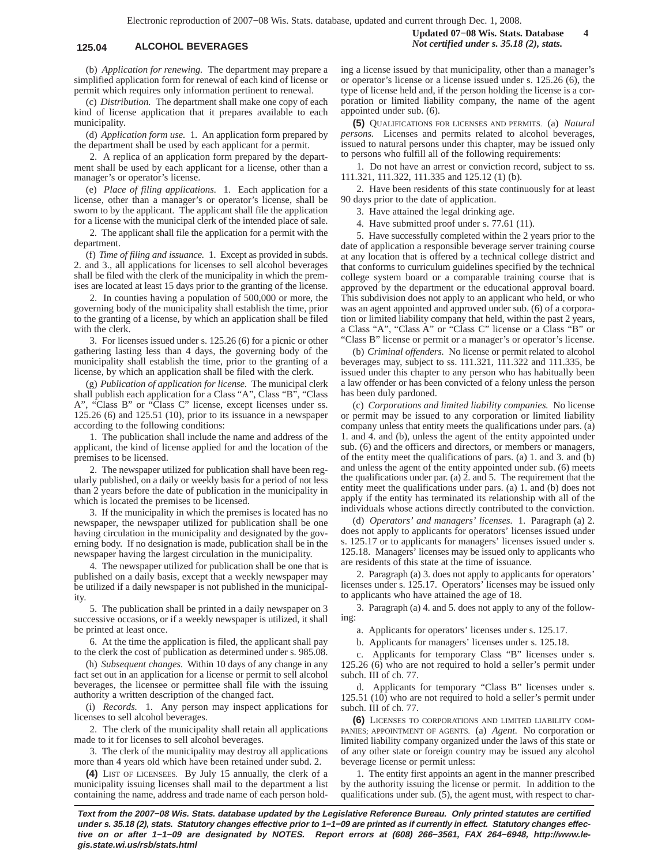## **125.04 ALCOHOL BEVERAGES** *Not certified under s. 35.18 (2), stats.*

(b) *Application for renewing.* The department may prepare a simplified application form for renewal of each kind of license or permit which requires only information pertinent to renewal.

(c) *Distribution.* The department shall make one copy of each kind of license application that it prepares available to each municipality.

(d) *Application form use.* 1. An application form prepared by the department shall be used by each applicant for a permit.

2. A replica of an application form prepared by the department shall be used by each applicant for a license, other than a manager's or operator's license.

(e) *Place of filing applications.* 1. Each application for a license, other than a manager's or operator's license, shall be sworn to by the applicant. The applicant shall file the application for a license with the municipal clerk of the intended place of sale.

2. The applicant shall file the application for a permit with the department.

(f) *Time of filing and issuance.* 1. Except as provided in subds. 2. and 3., all applications for licenses to sell alcohol beverages shall be filed with the clerk of the municipality in which the premises are located at least 15 days prior to the granting of the license.

2. In counties having a population of 500,000 or more, the governing body of the municipality shall establish the time, prior to the granting of a license, by which an application shall be filed with the clerk.

3. For licenses issued under s. 125.26 (6) for a picnic or other gathering lasting less than 4 days, the governing body of the municipality shall establish the time, prior to the granting of a license, by which an application shall be filed with the clerk.

(g) *Publication of application for license.* The municipal clerk shall publish each application for a Class "A", Class "B", "Class A", "Class B" or "Class C" license, except licenses under ss. 125.26 (6) and 125.51 (10), prior to its issuance in a newspaper according to the following conditions:

1. The publication shall include the name and address of the applicant, the kind of license applied for and the location of the premises to be licensed.

2. The newspaper utilized for publication shall have been regularly published, on a daily or weekly basis for a period of not less than 2 years before the date of publication in the municipality in which is located the premises to be licensed.

3. If the municipality in which the premises is located has no newspaper, the newspaper utilized for publication shall be one having circulation in the municipality and designated by the governing body. If no designation is made, publication shall be in the newspaper having the largest circulation in the municipality.

4. The newspaper utilized for publication shall be one that is published on a daily basis, except that a weekly newspaper may be utilized if a daily newspaper is not published in the municipality

5. The publication shall be printed in a daily newspaper on 3 successive occasions, or if a weekly newspaper is utilized, it shall be printed at least once.

6. At the time the application is filed, the applicant shall pay to the clerk the cost of publication as determined under s. 985.08.

(h) *Subsequent changes.* Within 10 days of any change in any fact set out in an application for a license or permit to sell alcohol beverages, the licensee or permittee shall file with the issuing authority a written description of the changed fact.

(i) *Records.* 1. Any person may inspect applications for licenses to sell alcohol beverages.

2. The clerk of the municipality shall retain all applications made to it for licenses to sell alcohol beverages.

3. The clerk of the municipality may destroy all applications more than 4 years old which have been retained under subd. 2.

**(4)** LIST OF LICENSEES. By July 15 annually, the clerk of a municipality issuing licenses shall mail to the department a list containing the name, address and trade name of each person holding a license issued by that municipality, other than a manager's

or operator's license or a license issued under s. 125.26 (6), the type of license held and, if the person holding the license is a corporation or limited liability company, the name of the agent appointed under sub. (6).

**(5)** QUALIFICATIONS FOR LICENSES AND PERMITS. (a) *Natural persons.* Licenses and permits related to alcohol beverages, issued to natural persons under this chapter, may be issued only to persons who fulfill all of the following requirements:

1. Do not have an arrest or conviction record, subject to ss. 111.321, 111.322, 111.335 and 125.12 (1) (b).

2. Have been residents of this state continuously for at least 90 days prior to the date of application.

3. Have attained the legal drinking age.

4. Have submitted proof under s. 77.61 (11).

5. Have successfully completed within the 2 years prior to the date of application a responsible beverage server training course at any location that is offered by a technical college district and that conforms to curriculum guidelines specified by the technical college system board or a comparable training course that is approved by the department or the educational approval board. This subdivision does not apply to an applicant who held, or who was an agent appointed and approved under sub. (6) of a corporation or limited liability company that held, within the past 2 years, a Class "A", "Class A" or "Class C" license or a Class "B" or "Class B" license or permit or a manager's or operator's license.

(b) *Criminal offenders.* No license or permit related to alcohol beverages may, subject to ss. 111.321, 111.322 and 111.335, be issued under this chapter to any person who has habitually been a law offender or has been convicted of a felony unless the person has been duly pardoned.

(c) *Corporations and limited liability companies.* No license or permit may be issued to any corporation or limited liability company unless that entity meets the qualifications under pars. (a) 1. and 4. and (b), unless the agent of the entity appointed under sub. (6) and the officers and directors, or members or managers, of the entity meet the qualifications of pars. (a) 1. and 3. and (b) and unless the agent of the entity appointed under sub. (6) meets the qualifications under par. (a) 2. and 5. The requirement that the entity meet the qualifications under pars. (a) 1. and (b) does not apply if the entity has terminated its relationship with all of the individuals whose actions directly contributed to the conviction.

(d) *Operators' and managers' licenses.* 1. Paragraph (a) 2. does not apply to applicants for operators' licenses issued under s. 125.17 or to applicants for managers' licenses issued under s. 125.18. Managers' licenses may be issued only to applicants who are residents of this state at the time of issuance.

2. Paragraph (a) 3. does not apply to applicants for operators' licenses under s. 125.17. Operators' licenses may be issued only to applicants who have attained the age of 18.

3. Paragraph (a) 4. and 5. does not apply to any of the following:

a. Applicants for operators' licenses under s. 125.17.

b. Applicants for managers' licenses under s. 125.18.

c. Applicants for temporary Class "B" licenses under s. 125.26 (6) who are not required to hold a seller's permit under subch. III of ch. 77.

d. Applicants for temporary "Class B" licenses under s. 125.51  $(10)$  who are not required to hold a seller's permit under subch. III of ch. 77.

**(6)** LICENSES TO CORPORATIONS AND LIMITED LIABILITY COM-PANIES; APPOINTMENT OF AGENTS. (a) *Agent.* No corporation or limited liability company organized under the laws of this state or of any other state or foreign country may be issued any alcohol beverage license or permit unless:

1. The entity first appoints an agent in the manner prescribed by the authority issuing the license or permit. In addition to the qualifications under sub. (5), the agent must, with respect to char-

**Text from the 2007−08 Wis. Stats. database updated by the Legislative Reference Bureau. Only printed statutes are certified under s. 35.18 (2), stats. Statutory changes effective prior to 1−1−09 are printed as if currently in effect. Statutory changes effective on or after 1−1−09 are designated by NOTES. Report errors at (608) 266−3561, FAX 264−6948, http://www.legis.state.wi.us/rsb/stats.html**

**Updated 07−08 Wis. Stats. Database 4**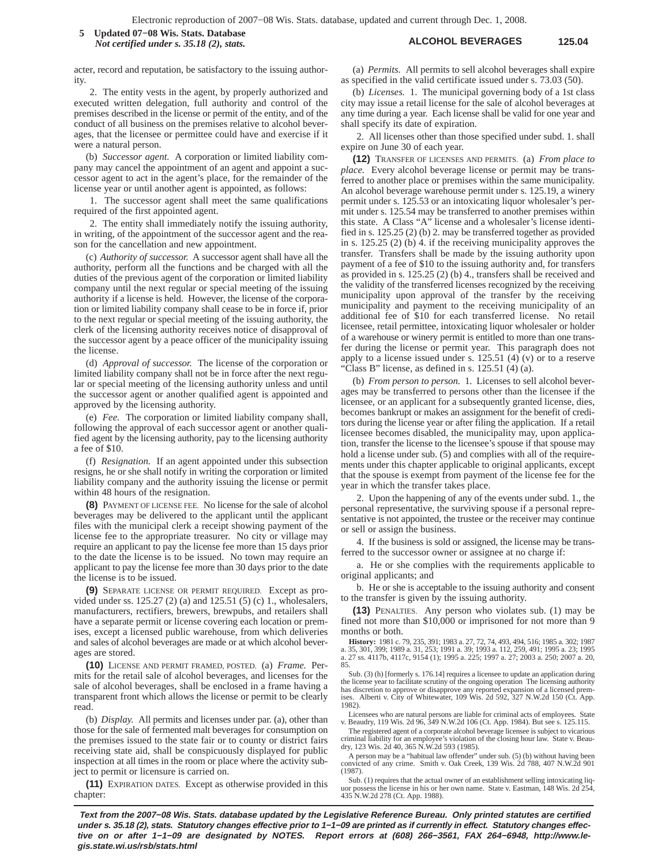## **ALCOHOL BEVERAGES 125.04 5 Updated 07−08 Wis. Stats. Database** *Not certified under s. 35.18 (2), stats.*

acter, record and reputation, be satisfactory to the issuing authority.

2. The entity vests in the agent, by properly authorized and executed written delegation, full authority and control of the premises described in the license or permit of the entity, and of the conduct of all business on the premises relative to alcohol beverages, that the licensee or permittee could have and exercise if it were a natural person.

(b) *Successor agent.* A corporation or limited liability company may cancel the appointment of an agent and appoint a successor agent to act in the agent's place, for the remainder of the license year or until another agent is appointed, as follows:

1. The successor agent shall meet the same qualifications required of the first appointed agent.

2. The entity shall immediately notify the issuing authority, in writing, of the appointment of the successor agent and the reason for the cancellation and new appointment.

(c) *Authority of successor.* A successor agent shall have all the authority, perform all the functions and be charged with all the duties of the previous agent of the corporation or limited liability company until the next regular or special meeting of the issuing authority if a license is held. However, the license of the corporation or limited liability company shall cease to be in force if, prior to the next regular or special meeting of the issuing authority, the clerk of the licensing authority receives notice of disapproval of the successor agent by a peace officer of the municipality issuing the license.

(d) *Approval of successor.* The license of the corporation or limited liability company shall not be in force after the next regular or special meeting of the licensing authority unless and until the successor agent or another qualified agent is appointed and approved by the licensing authority.

(e) *Fee.* The corporation or limited liability company shall, following the approval of each successor agent or another qualified agent by the licensing authority, pay to the licensing authority a fee of \$10.

(f) *Resignation.* If an agent appointed under this subsection resigns, he or she shall notify in writing the corporation or limited liability company and the authority issuing the license or permit within 48 hours of the resignation.

**(8)** PAYMENT OF LICENSE FEE. No license for the sale of alcohol beverages may be delivered to the applicant until the applicant files with the municipal clerk a receipt showing payment of the license fee to the appropriate treasurer. No city or village may require an applicant to pay the license fee more than 15 days prior to the date the license is to be issued. No town may require an applicant to pay the license fee more than 30 days prior to the date the license is to be issued.

**(9)** SEPARATE LICENSE OR PERMIT REQUIRED. Except as provided under ss. 125.27 (2) (a) and 125.51 (5) (c) 1., wholesalers, manufacturers, rectifiers, brewers, brewpubs, and retailers shall have a separate permit or license covering each location or premises, except a licensed public warehouse, from which deliveries and sales of alcohol beverages are made or at which alcohol beverages are stored.

**(10)** LICENSE AND PERMIT FRAMED, POSTED. (a) *Frame.* Permits for the retail sale of alcohol beverages, and licenses for the sale of alcohol beverages, shall be enclosed in a frame having a transparent front which allows the license or permit to be clearly read.

(b) *Display.* All permits and licenses under par. (a), other than those for the sale of fermented malt beverages for consumption on the premises issued to the state fair or to county or district fairs receiving state aid, shall be conspicuously displayed for public inspection at all times in the room or place where the activity subject to permit or licensure is carried on.

**(11)** EXPIRATION DATES. Except as otherwise provided in this chapter:

(a) *Permits.* All permits to sell alcohol beverages shall expire as specified in the valid certificate issued under s. 73.03 (50).

(b) *Licenses.* 1. The municipal governing body of a 1st class city may issue a retail license for the sale of alcohol beverages at any time during a year. Each license shall be valid for one year and shall specify its date of expiration.

2. All licenses other than those specified under subd. 1. shall expire on June 30 of each year.

**(12)** TRANSFER OF LICENSES AND PERMITS. (a) *From place to place.* Every alcohol beverage license or permit may be transferred to another place or premises within the same municipality. An alcohol beverage warehouse permit under s. 125.19, a winery permit under s. 125.53 or an intoxicating liquor wholesaler's permit under s. 125.54 may be transferred to another premises within this state. A Class "A" license and a wholesaler's license identified in s. 125.25 (2) (b) 2. may be transferred together as provided in s. 125.25 (2) (b) 4. if the receiving municipality approves the transfer. Transfers shall be made by the issuing authority upon payment of a fee of \$10 to the issuing authority and, for transfers as provided in s. 125.25 (2) (b) 4., transfers shall be received and the validity of the transferred licenses recognized by the receiving municipality upon approval of the transfer by the receiving municipality and payment to the receiving municipality of an additional fee of \$10 for each transferred license. No retail licensee, retail permittee, intoxicating liquor wholesaler or holder of a warehouse or winery permit is entitled to more than one transfer during the license or permit year. This paragraph does not apply to a license issued under s. 125.51 (4) (v) or to a reserve "Class B" license, as defined in s. 125.51 (4) (a).

(b) *From person to person.* 1. Licenses to sell alcohol beverages may be transferred to persons other than the licensee if the licensee, or an applicant for a subsequently granted license, dies, becomes bankrupt or makes an assignment for the benefit of creditors during the license year or after filing the application. If a retail licensee becomes disabled, the municipality may, upon application, transfer the license to the licensee's spouse if that spouse may hold a license under sub. (5) and complies with all of the requirements under this chapter applicable to original applicants, except that the spouse is exempt from payment of the license fee for the year in which the transfer takes place.

2. Upon the happening of any of the events under subd. 1., the personal representative, the surviving spouse if a personal representative is not appointed, the trustee or the receiver may continue or sell or assign the business.

4. If the business is sold or assigned, the license may be transferred to the successor owner or assignee at no charge if:

a. He or she complies with the requirements applicable to original applicants; and

b. He or she is acceptable to the issuing authority and consent to the transfer is given by the issuing authority.

**(13)** PENALTIES. Any person who violates sub. (1) may be fined not more than \$10,000 or imprisoned for not more than 9 months or both.

**History:** 1981 c. 79, 235, 391; 1983 a. 27, 72, 74, 493, 494, 516; 1985 a. 302; 1987 a. 35, 301, 399; 1989 a. 31, 253; 1991 a. 39; 1993 a. 112, 259, 491; 1995 a. 23; 1995 a. 27 ss. 4117b, 4117c, 9154 (1); 1995 a. 225; 1997 a. 27; 2003 a. 250; 2007 a. 20, 85.

Sub. (3) (h) [formerly s. 176.14] requires a licensee to update an application during the license year to facilitate scrutiny of the ongoing operation The licensing authority<br>has discretion to approve or disapprove any reported expansion of a licensed prem-<br>ises. Alberti v. City of Whitewater, 109 Wis. 2d 5 1982).

Licensees who are natural persons are liable for criminal acts of employees. State v. Beaudry, 119 Wis. 2d 96, 349 N.W.2d 106 (Ct. App. 1984). But see s. 125.115.

The registered agent of a corporate alcohol beverage licensee is subject to vicarious criminal liability for an employee's violation of the closing hour law. State v. Beaudry, 123 Wis. 2d 40, 365 N.W.2d 593 (1985).

A person may be a "habitual law offender" under sub. (5) (b) without having been convicted of any crime. Smith v. Oak Creek, 139 Wis. 2d 788, 407 N.W.2d 901 (1987).

Sub. (1) requires that the actual owner of an establishment selling intoxicating liq-uor possess the license in his or her own name. State v. Eastman, 148 Wis. 2d 254, 435 N.W.2d 278 (Ct. App. 1988).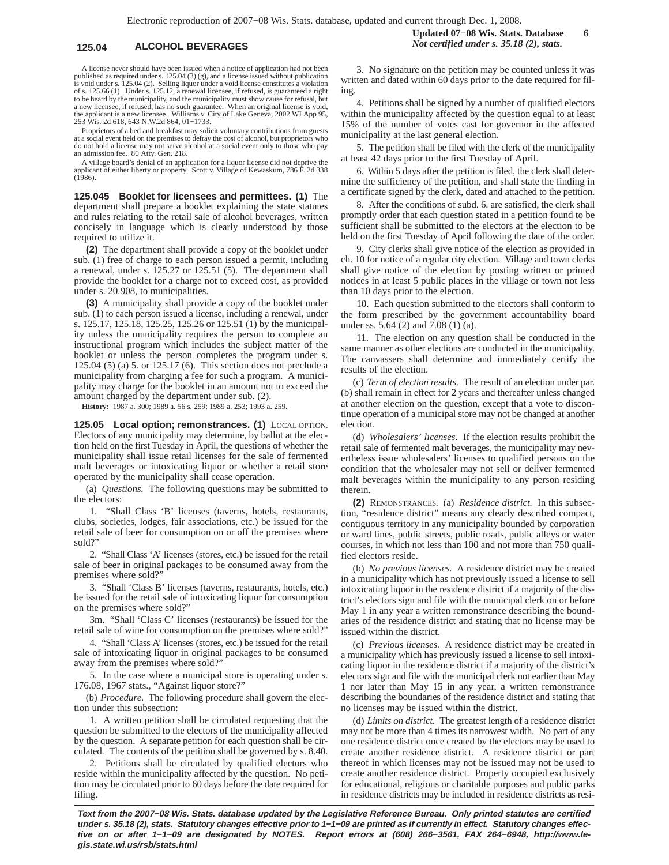A license never should have been issued when a notice of application had not been published as required under s. 125.04 (3) (g), and a license issued without publication is void under s. 125.04 (2). Selling liquor under a void license constitutes a violation of s. 125.66 (1). Under s. 125.12, a renewal licensee, if refused, is guaranteed a right to be heard by the municipality, and the municipality must show cause for refusal, but a new licensee, if refused, has no such guarantee. When an original license is void, the applicant is a new licensee. Williams v. City of Lake Geneva, 2002 WI App 95, 253 Wis. 2d 618, 643 N.W.2d 864, 01−1733.

Proprietors of a bed and breakfast may solicit voluntary contributions from guests at a social event held on the premises to defray the cost of alcohol, but proprietors who do not hold a license may not serve alcohol at a social event only to those who pay an admission fee. 80 Atty. Gen. 218.

A village board's denial of an application for a liquor license did not deprive the applicant of either liberty or property. Scott v. Village of Kewaskum, 786 F. 2d 338  $(1986)$ .

**125.045 Booklet for licensees and permittees. (1)** The department shall prepare a booklet explaining the state statutes and rules relating to the retail sale of alcohol beverages, written concisely in language which is clearly understood by those required to utilize it.

**(2)** The department shall provide a copy of the booklet under sub. (1) free of charge to each person issued a permit, including a renewal, under s. 125.27 or 125.51 (5). The department shall provide the booklet for a charge not to exceed cost, as provided under s. 20.908, to municipalities.

**(3)** A municipality shall provide a copy of the booklet under sub. (1) to each person issued a license, including a renewal, under s. 125.17, 125.18, 125.25, 125.26 or 125.51 (1) by the municipality unless the municipality requires the person to complete an instructional program which includes the subject matter of the booklet or unless the person completes the program under s. 125.04 (5) (a) 5. or 125.17 (6). This section does not preclude a municipality from charging a fee for such a program. A municipality may charge for the booklet in an amount not to exceed the amount charged by the department under sub. (2).

**History:** 1987 a. 300; 1989 a. 56 s. 259; 1989 a. 253; 1993 a. 259.

**125.05 Local option; remonstrances. (1)** LOCAL OPTION. Electors of any municipality may determine, by ballot at the election held on the first Tuesday in April, the questions of whether the municipality shall issue retail licenses for the sale of fermented malt beverages or intoxicating liquor or whether a retail store operated by the municipality shall cease operation.

(a) *Questions.* The following questions may be submitted to the electors:

1. "Shall Class 'B' licenses (taverns, hotels, restaurants, clubs, societies, lodges, fair associations, etc.) be issued for the retail sale of beer for consumption on or off the premises where sold?"

2. "Shall Class 'A' licenses (stores, etc.) be issued for the retail sale of beer in original packages to be consumed away from the premises where sold?"

3. "Shall 'Class B' licenses (taverns, restaurants, hotels, etc.) be issued for the retail sale of intoxicating liquor for consumption on the premises where sold?"

3m. "Shall 'Class C' licenses (restaurants) be issued for the retail sale of wine for consumption on the premises where sold?"

4. "Shall 'Class A' licenses (stores, etc.) be issued for the retail sale of intoxicating liquor in original packages to be consumed away from the premises where sold?"

5. In the case where a municipal store is operating under s. 176.08, 1967 stats., "Against liquor store?"

(b) *Procedure.* The following procedure shall govern the election under this subsection:

1. A written petition shall be circulated requesting that the question be submitted to the electors of the municipality affected by the question. A separate petition for each question shall be circulated. The contents of the petition shall be governed by s. 8.40.

2. Petitions shall be circulated by qualified electors who reside within the municipality affected by the question. No petition may be circulated prior to 60 days before the date required for filing.

3. No signature on the petition may be counted unless it was written and dated within 60 days prior to the date required for filing.

4. Petitions shall be signed by a number of qualified electors within the municipality affected by the question equal to at least 15% of the number of votes cast for governor in the affected municipality at the last general election.

5. The petition shall be filed with the clerk of the municipality at least 42 days prior to the first Tuesday of April.

6. Within 5 days after the petition is filed, the clerk shall determine the sufficiency of the petition, and shall state the finding in a certificate signed by the clerk, dated and attached to the petition.

8. After the conditions of subd. 6. are satisfied, the clerk shall promptly order that each question stated in a petition found to be sufficient shall be submitted to the electors at the election to be held on the first Tuesday of April following the date of the order.

9. City clerks shall give notice of the election as provided in ch. 10 for notice of a regular city election. Village and town clerks shall give notice of the election by posting written or printed notices in at least 5 public places in the village or town not less than 10 days prior to the election.

10. Each question submitted to the electors shall conform to the form prescribed by the government accountability board under ss. 5.64 (2) and 7.08 (1) (a).

11. The election on any question shall be conducted in the same manner as other elections are conducted in the municipality. The canvassers shall determine and immediately certify the results of the election.

(c) *Term of election results.* The result of an election under par. (b) shall remain in effect for 2 years and thereafter unless changed at another election on the question, except that a vote to discontinue operation of a municipal store may not be changed at another election.

(d) *Wholesalers' licenses.* If the election results prohibit the retail sale of fermented malt beverages, the municipality may nevertheless issue wholesalers' licenses to qualified persons on the condition that the wholesaler may not sell or deliver fermented malt beverages within the municipality to any person residing therein.

**(2)** REMONSTRANCES. (a) *Residence district.* In this subsection, "residence district" means any clearly described compact, contiguous territory in any municipality bounded by corporation or ward lines, public streets, public roads, public alleys or water courses, in which not less than 100 and not more than 750 qualified electors reside.

(b) *No previous licenses.* A residence district may be created in a municipality which has not previously issued a license to sell intoxicating liquor in the residence district if a majority of the district's electors sign and file with the municipal clerk on or before May 1 in any year a written remonstrance describing the boundaries of the residence district and stating that no license may be issued within the district.

(c) *Previous licenses.* A residence district may be created in a municipality which has previously issued a license to sell intoxicating liquor in the residence district if a majority of the district's electors sign and file with the municipal clerk not earlier than May 1 nor later than May 15 in any year, a written remonstrance describing the boundaries of the residence district and stating that no licenses may be issued within the district.

(d) *Limits on district.* The greatest length of a residence district may not be more than 4 times its narrowest width. No part of any one residence district once created by the electors may be used to create another residence district. A residence district or part thereof in which licenses may not be issued may not be used to create another residence district. Property occupied exclusively for educational, religious or charitable purposes and public parks in residence districts may be included in residence districts as resi-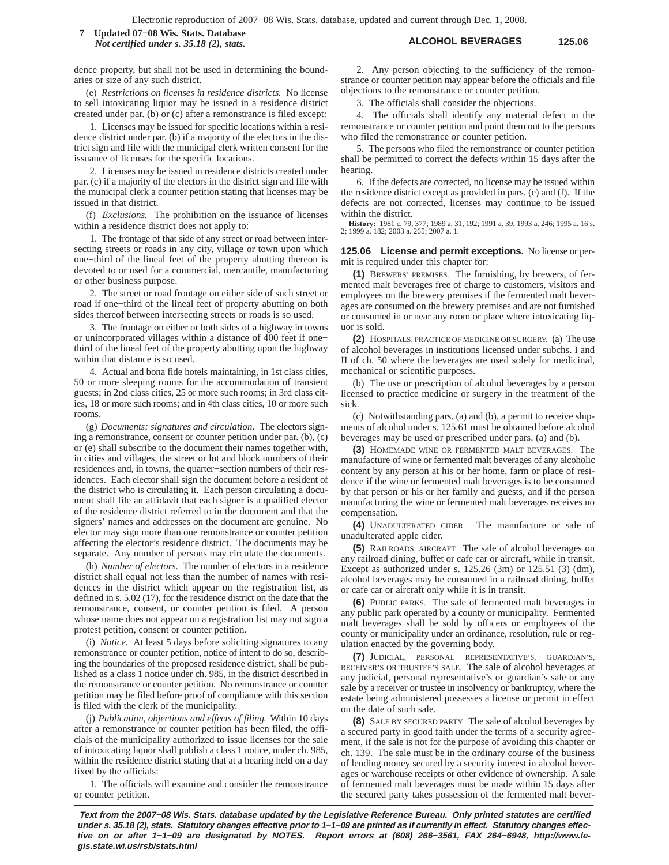## **ALCOHOL BEVERAGES 125.06 7 Updated 07−08 Wis. Stats. Database** *Not certified under s. 35.18 (2), stats.*

dence property, but shall not be used in determining the boundaries or size of any such district.

(e) *Restrictions on licenses in residence districts.* No license to sell intoxicating liquor may be issued in a residence district created under par. (b) or (c) after a remonstrance is filed except:

1. Licenses may be issued for specific locations within a residence district under par. (b) if a majority of the electors in the district sign and file with the municipal clerk written consent for the issuance of licenses for the specific locations.

2. Licenses may be issued in residence districts created under par. (c) if a majority of the electors in the district sign and file with the municipal clerk a counter petition stating that licenses may be issued in that district.

(f) *Exclusions.* The prohibition on the issuance of licenses within a residence district does not apply to:

1. The frontage of that side of any street or road between intersecting streets or roads in any city, village or town upon which one−third of the lineal feet of the property abutting thereon is devoted to or used for a commercial, mercantile, manufacturing or other business purpose.

2. The street or road frontage on either side of such street or road if one−third of the lineal feet of property abutting on both sides thereof between intersecting streets or roads is so used.

3. The frontage on either or both sides of a highway in towns or unincorporated villages within a distance of 400 feet if one− third of the lineal feet of the property abutting upon the highway within that distance is so used.

4. Actual and bona fide hotels maintaining, in 1st class cities, 50 or more sleeping rooms for the accommodation of transient guests; in 2nd class cities, 25 or more such rooms; in 3rd class cities, 18 or more such rooms; and in 4th class cities, 10 or more such rooms.

(g) *Documents; signatures and circulation.* The electors signing a remonstrance, consent or counter petition under par. (b), (c) or (e) shall subscribe to the document their names together with, in cities and villages, the street or lot and block numbers of their residences and, in towns, the quarter−section numbers of their residences. Each elector shall sign the document before a resident of the district who is circulating it. Each person circulating a document shall file an affidavit that each signer is a qualified elector of the residence district referred to in the document and that the signers' names and addresses on the document are genuine. No elector may sign more than one remonstrance or counter petition affecting the elector's residence district. The documents may be separate. Any number of persons may circulate the documents.

(h) *Number of electors.* The number of electors in a residence district shall equal not less than the number of names with residences in the district which appear on the registration list, as defined in s. 5.02 (17), for the residence district on the date that the remonstrance, consent, or counter petition is filed. A person whose name does not appear on a registration list may not sign a protest petition, consent or counter petition.

(i) *Notice.* At least 5 days before soliciting signatures to any remonstrance or counter petition, notice of intent to do so, describing the boundaries of the proposed residence district, shall be published as a class 1 notice under ch. 985, in the district described in the remonstrance or counter petition. No remonstrance or counter petition may be filed before proof of compliance with this section is filed with the clerk of the municipality.

(j) *Publication, objections and effects of filing.* Within 10 days after a remonstrance or counter petition has been filed, the officials of the municipality authorized to issue licenses for the sale of intoxicating liquor shall publish a class 1 notice, under ch. 985, within the residence district stating that at a hearing held on a day fixed by the officials:

1. The officials will examine and consider the remonstrance or counter petition.

2. Any person objecting to the sufficiency of the remonstrance or counter petition may appear before the officials and file objections to the remonstrance or counter petition.

3. The officials shall consider the objections.

4. The officials shall identify any material defect in the remonstrance or counter petition and point them out to the persons who filed the remonstrance or counter petition.

5. The persons who filed the remonstrance or counter petition shall be permitted to correct the defects within 15 days after the hearing.

6. If the defects are corrected, no license may be issued within the residence district except as provided in pars. (e) and (f). If the defects are not corrected, licenses may continue to be issued within the district.

**History:** 1981 c. 79, 377; 1989 a. 31, 192; 1991 a. 39; 1993 a. 246; 1995 a. 16 s. 2; 1999 a. 182; 2003 a. 265; 2007 a. 1.

### **125.06 License and permit exceptions.** No license or permit is required under this chapter for:

**(1)** BREWERS' PREMISES. The furnishing, by brewers, of fermented malt beverages free of charge to customers, visitors and employees on the brewery premises if the fermented malt beverages are consumed on the brewery premises and are not furnished or consumed in or near any room or place where intoxicating liquor is sold.

**(2)** HOSPITALS; PRACTICE OF MEDICINE OR SURGERY. (a) The use of alcohol beverages in institutions licensed under subchs. I and II of ch. 50 where the beverages are used solely for medicinal, mechanical or scientific purposes.

(b) The use or prescription of alcohol beverages by a person licensed to practice medicine or surgery in the treatment of the sick.

(c) Notwithstanding pars. (a) and (b), a permit to receive shipments of alcohol under s. 125.61 must be obtained before alcohol beverages may be used or prescribed under pars. (a) and (b).

**(3)** HOMEMADE WINE OR FERMENTED MALT BEVERAGES. The manufacture of wine or fermented malt beverages of any alcoholic content by any person at his or her home, farm or place of residence if the wine or fermented malt beverages is to be consumed by that person or his or her family and guests, and if the person manufacturing the wine or fermented malt beverages receives no compensation.

**(4)** UNADULTERATED CIDER. The manufacture or sale of unadulterated apple cider.

**(5)** RAILROADS, AIRCRAFT. The sale of alcohol beverages on any railroad dining, buffet or cafe car or aircraft, while in transit. Except as authorized under s. 125.26 (3m) or 125.51 (3) (dm), alcohol beverages may be consumed in a railroad dining, buffet or cafe car or aircraft only while it is in transit.

**(6)** PUBLIC PARKS. The sale of fermented malt beverages in any public park operated by a county or municipality. Fermented malt beverages shall be sold by officers or employees of the county or municipality under an ordinance, resolution, rule or regulation enacted by the governing body.

**(7)** JUDICIAL, PERSONAL REPRESENTATIVE'S, GUARDIAN'S, RECEIVER'S OR TRUSTEE'S SALE. The sale of alcohol beverages at any judicial, personal representative's or guardian's sale or any sale by a receiver or trustee in insolvency or bankruptcy, where the estate being administered possesses a license or permit in effect on the date of such sale.

**(8)** SALE BY SECURED PARTY. The sale of alcohol beverages by a secured party in good faith under the terms of a security agreement, if the sale is not for the purpose of avoiding this chapter or ch. 139. The sale must be in the ordinary course of the business of lending money secured by a security interest in alcohol beverages or warehouse receipts or other evidence of ownership. A sale of fermented malt beverages must be made within 15 days after the secured party takes possession of the fermented malt bever-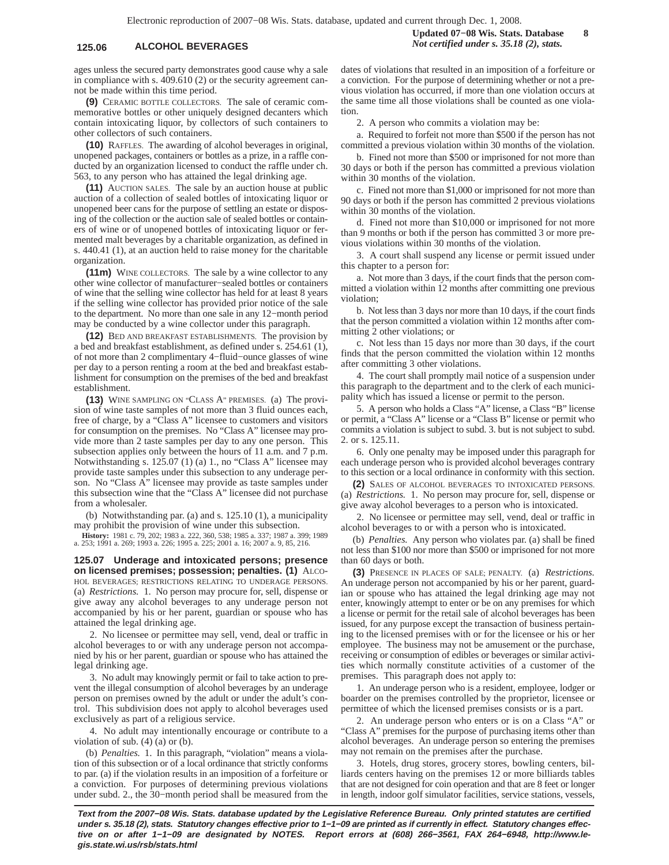# **125.06 ALCOHOL BEVERAGES** *Not certified under s. 35.18 (2), stats.*

ages unless the secured party demonstrates good cause why a sale in compliance with s. 409.610 (2) or the security agreement cannot be made within this time period.

**(9)** CERAMIC BOTTLE COLLECTORS. The sale of ceramic commemorative bottles or other uniquely designed decanters which contain intoxicating liquor, by collectors of such containers to other collectors of such containers.

**(10)** RAFFLES. The awarding of alcohol beverages in original, unopened packages, containers or bottles as a prize, in a raffle conducted by an organization licensed to conduct the raffle under ch. 563, to any person who has attained the legal drinking age.

**(11)** AUCTION SALES. The sale by an auction house at public auction of a collection of sealed bottles of intoxicating liquor or unopened beer cans for the purpose of settling an estate or disposing of the collection or the auction sale of sealed bottles or containers of wine or of unopened bottles of intoxicating liquor or fermented malt beverages by a charitable organization, as defined in s. 440.41 (1), at an auction held to raise money for the charitable organization.

**(11m)** WINE COLLECTORS. The sale by a wine collector to any other wine collector of manufacturer−sealed bottles or containers of wine that the selling wine collector has held for at least 8 years if the selling wine collector has provided prior notice of the sale to the department. No more than one sale in any 12−month period may be conducted by a wine collector under this paragraph.

**(12)** BED AND BREAKFAST ESTABLISHMENTS. The provision by a bed and breakfast establishment, as defined under s. 254.61 (1), of not more than 2 complimentary 4−fluid−ounce glasses of wine per day to a person renting a room at the bed and breakfast establishment for consumption on the premises of the bed and breakfast establishment.

**(13)** WINE SAMPLING ON "CLASS A" PREMISES. (a) The provision of wine taste samples of not more than 3 fluid ounces each, free of charge, by a "Class A" licensee to customers and visitors for consumption on the premises. No "Class A" licensee may provide more than 2 taste samples per day to any one person. This subsection applies only between the hours of 11 a.m. and 7 p.m. Notwithstanding s. 125.07 (1) (a) 1., no "Class A" licensee may provide taste samples under this subsection to any underage person. No "Class A" licensee may provide as taste samples under this subsection wine that the "Class A" licensee did not purchase from a wholesaler.

(b) Notwithstanding par. (a) and s. 125.10 (1), a municipality may prohibit the provision of wine under this subsection.

**History:** 1981 c. 79, 202; 1983 a. 222, 360, 538; 1985 a. 337; 1987 a. 399; 1989 a. 253; 1991 a. 269; 1993 a. 226; 1995 a. 225; 2001 a. 16; 2007 a. 9, 85, 216.

**125.07 Underage and intoxicated persons; presence on licensed premises; possession; penalties. (1)** ALCO-HOL BEVERAGES; RESTRICTIONS RELATING TO UNDERAGE PERSONS. (a) *Restrictions.* 1. No person may procure for, sell, dispense or give away any alcohol beverages to any underage person not accompanied by his or her parent, guardian or spouse who has attained the legal drinking age.

2. No licensee or permittee may sell, vend, deal or traffic in alcohol beverages to or with any underage person not accompanied by his or her parent, guardian or spouse who has attained the legal drinking age.

3. No adult may knowingly permit or fail to take action to prevent the illegal consumption of alcohol beverages by an underage person on premises owned by the adult or under the adult's control. This subdivision does not apply to alcohol beverages used exclusively as part of a religious service.

4. No adult may intentionally encourage or contribute to a violation of sub.  $(4)$  (a) or (b).

(b) *Penalties.* 1. In this paragraph, "violation" means a violation of this subsection or of a local ordinance that strictly conforms to par. (a) if the violation results in an imposition of a forfeiture or a conviction. For purposes of determining previous violations under subd. 2., the 30−month period shall be measured from the dates of violations that resulted in an imposition of a forfeiture or a conviction. For the purpose of determining whether or not a previous violation has occurred, if more than one violation occurs at the same time all those violations shall be counted as one violation.

2. A person who commits a violation may be:

a. Required to forfeit not more than \$500 if the person has not committed a previous violation within 30 months of the violation.

b. Fined not more than \$500 or imprisoned for not more than 30 days or both if the person has committed a previous violation within 30 months of the violation.

c. Fined not more than \$1,000 or imprisoned for not more than 90 days or both if the person has committed 2 previous violations within 30 months of the violation.

d. Fined not more than \$10,000 or imprisoned for not more than 9 months or both if the person has committed 3 or more previous violations within 30 months of the violation.

3. A court shall suspend any license or permit issued under this chapter to a person for:

a. Not more than 3 days, if the court finds that the person committed a violation within 12 months after committing one previous violation;

b. Not less than 3 days nor more than 10 days, if the court finds that the person committed a violation within 12 months after committing 2 other violations; or

c. Not less than 15 days nor more than 30 days, if the court finds that the person committed the violation within 12 months after committing 3 other violations.

4. The court shall promptly mail notice of a suspension under this paragraph to the department and to the clerk of each municipality which has issued a license or permit to the person.

5. A person who holds a Class "A" license, a Class "B" license or permit, a "Class A" license or a "Class B" license or permit who commits a violation is subject to subd. 3. but is not subject to subd. 2. or s. 125.11.

6. Only one penalty may be imposed under this paragraph for each underage person who is provided alcohol beverages contrary to this section or a local ordinance in conformity with this section.

**(2)** SALES OF ALCOHOL BEVERAGES TO INTOXICATED PERSONS. (a) *Restrictions.* 1. No person may procure for, sell, dispense or give away alcohol beverages to a person who is intoxicated.

2. No licensee or permittee may sell, vend, deal or traffic in alcohol beverages to or with a person who is intoxicated.

(b) *Penalties.* Any person who violates par. (a) shall be fined not less than \$100 nor more than \$500 or imprisoned for not more than 60 days or both.

**(3)** PRESENCE IN PLACES OF SALE; PENALTY. (a) *Restrictions.* An underage person not accompanied by his or her parent, guardian or spouse who has attained the legal drinking age may not enter, knowingly attempt to enter or be on any premises for which a license or permit for the retail sale of alcohol beverages has been issued, for any purpose except the transaction of business pertaining to the licensed premises with or for the licensee or his or her employee. The business may not be amusement or the purchase, receiving or consumption of edibles or beverages or similar activities which normally constitute activities of a customer of the premises. This paragraph does not apply to:

1. An underage person who is a resident, employee, lodger or boarder on the premises controlled by the proprietor, licensee or permittee of which the licensed premises consists or is a part.

2. An underage person who enters or is on a Class "A" or "Class A" premises for the purpose of purchasing items other than alcohol beverages. An underage person so entering the premises may not remain on the premises after the purchase.

3. Hotels, drug stores, grocery stores, bowling centers, billiards centers having on the premises 12 or more billiards tables that are not designed for coin operation and that are 8 feet or longer in length, indoor golf simulator facilities, service stations, vessels,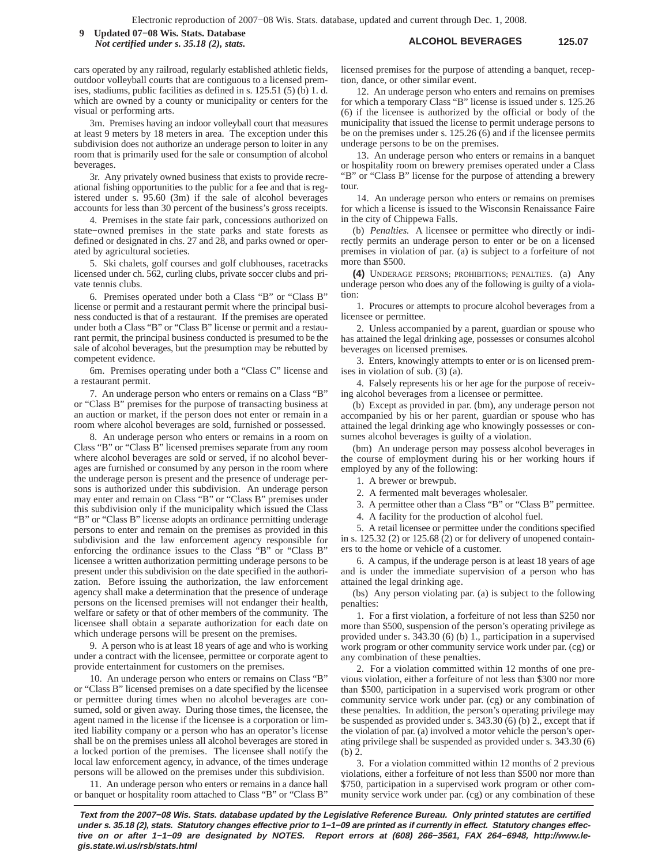**ALCOHOL BEVERAGES 125.07 9 Updated 07−08 Wis. Stats. Database** *Not certified under s. 35.18 (2), stats.*

cars operated by any railroad, regularly established athletic fields, outdoor volleyball courts that are contiguous to a licensed premises, stadiums, public facilities as defined in s. 125.51 (5) (b) 1. d. which are owned by a county or municipality or centers for the visual or performing arts.

3m. Premises having an indoor volleyball court that measures at least 9 meters by 18 meters in area. The exception under this subdivision does not authorize an underage person to loiter in any room that is primarily used for the sale or consumption of alcohol beverages.

3r. Any privately owned business that exists to provide recreational fishing opportunities to the public for a fee and that is registered under s. 95.60 (3m) if the sale of alcohol beverages accounts for less than 30 percent of the business's gross receipts.

4. Premises in the state fair park, concessions authorized on state−owned premises in the state parks and state forests as defined or designated in chs. 27 and 28, and parks owned or operated by agricultural societies.

5. Ski chalets, golf courses and golf clubhouses, racetracks licensed under ch. 562, curling clubs, private soccer clubs and private tennis clubs.

6. Premises operated under both a Class "B" or "Class B" license or permit and a restaurant permit where the principal business conducted is that of a restaurant. If the premises are operated under both a Class "B" or "Class B" license or permit and a restaurant permit, the principal business conducted is presumed to be the sale of alcohol beverages, but the presumption may be rebutted by competent evidence.

6m. Premises operating under both a "Class C" license and a restaurant permit.

7. An underage person who enters or remains on a Class "B" or "Class B" premises for the purpose of transacting business at an auction or market, if the person does not enter or remain in a room where alcohol beverages are sold, furnished or possessed.

8. An underage person who enters or remains in a room on Class "B" or "Class B" licensed premises separate from any room where alcohol beverages are sold or served, if no alcohol beverages are furnished or consumed by any person in the room where the underage person is present and the presence of underage persons is authorized under this subdivision. An underage person may enter and remain on Class "B" or "Class B" premises under this subdivision only if the municipality which issued the Class "B" or "Class B" license adopts an ordinance permitting underage persons to enter and remain on the premises as provided in this subdivision and the law enforcement agency responsible for enforcing the ordinance issues to the Class "B" or "Class B" licensee a written authorization permitting underage persons to be present under this subdivision on the date specified in the authorization. Before issuing the authorization, the law enforcement agency shall make a determination that the presence of underage persons on the licensed premises will not endanger their health, welfare or safety or that of other members of the community. The licensee shall obtain a separate authorization for each date on which underage persons will be present on the premises.

9. A person who is at least 18 years of age and who is working under a contract with the licensee, permittee or corporate agent to provide entertainment for customers on the premises.

10. An underage person who enters or remains on Class "B" or "Class B" licensed premises on a date specified by the licensee or permittee during times when no alcohol beverages are consumed, sold or given away. During those times, the licensee, the agent named in the license if the licensee is a corporation or limited liability company or a person who has an operator's license shall be on the premises unless all alcohol beverages are stored in a locked portion of the premises. The licensee shall notify the local law enforcement agency, in advance, of the times underage persons will be allowed on the premises under this subdivision.

11. An underage person who enters or remains in a dance hall or banquet or hospitality room attached to Class "B" or "Class B"

licensed premises for the purpose of attending a banquet, reception, dance, or other similar event.

12. An underage person who enters and remains on premises for which a temporary Class "B" license is issued under s. 125.26 (6) if the licensee is authorized by the official or body of the municipality that issued the license to permit underage persons to be on the premises under s. 125.26 (6) and if the licensee permits underage persons to be on the premises.

13. An underage person who enters or remains in a banquet or hospitality room on brewery premises operated under a Class "B" or "Class B" license for the purpose of attending a brewery tour.

14. An underage person who enters or remains on premises for which a license is issued to the Wisconsin Renaissance Faire in the city of Chippewa Falls.

(b) *Penalties.* A licensee or permittee who directly or indirectly permits an underage person to enter or be on a licensed premises in violation of par. (a) is subject to a forfeiture of not more than \$500.

**(4)** UNDERAGE PERSONS; PROHIBITIONS; PENALTIES. (a) Any underage person who does any of the following is guilty of a violation:

1. Procures or attempts to procure alcohol beverages from a licensee or permittee.

2. Unless accompanied by a parent, guardian or spouse who has attained the legal drinking age, possesses or consumes alcohol beverages on licensed premises.

3. Enters, knowingly attempts to enter or is on licensed premises in violation of sub. (3) (a).

4. Falsely represents his or her age for the purpose of receiving alcohol beverages from a licensee or permittee.

(b) Except as provided in par. (bm), any underage person not accompanied by his or her parent, guardian or spouse who has attained the legal drinking age who knowingly possesses or consumes alcohol beverages is guilty of a violation.

(bm) An underage person may possess alcohol beverages in the course of employment during his or her working hours if employed by any of the following:

1. A brewer or brewpub.

2. A fermented malt beverages wholesaler.

3. A permittee other than a Class "B" or "Class B" permittee.

4. A facility for the production of alcohol fuel.

5. A retail licensee or permittee under the conditions specified in s. 125.32 (2) or 125.68 (2) or for delivery of unopened containers to the home or vehicle of a customer.

6. A campus, if the underage person is at least 18 years of age and is under the immediate supervision of a person who has attained the legal drinking age.

(bs) Any person violating par. (a) is subject to the following penalties:

1. For a first violation, a forfeiture of not less than \$250 nor more than \$500, suspension of the person's operating privilege as provided under s. 343.30 (6) (b) 1., participation in a supervised work program or other community service work under par. (cg) or any combination of these penalties.

2. For a violation committed within 12 months of one previous violation, either a forfeiture of not less than \$300 nor more than \$500, participation in a supervised work program or other community service work under par. (cg) or any combination of these penalties. In addition, the person's operating privilege may be suspended as provided under s. 343.30 (6) (b) 2., except that if the violation of par. (a) involved a motor vehicle the person's operating privilege shall be suspended as provided under s. 343.30 (6) (b) 2.

3. For a violation committed within 12 months of 2 previous violations, either a forfeiture of not less than \$500 nor more than \$750, participation in a supervised work program or other community service work under par. (cg) or any combination of these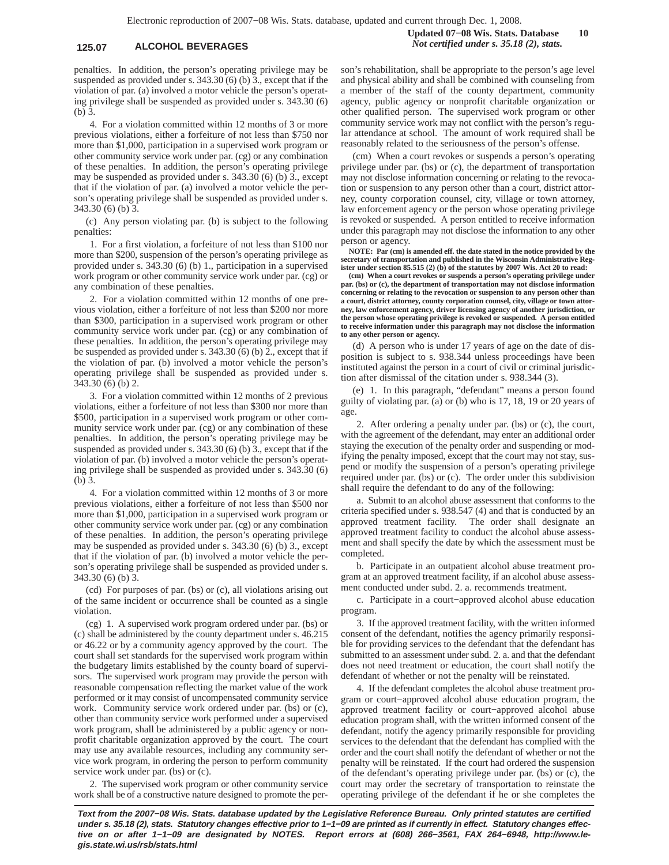## **125.07 ALCOHOL BEVERAGES** *Not certified under s. 35.18 (2), stats.*

penalties. In addition, the person's operating privilege may be suspended as provided under s. 343.30 (6) (b) 3., except that if the violation of par. (a) involved a motor vehicle the person's operating privilege shall be suspended as provided under s. 343.30 (6) (b) 3.

4. For a violation committed within 12 months of 3 or more previous violations, either a forfeiture of not less than \$750 nor more than \$1,000, participation in a supervised work program or other community service work under par. (cg) or any combination of these penalties. In addition, the person's operating privilege may be suspended as provided under s. 343.30 (6) (b) 3., except that if the violation of par. (a) involved a motor vehicle the person's operating privilege shall be suspended as provided under s. 343.30 (6) (b) 3.

(c) Any person violating par. (b) is subject to the following penalties:

1. For a first violation, a forfeiture of not less than \$100 nor more than \$200, suspension of the person's operating privilege as provided under s. 343.30 (6) (b) 1., participation in a supervised work program or other community service work under par. (cg) or any combination of these penalties.

2. For a violation committed within 12 months of one previous violation, either a forfeiture of not less than \$200 nor more than \$300, participation in a supervised work program or other community service work under par. (cg) or any combination of these penalties. In addition, the person's operating privilege may be suspended as provided under s. 343.30 (6) (b) 2., except that if the violation of par. (b) involved a motor vehicle the person's operating privilege shall be suspended as provided under s. 343.30 (6) (b) 2.

3. For a violation committed within 12 months of 2 previous violations, either a forfeiture of not less than \$300 nor more than \$500, participation in a supervised work program or other community service work under par. (cg) or any combination of these penalties. In addition, the person's operating privilege may be suspended as provided under s. 343.30 (6) (b) 3., except that if the violation of par. (b) involved a motor vehicle the person's operating privilege shall be suspended as provided under s. 343.30 (6) (b) 3.

4. For a violation committed within 12 months of 3 or more previous violations, either a forfeiture of not less than \$500 nor more than \$1,000, participation in a supervised work program or other community service work under par. (cg) or any combination of these penalties. In addition, the person's operating privilege may be suspended as provided under s. 343.30 (6) (b) 3., except that if the violation of par. (b) involved a motor vehicle the person's operating privilege shall be suspended as provided under s. 343.30 (6) (b) 3.

(cd) For purposes of par. (bs) or (c), all violations arising out of the same incident or occurrence shall be counted as a single violation.

(cg) 1. A supervised work program ordered under par. (bs) or (c) shall be administered by the county department under s. 46.215 or 46.22 or by a community agency approved by the court. The court shall set standards for the supervised work program within the budgetary limits established by the county board of supervisors. The supervised work program may provide the person with reasonable compensation reflecting the market value of the work performed or it may consist of uncompensated community service work. Community service work ordered under par. (bs) or (c), other than community service work performed under a supervised work program, shall be administered by a public agency or nonprofit charitable organization approved by the court. The court may use any available resources, including any community service work program, in ordering the person to perform community service work under par. (bs) or (c).

2. The supervised work program or other community service work shall be of a constructive nature designed to promote the person's rehabilitation, shall be appropriate to the person's age level and physical ability and shall be combined with counseling from a member of the staff of the county department, community agency, public agency or nonprofit charitable organization or other qualified person. The supervised work program or other community service work may not conflict with the person's regular attendance at school. The amount of work required shall be reasonably related to the seriousness of the person's offense.

(cm) When a court revokes or suspends a person's operating privilege under par. (bs) or (c), the department of transportation may not disclose information concerning or relating to the revocation or suspension to any person other than a court, district attorney, county corporation counsel, city, village or town attorney, law enforcement agency or the person whose operating privilege is revoked or suspended. A person entitled to receive information under this paragraph may not disclose the information to any other person or agency.

**NOTE: Par (cm) is amended eff. the date stated in the notice provided by the secretary of transportation and published in the Wisconsin Administrative Register under section 85.515 (2) (b) of the statutes by 2007 Wis. Act 20 to read:**

**(cm) When a court revokes or suspends a person's operating privilege under par. (bs) or (c), the department of transportation may not disclose information concerning or relating to the revocation or suspension to any person other than a court, district attorney, county corporation counsel, city, village or town attorney, law enforcement agency, driver licensing agency of another jurisdiction, or the person whose operating privilege is revoked or suspended. A person entitled to receive information under this paragraph may not disclose the information to any other person or agency.**

(d) A person who is under 17 years of age on the date of disposition is subject to s. 938.344 unless proceedings have been instituted against the person in a court of civil or criminal jurisdiction after dismissal of the citation under s. 938.344 (3).

(e) 1. In this paragraph, "defendant" means a person found guilty of violating par. (a) or (b) who is 17, 18, 19 or 20 years of age.

2. After ordering a penalty under par. (bs) or (c), the court, with the agreement of the defendant, may enter an additional order staying the execution of the penalty order and suspending or modifying the penalty imposed, except that the court may not stay, suspend or modify the suspension of a person's operating privilege required under par. (bs) or (c). The order under this subdivision shall require the defendant to do any of the following:

a. Submit to an alcohol abuse assessment that conforms to the criteria specified under s. 938.547 (4) and that is conducted by an approved treatment facility. The order shall designate an approved treatment facility to conduct the alcohol abuse assessment and shall specify the date by which the assessment must be completed.

b. Participate in an outpatient alcohol abuse treatment program at an approved treatment facility, if an alcohol abuse assessment conducted under subd. 2. a. recommends treatment.

c. Participate in a court−approved alcohol abuse education program.

3. If the approved treatment facility, with the written informed consent of the defendant, notifies the agency primarily responsible for providing services to the defendant that the defendant has submitted to an assessment under subd. 2. a. and that the defendant does not need treatment or education, the court shall notify the defendant of whether or not the penalty will be reinstated.

4. If the defendant completes the alcohol abuse treatment program or court−approved alcohol abuse education program, the approved treatment facility or court−approved alcohol abuse education program shall, with the written informed consent of the defendant, notify the agency primarily responsible for providing services to the defendant that the defendant has complied with the order and the court shall notify the defendant of whether or not the penalty will be reinstated. If the court had ordered the suspension of the defendant's operating privilege under par. (bs) or (c), the court may order the secretary of transportation to reinstate the operating privilege of the defendant if he or she completes the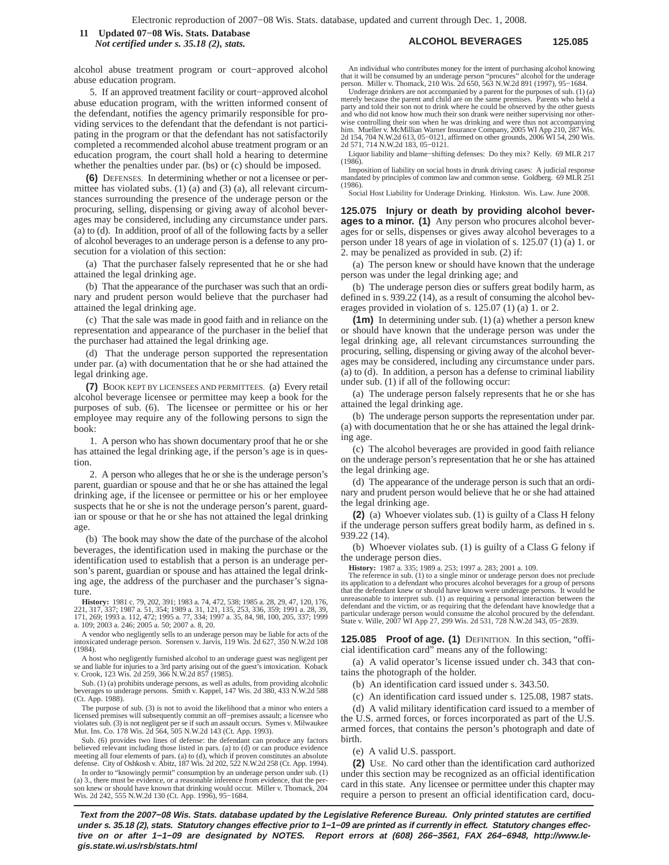## **ALCOHOL BEVERAGES 125.085** *Not certified under s.* 35.18 (2), stats. Database **125.085 125.085** *Not certified under s. 35.18 (2), stats.*

alcohol abuse treatment program or court−approved alcohol abuse education program.

5. If an approved treatment facility or court−approved alcohol abuse education program, with the written informed consent of the defendant, notifies the agency primarily responsible for providing services to the defendant that the defendant is not participating in the program or that the defendant has not satisfactorily completed a recommended alcohol abuse treatment program or an education program, the court shall hold a hearing to determine whether the penalties under par. (bs) or (c) should be imposed.

**(6)** DEFENSES. In determining whether or not a licensee or permittee has violated subs. (1) (a) and (3) (a), all relevant circumstances surrounding the presence of the underage person or the procuring, selling, dispensing or giving away of alcohol beverages may be considered, including any circumstance under pars. (a) to (d). In addition, proof of all of the following facts by a seller of alcohol beverages to an underage person is a defense to any prosecution for a violation of this section:

(a) That the purchaser falsely represented that he or she had attained the legal drinking age.

(b) That the appearance of the purchaser was such that an ordinary and prudent person would believe that the purchaser had attained the legal drinking age.

(c) That the sale was made in good faith and in reliance on the representation and appearance of the purchaser in the belief that the purchaser had attained the legal drinking age.

(d) That the underage person supported the representation under par. (a) with documentation that he or she had attained the legal drinking age.

**(7)** BOOK KEPT BY LICENSEES AND PERMITTEES. (a) Every retail alcohol beverage licensee or permittee may keep a book for the purposes of sub. (6). The licensee or permittee or his or her employee may require any of the following persons to sign the book:

1. A person who has shown documentary proof that he or she has attained the legal drinking age, if the person's age is in question.

2. A person who alleges that he or she is the underage person's parent, guardian or spouse and that he or she has attained the legal drinking age, if the licensee or permittee or his or her employee suspects that he or she is not the underage person's parent, guardian or spouse or that he or she has not attained the legal drinking age.

(b) The book may show the date of the purchase of the alcohol beverages, the identification used in making the purchase or the identification used to establish that a person is an underage person's parent, guardian or spouse and has attained the legal drinking age, the address of the purchaser and the purchaser's signature.

**History:** 1981 c. 79, 202, 391; 1983 a. 74, 472, 538; 1985 a. 28, 29, 47, 120, 176,<br>221, 317, 337; 1987 a. 51, 354; 1989 a. 31, 121, 135, 253, 336, 359; 1991 a. 28, 39,<br>171, 269; 1993 a. 112, 472; 1995 a. 77, 334; 1997 a. a. 109; 2003 a. 246; 2005 a. 50; 2007 a. 8, 20.

A vendor who negligently sells to an underage person may be liable for acts of the intoxicated underage person. Sorensen v. Jarvis, 119 Wis. 2d 627, 350 N.W.2d 108 (1984).

A host who negligently furnished alcohol to an underage guest was negligent per se and liable for injuries to a 3rd party arising out of the guest's intoxication. Koback v. Crook, 123 Wis. 2d 259, 366 N.W.2d 857 (1985).

Sub. (1) (a) prohibits underage persons, as well as adults, from providing alcoholic beverages to underage persons. Smith v. Kappel, 147 Wis. 2d 380, 433 N.W.2d 588 (Ct. App. 1988).

The purpose of sub. (3) is not to avoid the likelihood that a minor who enters a licensed premises will subsequently commit an off−premises assault; a licensee who violates sub. (3) is not negligent per se if such an assault occurs. Symes v. Milwaukee Mut. Ins. Co. 178 Wis. 2d 564, 505 N.W.2d 143 (Ct. App. 1993).

Sub. (6) provides two lines of defense: the defendant can produce any factors believed relevant including those listed in pars. (a) to (d) or can produce evidence meeting all four elements of pars. (a) to (d), which if proven constitutes an absolute defense. City of Oshkosh v. Abitz, 187 Wis. 2d 202, 522 N.W.2d 258 (Ct. App. 1994).

In order to "knowingly permit" consumption by an underage person under sub. (1) (a) 3., there must be evidence, or a reasonable inference from evidence, that the per-son knew or should have known that drinking would occur. Miller v. Thomack, 204 Wis. 2d 242, 555 N.W.2d 130 (Ct. App. 1996), 95−1684.

An individual who contributes money for the intent of purchasing alcohol knowing that it will be consumed by an underage person "procures" alcohol for the underage person. Miller v. Thomack, 210 Wis. 2d 650, 563 N.W.2d 891 (1997), 95−1684.

Underage drinkers are not accompanied by a parent for the purposes of sub. (1) (a) merely because the parent and child are on the same premises. Parents who held a party and told their son not to drink where he could be observed by the other guests and who did not know how much their son drank were neither supervising nor otherwise controlling their son when he was drinking and were thus not accompanying him. Mueller v. McMillian Warner Insurance Company, 2005 WI App 210, 287 Wis. 2d 154, 704 N.W.2d 613, 05−0121, affirmed on other grounds, 2006 WI 54, 290 Wis. 2d 571, 714 N.W.2d 183, 05−0121.

Liquor liability and blame−shifting defenses: Do they mix? Kelly. 69 MLR 217 (1986).

Imposition of liability on social hosts in drunk driving cases: A judicial response mandated by principles of common law and common sense. Goldberg. 69 MLR 251 (1986).

Social Host Liability for Underage Drinking. Hinkston. Wis. Law. June 2008.

**125.075 Injury or death by providing alcohol beverages to a minor. (1)** Any person who procures alcohol beverages for or sells, dispenses or gives away alcohol beverages to a person under 18 years of age in violation of s. 125.07 (1) (a) 1. or 2. may be penalized as provided in sub. (2) if:

(a) The person knew or should have known that the underage person was under the legal drinking age; and

(b) The underage person dies or suffers great bodily harm, as defined in s. 939.22 (14), as a result of consuming the alcohol beverages provided in violation of s. 125.07 (1) (a) 1. or 2.

**(1m)** In determining under sub. (1) (a) whether a person knew or should have known that the underage person was under the legal drinking age, all relevant circumstances surrounding the procuring, selling, dispensing or giving away of the alcohol beverages may be considered, including any circumstance under pars. (a) to (d). In addition, a person has a defense to criminal liability under sub. (1) if all of the following occur:

(a) The underage person falsely represents that he or she has attained the legal drinking age.

(b) The underage person supports the representation under par. (a) with documentation that he or she has attained the legal drinking age.

(c) The alcohol beverages are provided in good faith reliance on the underage person's representation that he or she has attained the legal drinking age.

(d) The appearance of the underage person is such that an ordinary and prudent person would believe that he or she had attained the legal drinking age.

**(2)** (a) Whoever violates sub. (1) is guilty of a Class H felony if the underage person suffers great bodily harm, as defined in s. 939.22 (14).

(b) Whoever violates sub. (1) is guilty of a Class G felony if the underage person dies.

**History:** 1987 a. 335; 1989 a. 253; 1997 a. 283; 2001 a. 109.

The reference in sub. (1) to a single minor or underage person does not preclude its application to a defendant who procures alcohol beverages for a group of persons that the defendant knew or should have known were underage persons. It would be unreasonable to interpret sub. (1) as requiring a personal interaction between the defendant and the victim, or as requiring that the defendant have knowledge that a particular underage person would consume the alcohol pro

**125.085 Proof of age. (1)** DEFINITION. In this section, "official identification card" means any of the following:

(a) A valid operator's license issued under ch. 343 that contains the photograph of the holder.

(b) An identification card issued under s. 343.50.

(c) An identification card issued under s. 125.08, 1987 stats.

(d) A valid military identification card issued to a member of the U.S. armed forces, or forces incorporated as part of the U.S. armed forces, that contains the person's photograph and date of birth.

(e) A valid U.S. passport.

**(2)** USE. No card other than the identification card authorized under this section may be recognized as an official identification card in this state. Any licensee or permittee under this chapter may require a person to present an official identification card, docu-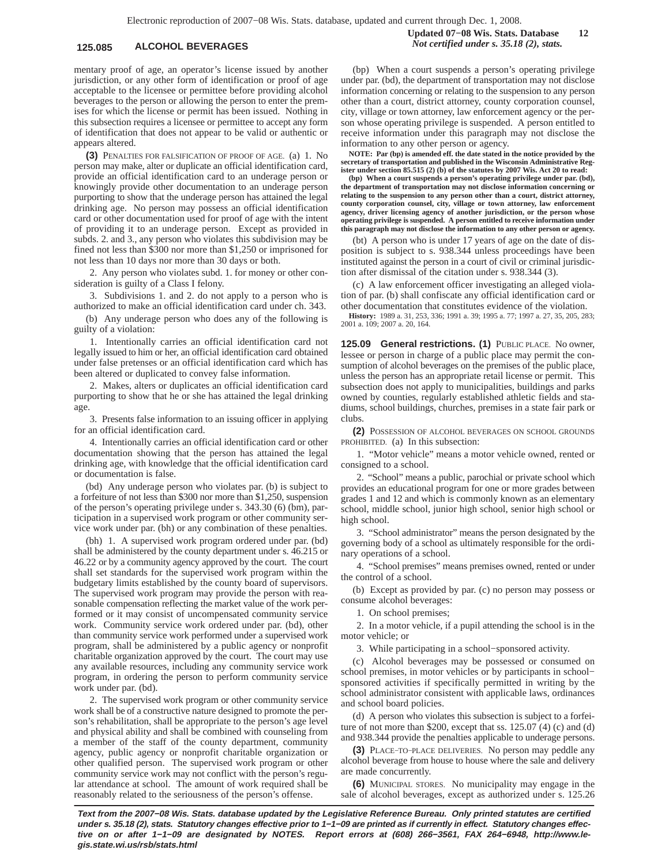# **125.085 ALCOHOL BEVERAGES** *Not certified under s. 35.18 (2), stats.*

mentary proof of age, an operator's license issued by another jurisdiction, or any other form of identification or proof of age acceptable to the licensee or permittee before providing alcohol beverages to the person or allowing the person to enter the premises for which the license or permit has been issued. Nothing in this subsection requires a licensee or permittee to accept any form of identification that does not appear to be valid or authentic or appears altered.

**(3)** PENALTIES FOR FALSIFICATION OF PROOF OF AGE. (a) 1. No person may make, alter or duplicate an official identification card, provide an official identification card to an underage person or knowingly provide other documentation to an underage person purporting to show that the underage person has attained the legal drinking age. No person may possess an official identification card or other documentation used for proof of age with the intent of providing it to an underage person. Except as provided in subds. 2. and 3., any person who violates this subdivision may be fined not less than \$300 nor more than \$1,250 or imprisoned for not less than 10 days nor more than 30 days or both.

2. Any person who violates subd. 1. for money or other consideration is guilty of a Class I felony.

3. Subdivisions 1. and 2. do not apply to a person who is authorized to make an official identification card under ch. 343.

(b) Any underage person who does any of the following is guilty of a violation:

1. Intentionally carries an official identification card not legally issued to him or her, an official identification card obtained under false pretenses or an official identification card which has been altered or duplicated to convey false information.

2. Makes, alters or duplicates an official identification card purporting to show that he or she has attained the legal drinking age.

3. Presents false information to an issuing officer in applying for an official identification card.

4. Intentionally carries an official identification card or other documentation showing that the person has attained the legal drinking age, with knowledge that the official identification card or documentation is false.

(bd) Any underage person who violates par. (b) is subject to a forfeiture of not less than \$300 nor more than \$1,250, suspension of the person's operating privilege under s. 343.30 (6) (bm), participation in a supervised work program or other community service work under par. (bh) or any combination of these penalties.

(bh) 1. A supervised work program ordered under par. (bd) shall be administered by the county department under s. 46.215 or 46.22 or by a community agency approved by the court. The court shall set standards for the supervised work program within the budgetary limits established by the county board of supervisors. The supervised work program may provide the person with reasonable compensation reflecting the market value of the work performed or it may consist of uncompensated community service work. Community service work ordered under par. (bd), other than community service work performed under a supervised work program, shall be administered by a public agency or nonprofit charitable organization approved by the court. The court may use any available resources, including any community service work program, in ordering the person to perform community service work under par. (bd).

2. The supervised work program or other community service work shall be of a constructive nature designed to promote the person's rehabilitation, shall be appropriate to the person's age level and physical ability and shall be combined with counseling from a member of the staff of the county department, community agency, public agency or nonprofit charitable organization or other qualified person. The supervised work program or other community service work may not conflict with the person's regular attendance at school. The amount of work required shall be reasonably related to the seriousness of the person's offense.

(bp) When a court suspends a person's operating privilege under par. (bd), the department of transportation may not disclose information concerning or relating to the suspension to any person other than a court, district attorney, county corporation counsel, city, village or town attorney, law enforcement agency or the person whose operating privilege is suspended. A person entitled to receive information under this paragraph may not disclose the information to any other person or agency.

**NOTE: Par (bp) is amended eff. the date stated in the notice provided by the secretary of transportation and published in the Wisconsin Administrative Register under section 85.515 (2) (b) of the statutes by 2007 Wis. Act 20 to read:**

**(bp) When a court suspends a person's operating privilege under par. (bd), the department of transportation may not disclose information concerning or relating to the suspension to any person other than a court, district attorney, county corporation counsel, city, village or town attorney, law enforcement agency, driver licensing agency of another jurisdiction, or the person whose operating privilege is suspended. A person entitled to receive information under this paragraph may not disclose the information to any other person or agency.**

(bt) A person who is under 17 years of age on the date of disposition is subject to s. 938.344 unless proceedings have been instituted against the person in a court of civil or criminal jurisdiction after dismissal of the citation under s. 938.344 (3).

(c) A law enforcement officer investigating an alleged violation of par. (b) shall confiscate any official identification card or other documentation that constitutes evidence of the violation.

**History:** 1989 a. 31, 253, 336; 1991 a. 39; 1995 a. 77; 1997 a. 27, 35, 205, 283; 2001 a. 109; 2007 a. 20, 164.

**125.09 General restrictions. (1)** PUBLIC PLACE. No owner, lessee or person in charge of a public place may permit the consumption of alcohol beverages on the premises of the public place, unless the person has an appropriate retail license or permit. This subsection does not apply to municipalities, buildings and parks owned by counties, regularly established athletic fields and stadiums, school buildings, churches, premises in a state fair park or clubs.

**(2)** POSSESSION OF ALCOHOL BEVERAGES ON SCHOOL GROUNDS PROHIBITED. (a) In this subsection:

1. "Motor vehicle" means a motor vehicle owned, rented or consigned to a school.

2. "School" means a public, parochial or private school which provides an educational program for one or more grades between grades 1 and 12 and which is commonly known as an elementary school, middle school, junior high school, senior high school or high school.

3. "School administrator" means the person designated by the governing body of a school as ultimately responsible for the ordinary operations of a school.

4. "School premises" means premises owned, rented or under the control of a school.

(b) Except as provided by par. (c) no person may possess or consume alcohol beverages:

1. On school premises;

2. In a motor vehicle, if a pupil attending the school is in the motor vehicle; or

3. While participating in a school−sponsored activity.

(c) Alcohol beverages may be possessed or consumed on school premises, in motor vehicles or by participants in school− sponsored activities if specifically permitted in writing by the school administrator consistent with applicable laws, ordinances and school board policies.

(d) A person who violates this subsection is subject to a forfeiture of not more than \$200, except that ss. 125.07 (4) (c) and (d) and 938.344 provide the penalties applicable to underage persons.

**(3)** PLACE−TO−PLACE DELIVERIES. No person may peddle any alcohol beverage from house to house where the sale and delivery are made concurrently.

**(6)** MUNICIPAL STORES. No municipality may engage in the sale of alcohol beverages, except as authorized under s. 125.26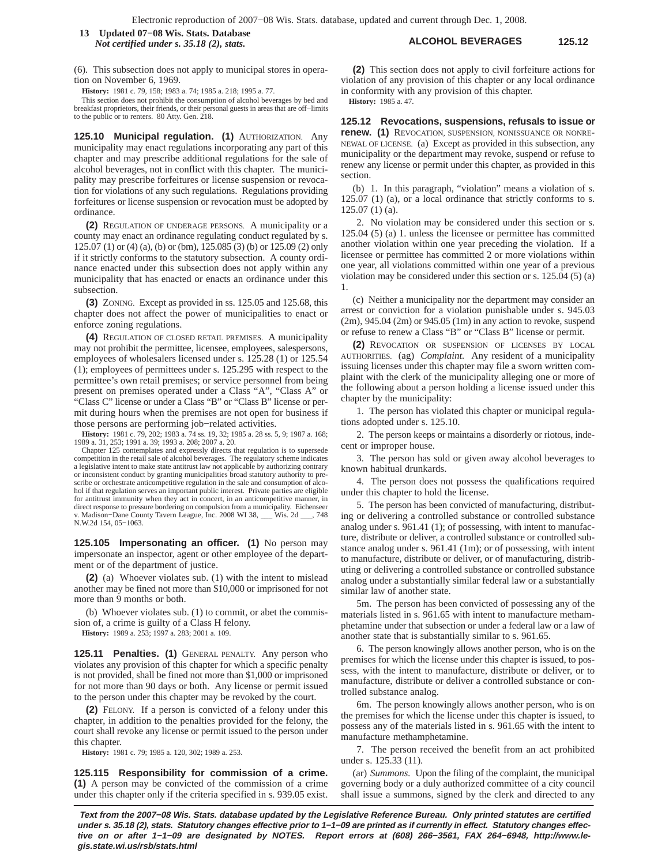**ALCOHOL BEVERAGES 125.12 13 Updated 07−08 Wis. Stats. Database** *Not certified under s. 35.18 (2), stats.*

(6). This subsection does not apply to municipal stores in operation on November 6, 1969.

**History:** 1981 c. 79, 158; 1983 a. 74; 1985 a. 218; 1995 a. 77.

This section does not prohibit the consumption of alcohol beverages by bed and breakfast proprietors, their friends, or their personal guests in areas that are off−limits to the public or to renters. 80 Atty. Gen. 218.

**125.10 Municipal regulation. (1)** AUTHORIZATION. Any municipality may enact regulations incorporating any part of this chapter and may prescribe additional regulations for the sale of alcohol beverages, not in conflict with this chapter. The municipality may prescribe forfeitures or license suspension or revocation for violations of any such regulations. Regulations providing forfeitures or license suspension or revocation must be adopted by ordinance.

**(2)** REGULATION OF UNDERAGE PERSONS. A municipality or a county may enact an ordinance regulating conduct regulated by s. 125.07 (1) or (4) (a), (b) or (bm), 125.085 (3) (b) or 125.09 (2) only if it strictly conforms to the statutory subsection. A county ordinance enacted under this subsection does not apply within any municipality that has enacted or enacts an ordinance under this subsection.

**(3)** ZONING. Except as provided in ss. 125.05 and 125.68, this chapter does not affect the power of municipalities to enact or enforce zoning regulations.

**(4)** REGULATION OF CLOSED RETAIL PREMISES. A municipality may not prohibit the permittee, licensee, employees, salespersons, employees of wholesalers licensed under s. 125.28 (1) or 125.54 (1); employees of permittees under s. 125.295 with respect to the permittee's own retail premises; or service personnel from being present on premises operated under a Class "A", "Class A" or "Class C" license or under a Class "B" or "Class B" license or permit during hours when the premises are not open for business if those persons are performing job−related activities.

**History:** 1981 c. 79, 202; 1983 a. 74 ss. 19, 32; 1985 a. 28 ss. 5, 9; 1987 a. 168; 1989 a. 31, 253; 1991 a. 39; 1993 a. 208; 2007 a. 20.

Chapter 125 contemplates and expressly directs that regulation is to supersede competition in the retail sale of alcohol beverages. The regulatory scheme indicates a legislative intent to make state antitrust law not applicable by authorizing contrary or inconsistent conduct by granting municipalities broad statutory authority to prescribe or orchestrate anticompetitive regulation in the sale and consumption of alcohol if that regulation serves an important public interest. Private parties are eligible for antitrust immunity when they act in concert, in an anticompetitive manner, in direct response to pressure bordering on compulsion from a municipality. Eichenseer v. Madison−Dane County Tavern League, Inc. 2008 WI 38, \_\_\_ Wis. 2d \_\_\_, 748 N.W.2d 154, 05−1063.

**125.105 Impersonating an officer. (1)** No person may impersonate an inspector, agent or other employee of the department or of the department of justice.

**(2)** (a) Whoever violates sub. (1) with the intent to mislead another may be fined not more than \$10,000 or imprisoned for not more than 9 months or both.

(b) Whoever violates sub. (1) to commit, or abet the commission of, a crime is guilty of a Class H felony.

**History:** 1989 a. 253; 1997 a. 283; 2001 a. 109.

**125.11 Penalties. (1)** GENERAL PENALTY. Any person who violates any provision of this chapter for which a specific penalty is not provided, shall be fined not more than \$1,000 or imprisoned for not more than 90 days or both. Any license or permit issued to the person under this chapter may be revoked by the court.

**(2)** FELONY. If a person is convicted of a felony under this chapter, in addition to the penalties provided for the felony, the court shall revoke any license or permit issued to the person under this chapter.

**History:** 1981 c. 79; 1985 a. 120, 302; 1989 a. 253.

**125.115 Responsibility for commission of a crime. (1)** A person may be convicted of the commission of a crime under this chapter only if the criteria specified in s. 939.05 exist.

**(2)** This section does not apply to civil forfeiture actions for violation of any provision of this chapter or any local ordinance in conformity with any provision of this chapter.

**History:** 1985 a. 47.

**125.12 Revocations, suspensions, refusals to issue or renew. (1)** REVOCATION, SUSPENSION, NONISSUANCE OR NONRE-NEWAL OF LICENSE. (a) Except as provided in this subsection, any municipality or the department may revoke, suspend or refuse to renew any license or permit under this chapter, as provided in this section.

(b) 1. In this paragraph, "violation" means a violation of s. 125.07 (1) (a), or a local ordinance that strictly conforms to s. 125.07 (1) (a).

2. No violation may be considered under this section or s. 125.04 (5) (a) 1. unless the licensee or permittee has committed another violation within one year preceding the violation. If a licensee or permittee has committed 2 or more violations within one year, all violations committed within one year of a previous violation may be considered under this section or s. 125.04 (5) (a) 1.

(c) Neither a municipality nor the department may consider an arrest or conviction for a violation punishable under s. 945.03 (2m), 945.04 (2m) or 945.05 (1m) in any action to revoke, suspend or refuse to renew a Class "B" or "Class B" license or permit.

**(2)** REVOCATION OR SUSPENSION OF LICENSES BY LOCAL AUTHORITIES. (ag) *Complaint.* Any resident of a municipality issuing licenses under this chapter may file a sworn written complaint with the clerk of the municipality alleging one or more of the following about a person holding a license issued under this chapter by the municipality:

1. The person has violated this chapter or municipal regulations adopted under s. 125.10.

2. The person keeps or maintains a disorderly or riotous, indecent or improper house.

3. The person has sold or given away alcohol beverages to known habitual drunkards.

4. The person does not possess the qualifications required under this chapter to hold the license.

5. The person has been convicted of manufacturing, distributing or delivering a controlled substance or controlled substance analog under s. 961.41 (1); of possessing, with intent to manufacture, distribute or deliver, a controlled substance or controlled substance analog under s. 961.41 (1m); or of possessing, with intent to manufacture, distribute or deliver, or of manufacturing, distributing or delivering a controlled substance or controlled substance analog under a substantially similar federal law or a substantially similar law of another state.

5m. The person has been convicted of possessing any of the materials listed in s. 961.65 with intent to manufacture methamphetamine under that subsection or under a federal law or a law of another state that is substantially similar to s. 961.65.

6. The person knowingly allows another person, who is on the premises for which the license under this chapter is issued, to possess, with the intent to manufacture, distribute or deliver, or to manufacture, distribute or deliver a controlled substance or controlled substance analog.

6m. The person knowingly allows another person, who is on the premises for which the license under this chapter is issued, to possess any of the materials listed in s. 961.65 with the intent to manufacture methamphetamine.

7. The person received the benefit from an act prohibited under s. 125.33 (11).

(ar) *Summons.* Upon the filing of the complaint, the municipal governing body or a duly authorized committee of a city council shall issue a summons, signed by the clerk and directed to any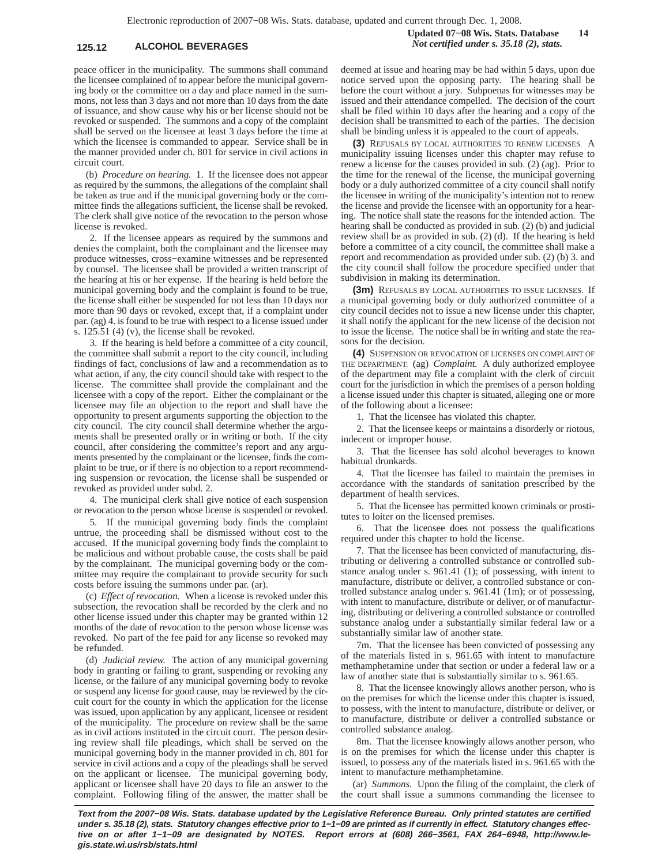# **125.12 ALCOHOL BEVERAGES** *Not certified under s. 35.18 (2), stats.*

peace officer in the municipality. The summons shall command the licensee complained of to appear before the municipal governing body or the committee on a day and place named in the summons, not less than 3 days and not more than 10 days from the date of issuance, and show cause why his or her license should not be revoked or suspended. The summons and a copy of the complaint shall be served on the licensee at least 3 days before the time at which the licensee is commanded to appear. Service shall be in the manner provided under ch. 801 for service in civil actions in circuit court.

(b) *Procedure on hearing.* 1. If the licensee does not appear as required by the summons, the allegations of the complaint shall be taken as true and if the municipal governing body or the committee finds the allegations sufficient, the license shall be revoked. The clerk shall give notice of the revocation to the person whose license is revoked.

2. If the licensee appears as required by the summons and denies the complaint, both the complainant and the licensee may produce witnesses, cross−examine witnesses and be represented by counsel. The licensee shall be provided a written transcript of the hearing at his or her expense. If the hearing is held before the municipal governing body and the complaint is found to be true, the license shall either be suspended for not less than 10 days nor more than 90 days or revoked, except that, if a complaint under par. (ag) 4. is found to be true with respect to a license issued under s. 125.51 (4) (v), the license shall be revoked.

3. If the hearing is held before a committee of a city council, the committee shall submit a report to the city council, including findings of fact, conclusions of law and a recommendation as to what action, if any, the city council should take with respect to the license. The committee shall provide the complainant and the licensee with a copy of the report. Either the complainant or the licensee may file an objection to the report and shall have the opportunity to present arguments supporting the objection to the city council. The city council shall determine whether the arguments shall be presented orally or in writing or both. If the city council, after considering the committee's report and any arguments presented by the complainant or the licensee, finds the complaint to be true, or if there is no objection to a report recommending suspension or revocation, the license shall be suspended or revoked as provided under subd. 2.

4. The municipal clerk shall give notice of each suspension or revocation to the person whose license is suspended or revoked.

5. If the municipal governing body finds the complaint untrue, the proceeding shall be dismissed without cost to the accused. If the municipal governing body finds the complaint to be malicious and without probable cause, the costs shall be paid by the complainant. The municipal governing body or the committee may require the complainant to provide security for such costs before issuing the summons under par. (ar).

(c) *Effect of revocation.* When a license is revoked under this subsection, the revocation shall be recorded by the clerk and no other license issued under this chapter may be granted within 12 months of the date of revocation to the person whose license was revoked. No part of the fee paid for any license so revoked may be refunded.

(d) *Judicial review.* The action of any municipal governing body in granting or failing to grant, suspending or revoking any license, or the failure of any municipal governing body to revoke or suspend any license for good cause, may be reviewed by the circuit court for the county in which the application for the license was issued, upon application by any applicant, licensee or resident of the municipality. The procedure on review shall be the same as in civil actions instituted in the circuit court. The person desiring review shall file pleadings, which shall be served on the municipal governing body in the manner provided in ch. 801 for service in civil actions and a copy of the pleadings shall be served on the applicant or licensee. The municipal governing body, applicant or licensee shall have 20 days to file an answer to the complaint. Following filing of the answer, the matter shall be deemed at issue and hearing may be had within 5 days, upon due notice served upon the opposing party. The hearing shall be before the court without a jury. Subpoenas for witnesses may be issued and their attendance compelled. The decision of the court shall be filed within 10 days after the hearing and a copy of the decision shall be transmitted to each of the parties. The decision

shall be binding unless it is appealed to the court of appeals. **(3)** REFUSALS BY LOCAL AUTHORITIES TO RENEW LICENSES. A municipality issuing licenses under this chapter may refuse to renew a license for the causes provided in sub. (2) (ag). Prior to the time for the renewal of the license, the municipal governing body or a duly authorized committee of a city council shall notify the licensee in writing of the municipality's intention not to renew the license and provide the licensee with an opportunity for a hearing. The notice shall state the reasons for the intended action. The hearing shall be conducted as provided in sub. (2) (b) and judicial review shall be as provided in sub. (2) (d). If the hearing is held before a committee of a city council, the committee shall make a report and recommendation as provided under sub. (2) (b) 3. and the city council shall follow the procedure specified under that subdivision in making its determination.

**(3m)** REFUSALS BY LOCAL AUTHORITIES TO ISSUE LICENSES. If a municipal governing body or duly authorized committee of a city council decides not to issue a new license under this chapter, it shall notify the applicant for the new license of the decision not to issue the license. The notice shall be in writing and state the reasons for the decision.

**(4)** SUSPENSION OR REVOCATION OF LICENSES ON COMPLAINT OF THE DEPARTMENT. (ag) *Complaint.* A duly authorized employee of the department may file a complaint with the clerk of circuit court for the jurisdiction in which the premises of a person holding a license issued under this chapter is situated, alleging one or more of the following about a licensee:

1. That the licensee has violated this chapter.

2. That the licensee keeps or maintains a disorderly or riotous, indecent or improper house.

3. That the licensee has sold alcohol beverages to known habitual drunkards.

4. That the licensee has failed to maintain the premises in accordance with the standards of sanitation prescribed by the department of health services.

5. That the licensee has permitted known criminals or prostitutes to loiter on the licensed premises.

6. That the licensee does not possess the qualifications required under this chapter to hold the license.

7. That the licensee has been convicted of manufacturing, distributing or delivering a controlled substance or controlled substance analog under s. 961.41 (1); of possessing, with intent to manufacture, distribute or deliver, a controlled substance or controlled substance analog under s. 961.41 (1m); or of possessing, with intent to manufacture, distribute or deliver, or of manufacturing, distributing or delivering a controlled substance or controlled substance analog under a substantially similar federal law or a substantially similar law of another state.

7m. That the licensee has been convicted of possessing any of the materials listed in s. 961.65 with intent to manufacture methamphetamine under that section or under a federal law or a law of another state that is substantially similar to s. 961.65.

8. That the licensee knowingly allows another person, who is on the premises for which the license under this chapter is issued, to possess, with the intent to manufacture, distribute or deliver, or to manufacture, distribute or deliver a controlled substance or controlled substance analog.

8m. That the licensee knowingly allows another person, who is on the premises for which the license under this chapter is issued, to possess any of the materials listed in s. 961.65 with the intent to manufacture methamphetamine.

(ar) *Summons.* Upon the filing of the complaint, the clerk of the court shall issue a summons commanding the licensee to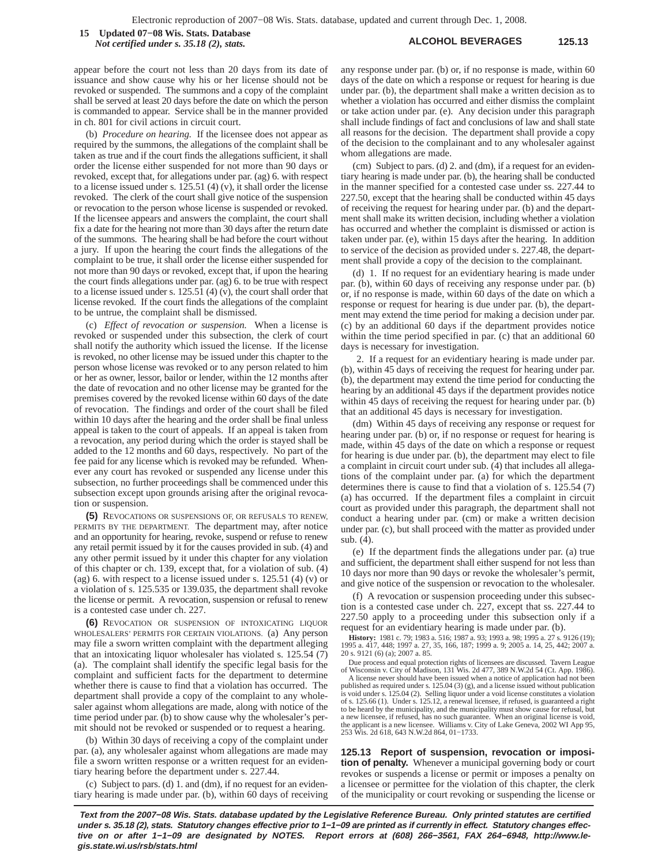**ALCOHOL BEVERAGES 125.13 15 Updated 07−08 Wis. Stats. Database** *Not certified under s. 35.18 (2), stats.*

appear before the court not less than 20 days from its date of issuance and show cause why his or her license should not be revoked or suspended. The summons and a copy of the complaint shall be served at least 20 days before the date on which the person is commanded to appear. Service shall be in the manner provided in ch. 801 for civil actions in circuit court.

(b) *Procedure on hearing.* If the licensee does not appear as required by the summons, the allegations of the complaint shall be taken as true and if the court finds the allegations sufficient, it shall order the license either suspended for not more than 90 days or revoked, except that, for allegations under par. (ag) 6. with respect to a license issued under s.  $125.51$  (4) (v), it shall order the license revoked. The clerk of the court shall give notice of the suspension or revocation to the person whose license is suspended or revoked. If the licensee appears and answers the complaint, the court shall fix a date for the hearing not more than 30 days after the return date of the summons. The hearing shall be had before the court without a jury. If upon the hearing the court finds the allegations of the complaint to be true, it shall order the license either suspended for not more than 90 days or revoked, except that, if upon the hearing the court finds allegations under par. (ag) 6. to be true with respect to a license issued under s. 125.51 (4) (v), the court shall order that license revoked. If the court finds the allegations of the complaint to be untrue, the complaint shall be dismissed.

(c) *Effect of revocation or suspension.* When a license is revoked or suspended under this subsection, the clerk of court shall notify the authority which issued the license. If the license is revoked, no other license may be issued under this chapter to the person whose license was revoked or to any person related to him or her as owner, lessor, bailor or lender, within the 12 months after the date of revocation and no other license may be granted for the premises covered by the revoked license within 60 days of the date of revocation. The findings and order of the court shall be filed within 10 days after the hearing and the order shall be final unless appeal is taken to the court of appeals. If an appeal is taken from a revocation, any period during which the order is stayed shall be added to the 12 months and 60 days, respectively. No part of the fee paid for any license which is revoked may be refunded. Whenever any court has revoked or suspended any license under this subsection, no further proceedings shall be commenced under this subsection except upon grounds arising after the original revocation or suspension.

**(5)** REVOCATIONS OR SUSPENSIONS OF, OR REFUSALS TO RENEW, PERMITS BY THE DEPARTMENT. The department may, after notice and an opportunity for hearing, revoke, suspend or refuse to renew any retail permit issued by it for the causes provided in sub. (4) and any other permit issued by it under this chapter for any violation of this chapter or ch. 139, except that, for a violation of sub. (4) (ag) 6. with respect to a license issued under s.  $125.51$  (4) (v) or a violation of s. 125.535 or 139.035, the department shall revoke the license or permit. A revocation, suspension or refusal to renew is a contested case under ch. 227.

**(6)** REVOCATION OR SUSPENSION OF INTOXICATING LIQUOR WHOLESALERS' PERMITS FOR CERTAIN VIOLATIONS. (a) Any person may file a sworn written complaint with the department alleging that an intoxicating liquor wholesaler has violated s. 125.54 (7) (a). The complaint shall identify the specific legal basis for the complaint and sufficient facts for the department to determine whether there is cause to find that a violation has occurred. The department shall provide a copy of the complaint to any wholesaler against whom allegations are made, along with notice of the time period under par. (b) to show cause why the wholesaler's permit should not be revoked or suspended or to request a hearing.

(b) Within 30 days of receiving a copy of the complaint under par. (a), any wholesaler against whom allegations are made may file a sworn written response or a written request for an evidentiary hearing before the department under s. 227.44.

(c) Subject to pars. (d) 1. and (dm), if no request for an evidentiary hearing is made under par. (b), within 60 days of receiving any response under par. (b) or, if no response is made, within 60 days of the date on which a response or request for hearing is due under par. (b), the department shall make a written decision as to whether a violation has occurred and either dismiss the complaint or take action under par. (e). Any decision under this paragraph shall include findings of fact and conclusions of law and shall state all reasons for the decision. The department shall provide a copy of the decision to the complainant and to any wholesaler against whom allegations are made.

(cm) Subject to pars. (d) 2. and (dm), if a request for an evidentiary hearing is made under par. (b), the hearing shall be conducted in the manner specified for a contested case under ss. 227.44 to 227.50, except that the hearing shall be conducted within 45 days of receiving the request for hearing under par. (b) and the department shall make its written decision, including whether a violation has occurred and whether the complaint is dismissed or action is taken under par. (e), within 15 days after the hearing. In addition to service of the decision as provided under s. 227.48, the department shall provide a copy of the decision to the complainant.

(d) 1. If no request for an evidentiary hearing is made under par. (b), within 60 days of receiving any response under par. (b) or, if no response is made, within 60 days of the date on which a response or request for hearing is due under par. (b), the department may extend the time period for making a decision under par. (c) by an additional 60 days if the department provides notice within the time period specified in par. (c) that an additional 60 days is necessary for investigation.

2. If a request for an evidentiary hearing is made under par. (b), within 45 days of receiving the request for hearing under par. (b), the department may extend the time period for conducting the hearing by an additional 45 days if the department provides notice within 45 days of receiving the request for hearing under par. (b) that an additional 45 days is necessary for investigation.

(dm) Within 45 days of receiving any response or request for hearing under par. (b) or, if no response or request for hearing is made, within 45 days of the date on which a response or request for hearing is due under par. (b), the department may elect to file a complaint in circuit court under sub. (4) that includes all allegations of the complaint under par. (a) for which the department determines there is cause to find that a violation of s. 125.54 (7) (a) has occurred. If the department files a complaint in circuit court as provided under this paragraph, the department shall not conduct a hearing under par. (cm) or make a written decision under par. (c), but shall proceed with the matter as provided under sub. (4).

(e) If the department finds the allegations under par. (a) true and sufficient, the department shall either suspend for not less than 10 days nor more than 90 days or revoke the wholesaler's permit, and give notice of the suspension or revocation to the wholesaler.

(f) A revocation or suspension proceeding under this subsection is a contested case under ch. 227, except that ss. 227.44 to 227.50 apply to a proceeding under this subsection only if a request for an evidentiary hearing is made under par. (b).

**History:** 1981 c. 79; 1983 a. 516; 1987 a. 93; 1993 a. 98; 1995 a. 27 s. 9126 (19); 1995 a. 417, 448; 1997 a. 27, 35, 166, 187; 1999 a. 9; 2005 a. 14, 25, 442; 2007 a. 20 s. 9121 (6) (a); 2007 a. 85.

Due process and equal protection rights of licensees are discussed. Tavern League<br>of Wisconsin v. City of Madison, 131 Wis. 2d 477, 389 N.W.2d 54 (Ct. App. 1986).<br>A license never should have been issued when a notice of ap

is void under s. 125.04 (2). Selling liquor under a void license constitutes a violation of s. 125.66 (1). Under s. 125.12, a renewal licensee, if refused, is guaranteed a right to be heard by the municipality, and the municipality must show cause for refusal, but a new licensee, if refused, has no such guarantee. When an original license is void, the applicant is a new licensee. Williams v. City of Lake Geneva, 2002 WI App 95, 253 Wis. 2d 618, 643 N.W.2d 864, 01−1733.

**125.13 Report of suspension, revocation or imposition of penalty.** Whenever a municipal governing body or court revokes or suspends a license or permit or imposes a penalty on a licensee or permittee for the violation of this chapter, the clerk of the municipality or court revoking or suspending the license or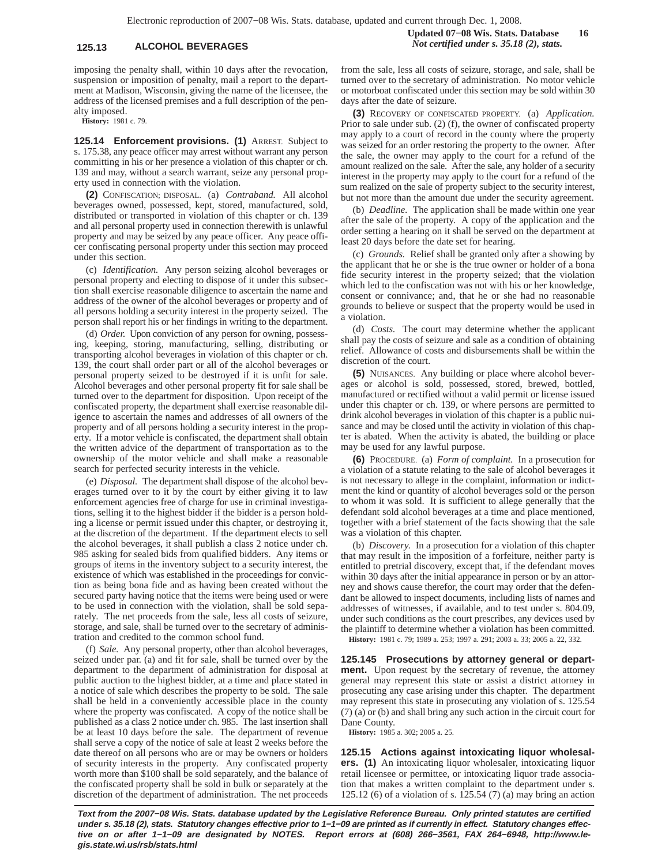**Updated 07−08 Wis. Stats. Database 16 125.13 ALCOHOL BEVERAGES** *Not certified under s. 35.18 (2), stats.*

imposing the penalty shall, within 10 days after the revocation, suspension or imposition of penalty, mail a report to the department at Madison, Wisconsin, giving the name of the licensee, the address of the licensed premises and a full description of the penalty imposed.

**History:** 1981 c. 79.

**125.14 Enforcement provisions. (1)** ARREST. Subject to s. 175.38, any peace officer may arrest without warrant any person committing in his or her presence a violation of this chapter or ch. 139 and may, without a search warrant, seize any personal property used in connection with the violation.

**(2)** CONFISCATION; DISPOSAL. (a) *Contraband.* All alcohol beverages owned, possessed, kept, stored, manufactured, sold, distributed or transported in violation of this chapter or ch. 139 and all personal property used in connection therewith is unlawful property and may be seized by any peace officer. Any peace officer confiscating personal property under this section may proceed under this section.

(c) *Identification.* Any person seizing alcohol beverages or personal property and electing to dispose of it under this subsection shall exercise reasonable diligence to ascertain the name and address of the owner of the alcohol beverages or property and of all persons holding a security interest in the property seized. The person shall report his or her findings in writing to the department.

(d) *Order.* Upon conviction of any person for owning, possessing, keeping, storing, manufacturing, selling, distributing or transporting alcohol beverages in violation of this chapter or ch. 139, the court shall order part or all of the alcohol beverages or personal property seized to be destroyed if it is unfit for sale. Alcohol beverages and other personal property fit for sale shall be turned over to the department for disposition. Upon receipt of the confiscated property, the department shall exercise reasonable diligence to ascertain the names and addresses of all owners of the property and of all persons holding a security interest in the property. If a motor vehicle is confiscated, the department shall obtain the written advice of the department of transportation as to the ownership of the motor vehicle and shall make a reasonable search for perfected security interests in the vehicle.

(e) *Disposal.* The department shall dispose of the alcohol beverages turned over to it by the court by either giving it to law enforcement agencies free of charge for use in criminal investigations, selling it to the highest bidder if the bidder is a person holding a license or permit issued under this chapter, or destroying it, at the discretion of the department. If the department elects to sell the alcohol beverages, it shall publish a class 2 notice under ch. 985 asking for sealed bids from qualified bidders. Any items or groups of items in the inventory subject to a security interest, the existence of which was established in the proceedings for conviction as being bona fide and as having been created without the secured party having notice that the items were being used or were to be used in connection with the violation, shall be sold separately. The net proceeds from the sale, less all costs of seizure, storage, and sale, shall be turned over to the secretary of administration and credited to the common school fund.

(f) *Sale.* Any personal property, other than alcohol beverages, seized under par. (a) and fit for sale, shall be turned over by the department to the department of administration for disposal at public auction to the highest bidder, at a time and place stated in a notice of sale which describes the property to be sold. The sale shall be held in a conveniently accessible place in the county where the property was confiscated. A copy of the notice shall be published as a class 2 notice under ch. 985. The last insertion shall be at least 10 days before the sale. The department of revenue shall serve a copy of the notice of sale at least 2 weeks before the date thereof on all persons who are or may be owners or holders of security interests in the property. Any confiscated property worth more than \$100 shall be sold separately, and the balance of the confiscated property shall be sold in bulk or separately at the discretion of the department of administration. The net proceeds

from the sale, less all costs of seizure, storage, and sale, shall be turned over to the secretary of administration. No motor vehicle or motorboat confiscated under this section may be sold within 30 days after the date of seizure.

**(3)** RECOVERY OF CONFISCATED PROPERTY. (a) *Application.* Prior to sale under sub. (2) (f), the owner of confiscated property may apply to a court of record in the county where the property was seized for an order restoring the property to the owner. After the sale, the owner may apply to the court for a refund of the amount realized on the sale. After the sale, any holder of a security interest in the property may apply to the court for a refund of the sum realized on the sale of property subject to the security interest, but not more than the amount due under the security agreement.

(b) *Deadline.* The application shall be made within one year after the sale of the property. A copy of the application and the order setting a hearing on it shall be served on the department at least 20 days before the date set for hearing.

(c) *Grounds.* Relief shall be granted only after a showing by the applicant that he or she is the true owner or holder of a bona fide security interest in the property seized; that the violation which led to the confiscation was not with his or her knowledge, consent or connivance; and, that he or she had no reasonable grounds to believe or suspect that the property would be used in a violation.

(d) *Costs.* The court may determine whether the applicant shall pay the costs of seizure and sale as a condition of obtaining relief. Allowance of costs and disbursements shall be within the discretion of the court.

**5)** NUISANCES. Any building or place where alcohol beverages or alcohol is sold, possessed, stored, brewed, bottled, manufactured or rectified without a valid permit or license issued under this chapter or ch. 139, or where persons are permitted to drink alcohol beverages in violation of this chapter is a public nuisance and may be closed until the activity in violation of this chapter is abated. When the activity is abated, the building or place may be used for any lawful purpose.

**(6)** PROCEDURE. (a) *Form of complaint.* In a prosecution for a violation of a statute relating to the sale of alcohol beverages it is not necessary to allege in the complaint, information or indictment the kind or quantity of alcohol beverages sold or the person to whom it was sold. It is sufficient to allege generally that the defendant sold alcohol beverages at a time and place mentioned, together with a brief statement of the facts showing that the sale was a violation of this chapter.

(b) *Discovery.* In a prosecution for a violation of this chapter that may result in the imposition of a forfeiture, neither party is entitled to pretrial discovery, except that, if the defendant moves within 30 days after the initial appearance in person or by an attorney and shows cause therefor, the court may order that the defendant be allowed to inspect documents, including lists of names and addresses of witnesses, if available, and to test under s. 804.09, under such conditions as the court prescribes, any devices used by the plaintiff to determine whether a violation has been committed.

**History:** 1981 c. 79; 1989 a. 253; 1997 a. 291; 2003 a. 33; 2005 a. 22, 332.

**125.145 Prosecutions by attorney general or department.** Upon request by the secretary of revenue, the attorney general may represent this state or assist a district attorney in prosecuting any case arising under this chapter. The department may represent this state in prosecuting any violation of s. 125.54 (7) (a) or (b) and shall bring any such action in the circuit court for Dane County.

**History:** 1985 a. 302; 2005 a. 25.

**125.15 Actions against intoxicating liquor wholesalers. (1)** An intoxicating liquor wholesaler, intoxicating liquor retail licensee or permittee, or intoxicating liquor trade association that makes a written complaint to the department under s. 125.12 (6) of a violation of s. 125.54 (7) (a) may bring an action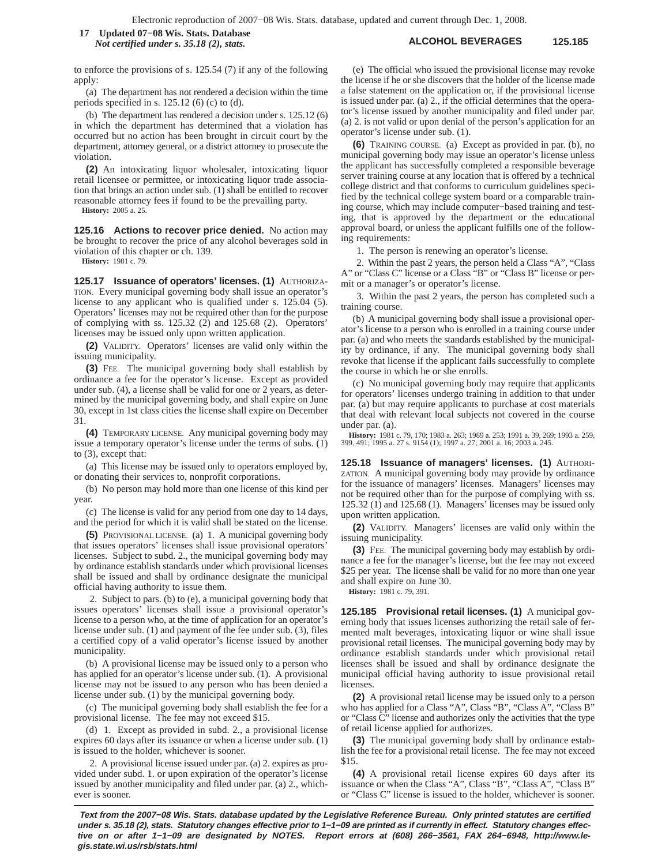## **ALCOHOL BEVERAGES 125.185 17 Updated 07−08 Wis. Stats. Database** *Not certified under s. 35.18 (2), stats.*

to enforce the provisions of s. 125.54 (7) if any of the following apply:

(a) The department has not rendered a decision within the time periods specified in s. 125.12 (6) (c) to (d).

(b) The department has rendered a decision under s. 125.12 (6) in which the department has determined that a violation has occurred but no action has been brought in circuit court by the department, attorney general, or a district attorney to prosecute the violation.

**(2)** An intoxicating liquor wholesaler, intoxicating liquor retail licensee or permittee, or intoxicating liquor trade association that brings an action under sub. (1) shall be entitled to recover reasonable attorney fees if found to be the prevailing party.

**History:** 2005 a. 25.

**125.16 Actions to recover price denied.** No action may be brought to recover the price of any alcohol beverages sold in violation of this chapter or ch. 139.

**History:** 1981 c. 79.

**125.17 Issuance of operators' licenses. (1)** AUTHORIZA-TION. Every municipal governing body shall issue an operator's license to any applicant who is qualified under s. 125.04 (5). Operators' licenses may not be required other than for the purpose of complying with ss. 125.32 (2) and 125.68 (2). Operators' licenses may be issued only upon written application.

**(2)** VALIDITY. Operators' licenses are valid only within the issuing municipality.

**(3)** FEE. The municipal governing body shall establish by ordinance a fee for the operator's license. Except as provided under sub. (4), a license shall be valid for one or 2 years, as determined by the municipal governing body, and shall expire on June 30, except in 1st class cities the license shall expire on December 31.

**(4)** TEMPORARY LICENSE. Any municipal governing body may issue a temporary operator's license under the terms of subs. (1) to (3), except that:

(a) This license may be issued only to operators employed by, or donating their services to, nonprofit corporations.

(b) No person may hold more than one license of this kind per year

(c) The license is valid for any period from one day to 14 days, and the period for which it is valid shall be stated on the license.

**(5)** PROVISIONAL LICENSE. (a) 1. A municipal governing body that issues operators' licenses shall issue provisional operators' licenses. Subject to subd. 2., the municipal governing body may by ordinance establish standards under which provisional licenses shall be issued and shall by ordinance designate the municipal official having authority to issue them.

2. Subject to pars. (b) to (e), a municipal governing body that issues operators' licenses shall issue a provisional operator's license to a person who, at the time of application for an operator's license under sub. (1) and payment of the fee under sub. (3), files a certified copy of a valid operator's license issued by another municipality.

(b) A provisional license may be issued only to a person who has applied for an operator's license under sub. (1). A provisional license may not be issued to any person who has been denied a license under sub. (1) by the municipal governing body.

(c) The municipal governing body shall establish the fee for a provisional license. The fee may not exceed \$15.

(d) 1. Except as provided in subd. 2., a provisional license expires 60 days after its issuance or when a license under sub. (1) is issued to the holder, whichever is sooner.

2. A provisional license issued under par. (a) 2. expires as provided under subd. 1. or upon expiration of the operator's license issued by another municipality and filed under par. (a) 2., whichever is sooner.

(e) The official who issued the provisional license may revoke the license if he or she discovers that the holder of the license made a false statement on the application or, if the provisional license is issued under par. (a) 2., if the official determines that the operator's license issued by another municipality and filed under par. (a) 2. is not valid or upon denial of the person's application for an operator's license under sub. (1).

**(6)** TRAINING COURSE. (a) Except as provided in par. (b), no municipal governing body may issue an operator's license unless the applicant has successfully completed a responsible beverage server training course at any location that is offered by a technical college district and that conforms to curriculum guidelines specified by the technical college system board or a comparable training course, which may include computer−based training and testing, that is approved by the department or the educational approval board, or unless the applicant fulfills one of the following requirements:

1. The person is renewing an operator's license.

2. Within the past 2 years, the person held a Class "A", "Class A" or "Class C" license or a Class "B" or "Class B" license or permit or a manager's or operator's license.

3. Within the past 2 years, the person has completed such a training course.

(b) A municipal governing body shall issue a provisional operator's license to a person who is enrolled in a training course under par. (a) and who meets the standards established by the municipality by ordinance, if any. The municipal governing body shall revoke that license if the applicant fails successfully to complete the course in which he or she enrolls.

(c) No municipal governing body may require that applicants for operators' licenses undergo training in addition to that under par. (a) but may require applicants to purchase at cost materials that deal with relevant local subjects not covered in the course under par. (a).

**History:** 1981 c. 79, 170; 1983 a. 263; 1989 a. 253; 1991 a. 39, 269; 1993 a. 259, 399, 491; 1995 a. 27 s. 9154 (1); 1997 a. 27; 2001 a. 16; 2003 a. 245.

**125.18 Issuance of managers' licenses. (1)** AUTHORI-ZATION. A municipal governing body may provide by ordinance for the issuance of managers' licenses. Managers' licenses may not be required other than for the purpose of complying with ss. 125.32 (1) and 125.68 (1). Managers' licenses may be issued only upon written application.

**(2)** VALIDITY. Managers' licenses are valid only within the issuing municipality.

**(3)** FEE. The municipal governing body may establish by ordinance a fee for the manager's license, but the fee may not exceed \$25 per year. The license shall be valid for no more than one year and shall expire on June 30.

**History:** 1981 c. 79, 391.

**125.185 Provisional retail licenses. (1)** A municipal governing body that issues licenses authorizing the retail sale of fermented malt beverages, intoxicating liquor or wine shall issue provisional retail licenses. The municipal governing body may by ordinance establish standards under which provisional retail licenses shall be issued and shall by ordinance designate the municipal official having authority to issue provisional retail licenses

**(2)** A provisional retail license may be issued only to a person who has applied for a Class "A", Class "B", "Class A", "Class B" or "Class  $\tilde{C}$ " license and authorizes only the activities that the type of retail license applied for authorizes.

**(3)** The municipal governing body shall by ordinance establish the fee for a provisional retail license. The fee may not exceed \$15.

**(4)** A provisional retail license expires 60 days after its issuance or when the Class "A", Class "B", "Class A", "Class B" or "Class C" license is issued to the holder, whichever is sooner.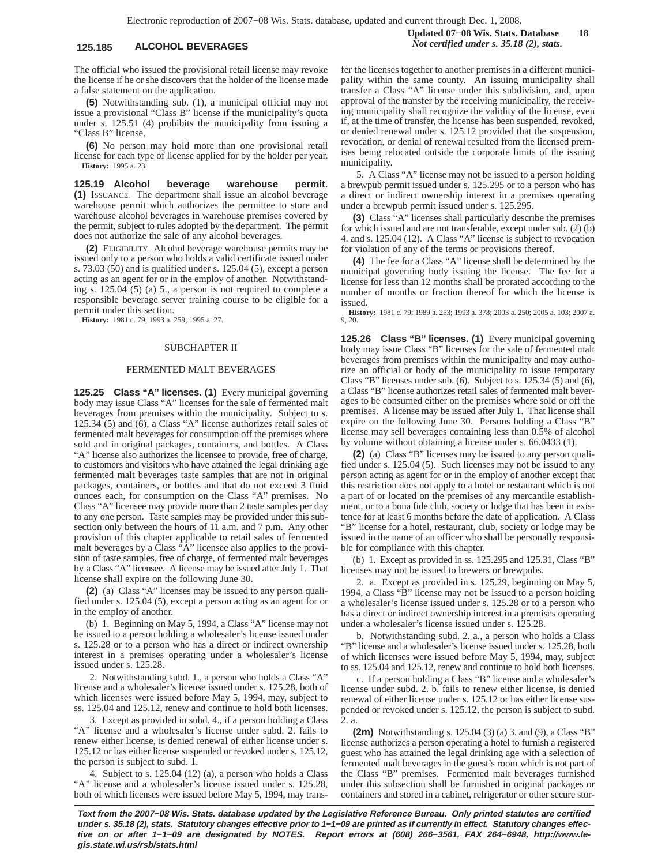The official who issued the provisional retail license may revoke the license if he or she discovers that the holder of the license made a false statement on the application.

**(5)** Notwithstanding sub. (1), a municipal official may not issue a provisional "Class B" license if the municipality's quota under s. 125.51 (4) prohibits the municipality from issuing a "Class B" license.

**(6)** No person may hold more than one provisional retail license for each type of license applied for by the holder per year. **History:** 1995 a. 23.

**125.19 Alcohol beverage warehouse permit. (1)** ISSUANCE. The department shall issue an alcohol beverage warehouse permit which authorizes the permittee to store and warehouse alcohol beverages in warehouse premises covered by the permit, subject to rules adopted by the department. The permit does not authorize the sale of any alcohol beverages.

**(2)** ELIGIBILITY. Alcohol beverage warehouse permits may be issued only to a person who holds a valid certificate issued under s. 73.03 (50) and is qualified under s. 125.04 (5), except a person acting as an agent for or in the employ of another. Notwithstanding s. 125.04 (5) (a) 5., a person is not required to complete a responsible beverage server training course to be eligible for a permit under this section.

**History:** 1981 c. 79; 1993 a. 259; 1995 a. 27.

### SUBCHAPTER II

### FERMENTED MALT BEVERAGES

**125.25 Class "A" licenses. (1)** Every municipal governing body may issue Class "A" licenses for the sale of fermented malt beverages from premises within the municipality. Subject to s. 125.34 (5) and (6), a Class "A" license authorizes retail sales of fermented malt beverages for consumption off the premises where sold and in original packages, containers, and bottles. A Class "A" license also authorizes the licensee to provide, free of charge, to customers and visitors who have attained the legal drinking age fermented malt beverages taste samples that are not in original packages, containers, or bottles and that do not exceed 3 fluid ounces each, for consumption on the Class "A" premises. No Class "A" licensee may provide more than 2 taste samples per day to any one person. Taste samples may be provided under this subsection only between the hours of 11 a.m. and 7 p.m. Any other provision of this chapter applicable to retail sales of fermented malt beverages by a Class "A" licensee also applies to the provision of taste samples, free of charge, of fermented malt beverages by a Class "A" licensee. A license may be issued after July 1. That license shall expire on the following June 30.

**(2)** (a) Class "A" licenses may be issued to any person qualified under s. 125.04 (5), except a person acting as an agent for or in the employ of another.

(b) 1. Beginning on May 5, 1994, a Class "A" license may not be issued to a person holding a wholesaler's license issued under s. 125.28 or to a person who has a direct or indirect ownership interest in a premises operating under a wholesaler's license issued under s. 125.28.

2. Notwithstanding subd. 1., a person who holds a Class "A" license and a wholesaler's license issued under s. 125.28, both of which licenses were issued before May 5, 1994, may, subject to ss. 125.04 and 125.12, renew and continue to hold both licenses.

3. Except as provided in subd. 4., if a person holding a Class "A" license and a wholesaler's license under subd. 2. fails to renew either license, is denied renewal of either license under s. 125.12 or has either license suspended or revoked under s. 125.12, the person is subject to subd. 1.

4. Subject to s. 125.04 (12) (a), a person who holds a Class "A" license and a wholesaler's license issued under s. 125.28, both of which licenses were issued before May 5, 1994, may transfer the licenses together to another premises in a different municipality within the same county. An issuing municipality shall transfer a Class "A" license under this subdivision, and, upon approval of the transfer by the receiving municipality, the receiving municipality shall recognize the validity of the license, even if, at the time of transfer, the license has been suspended, revoked, or denied renewal under s. 125.12 provided that the suspension, revocation, or denial of renewal resulted from the licensed premises being relocated outside the corporate limits of the issuing municipality.

5. A Class "A" license may not be issued to a person holding a brewpub permit issued under s. 125.295 or to a person who has a direct or indirect ownership interest in a premises operating under a brewpub permit issued under s. 125.295.

**(3)** Class "A" licenses shall particularly describe the premises for which issued and are not transferable, except under sub. (2) (b) 4. and s. 125.04 (12). A Class "A" license is subject to revocation for violation of any of the terms or provisions thereof.

**(4)** The fee for a Class "A" license shall be determined by the municipal governing body issuing the license. The fee for a license for less than 12 months shall be prorated according to the number of months or fraction thereof for which the license is issued.

**History:** 1981 c. 79; 1989 a. 253; 1993 a. 378; 2003 a. 250; 2005 a. 103; 2007 a. 9, 20.

**125.26 Class "B" licenses. (1)** Every municipal governing body may issue Class "B" licenses for the sale of fermented malt beverages from premises within the municipality and may authorize an official or body of the municipality to issue temporary Class "B" licenses under sub. (6). Subject to s. 125.34 (5) and (6), a Class "B" license authorizes retail sales of fermented malt beverages to be consumed either on the premises where sold or off the premises. A license may be issued after July 1. That license shall expire on the following June 30. Persons holding a Class "B" license may sell beverages containing less than 0.5% of alcohol by volume without obtaining a license under s. 66.0433 (1).

**(2)** (a) Class "B" licenses may be issued to any person qualified under s. 125.04 (5). Such licenses may not be issued to any person acting as agent for or in the employ of another except that this restriction does not apply to a hotel or restaurant which is not a part of or located on the premises of any mercantile establishment, or to a bona fide club, society or lodge that has been in existence for at least 6 months before the date of application. A Class "B" license for a hotel, restaurant, club, society or lodge may be issued in the name of an officer who shall be personally responsible for compliance with this chapter.

(b) 1. Except as provided in ss. 125.295 and 125.31, Class "B" licenses may not be issued to brewers or brewpubs.

2. a. Except as provided in s. 125.29, beginning on May 5, 1994, a Class "B" license may not be issued to a person holding a wholesaler's license issued under s. 125.28 or to a person who has a direct or indirect ownership interest in a premises operating under a wholesaler's license issued under s. 125.28.

b. Notwithstanding subd. 2. a., a person who holds a Class "B" license and a wholesaler's license issued under s. 125.28, both of which licenses were issued before May 5, 1994, may, subject to ss. 125.04 and 125.12, renew and continue to hold both licenses.

c. If a person holding a Class "B" license and a wholesaler's license under subd. 2. b. fails to renew either license, is denied renewal of either license under s. 125.12 or has either license suspended or revoked under s. 125.12, the person is subject to subd. 2. a.

**(2m)** Notwithstanding s. 125.04 (3) (a) 3. and (9), a Class "B" license authorizes a person operating a hotel to furnish a registered guest who has attained the legal drinking age with a selection of fermented malt beverages in the guest's room which is not part of the Class "B" premises. Fermented malt beverages furnished under this subsection shall be furnished in original packages or containers and stored in a cabinet, refrigerator or other secure stor-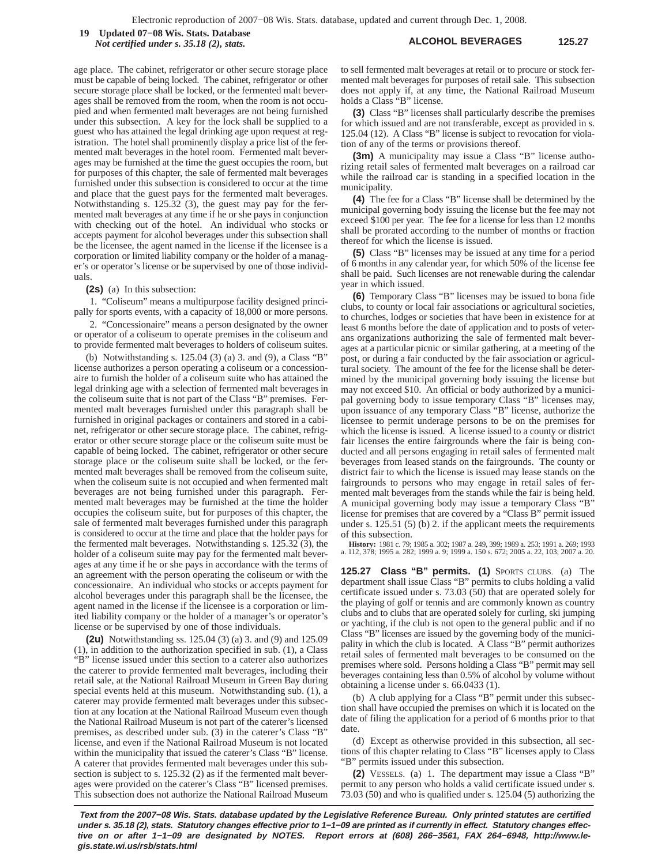**ALCOHOL BEVERAGES 125.27 19 Updated 07−08 Wis. Stats. Database** *Not certified under s. 35.18 (2), stats.*

age place. The cabinet, refrigerator or other secure storage place must be capable of being locked. The cabinet, refrigerator or other secure storage place shall be locked, or the fermented malt beverages shall be removed from the room, when the room is not occupied and when fermented malt beverages are not being furnished under this subsection. A key for the lock shall be supplied to a guest who has attained the legal drinking age upon request at registration. The hotel shall prominently display a price list of the fermented malt beverages in the hotel room. Fermented malt beverages may be furnished at the time the guest occupies the room, but for purposes of this chapter, the sale of fermented malt beverages furnished under this subsection is considered to occur at the time and place that the guest pays for the fermented malt beverages. Notwithstanding s. 125.32 (3), the guest may pay for the fermented malt beverages at any time if he or she pays in conjunction with checking out of the hotel. An individual who stocks or accepts payment for alcohol beverages under this subsection shall be the licensee, the agent named in the license if the licensee is a corporation or limited liability company or the holder of a manager's or operator's license or be supervised by one of those individuals.

### **(2s)** (a) In this subsection:

1. "Coliseum" means a multipurpose facility designed principally for sports events, with a capacity of 18,000 or more persons.

2. "Concessionaire" means a person designated by the owner or operator of a coliseum to operate premises in the coliseum and to provide fermented malt beverages to holders of coliseum suites.

(b) Notwithstanding s. 125.04 (3) (a) 3. and (9), a Class "B" license authorizes a person operating a coliseum or a concessionaire to furnish the holder of a coliseum suite who has attained the legal drinking age with a selection of fermented malt beverages in the coliseum suite that is not part of the Class "B" premises. Fermented malt beverages furnished under this paragraph shall be furnished in original packages or containers and stored in a cabinet, refrigerator or other secure storage place. The cabinet, refrigerator or other secure storage place or the coliseum suite must be capable of being locked. The cabinet, refrigerator or other secure storage place or the coliseum suite shall be locked, or the fermented malt beverages shall be removed from the coliseum suite, when the coliseum suite is not occupied and when fermented malt beverages are not being furnished under this paragraph. Fermented malt beverages may be furnished at the time the holder occupies the coliseum suite, but for purposes of this chapter, the sale of fermented malt beverages furnished under this paragraph is considered to occur at the time and place that the holder pays for the fermented malt beverages. Notwithstanding s. 125.32 (3), the holder of a coliseum suite may pay for the fermented malt beverages at any time if he or she pays in accordance with the terms of an agreement with the person operating the coliseum or with the concessionaire. An individual who stocks or accepts payment for alcohol beverages under this paragraph shall be the licensee, the agent named in the license if the licensee is a corporation or limited liability company or the holder of a manager's or operator's license or be supervised by one of those individuals.

**(2u)** Notwithstanding ss. 125.04 (3) (a) 3. and (9) and 125.09 (1), in addition to the authorization specified in sub. (1), a Class "B" license issued under this section to a caterer also authorizes the caterer to provide fermented malt beverages, including their retail sale, at the National Railroad Museum in Green Bay during special events held at this museum. Notwithstanding sub. (1), a caterer may provide fermented malt beverages under this subsection at any location at the National Railroad Museum even though the National Railroad Museum is not part of the caterer's licensed premises, as described under sub. (3) in the caterer's Class "B" license, and even if the National Railroad Museum is not located within the municipality that issued the caterer's Class "B" license. A caterer that provides fermented malt beverages under this subsection is subject to s. 125.32 (2) as if the fermented malt beverages were provided on the caterer's Class "B" licensed premises. This subsection does not authorize the National Railroad Museum to sell fermented malt beverages at retail or to procure or stock fermented malt beverages for purposes of retail sale. This subsection does not apply if, at any time, the National Railroad Museum holds a Class "B" license.

**(3)** Class "B" licenses shall particularly describe the premises for which issued and are not transferable, except as provided in s. 125.04 (12). A Class "B" license is subject to revocation for violation of any of the terms or provisions thereof.

**(3m)** A municipality may issue a Class "B" license authorizing retail sales of fermented malt beverages on a railroad car while the railroad car is standing in a specified location in the municipality.

**(4)** The fee for a Class "B" license shall be determined by the municipal governing body issuing the license but the fee may not exceed \$100 per year. The fee for a license for less than 12 months shall be prorated according to the number of months or fraction thereof for which the license is issued.

**(5)** Class "B" licenses may be issued at any time for a period of 6 months in any calendar year, for which 50% of the license fee shall be paid. Such licenses are not renewable during the calendar year in which issued.

**(6)** Temporary Class "B" licenses may be issued to bona fide clubs, to county or local fair associations or agricultural societies, to churches, lodges or societies that have been in existence for at least 6 months before the date of application and to posts of veterans organizations authorizing the sale of fermented malt beverages at a particular picnic or similar gathering, at a meeting of the post, or during a fair conducted by the fair association or agricultural society. The amount of the fee for the license shall be determined by the municipal governing body issuing the license but may not exceed \$10. An official or body authorized by a municipal governing body to issue temporary Class "B" licenses may, upon issuance of any temporary Class "B" license, authorize the licensee to permit underage persons to be on the premises for which the license is issued. A license issued to a county or district fair licenses the entire fairgrounds where the fair is being conducted and all persons engaging in retail sales of fermented malt beverages from leased stands on the fairgrounds. The county or district fair to which the license is issued may lease stands on the fairgrounds to persons who may engage in retail sales of fermented malt beverages from the stands while the fair is being held. A municipal governing body may issue a temporary Class "B" license for premises that are covered by a "Class B" permit issued under s. 125.51 (5) (b) 2. if the applicant meets the requirements of this subsection.

**History:** 1981 c. 79; 1985 a. 302; 1987 a. 249, 399; 1989 a. 253; 1991 a. 269; 1993 a. 112, 378; 1995 a. 282; 1999 a. 9; 1999 a. 150 s. 672; 2005 a. 22, 103; 2007 a. 20.

**125.27 Class "B" permits. (1)** SPORTS CLUBS. (a) The department shall issue Class "B" permits to clubs holding a valid certificate issued under s. 73.03 (50) that are operated solely for the playing of golf or tennis and are commonly known as country clubs and to clubs that are operated solely for curling, ski jumping or yachting, if the club is not open to the general public and if no Class "B" licenses are issued by the governing body of the municipality in which the club is located. A Class "B" permit authorizes retail sales of fermented malt beverages to be consumed on the premises where sold. Persons holding a Class "B" permit may sell beverages containing less than 0.5% of alcohol by volume without obtaining a license under s. 66.0433 (1).

(b) A club applying for a Class "B" permit under this subsection shall have occupied the premises on which it is located on the date of filing the application for a period of 6 months prior to that date.

(d) Except as otherwise provided in this subsection, all sections of this chapter relating to Class "B" licenses apply to Class "B" permits issued under this subsection.

**(2)** VESSELS. (a) 1. The department may issue a Class "B" permit to any person who holds a valid certificate issued under s. 73.03 (50) and who is qualified under s. 125.04 (5) authorizing the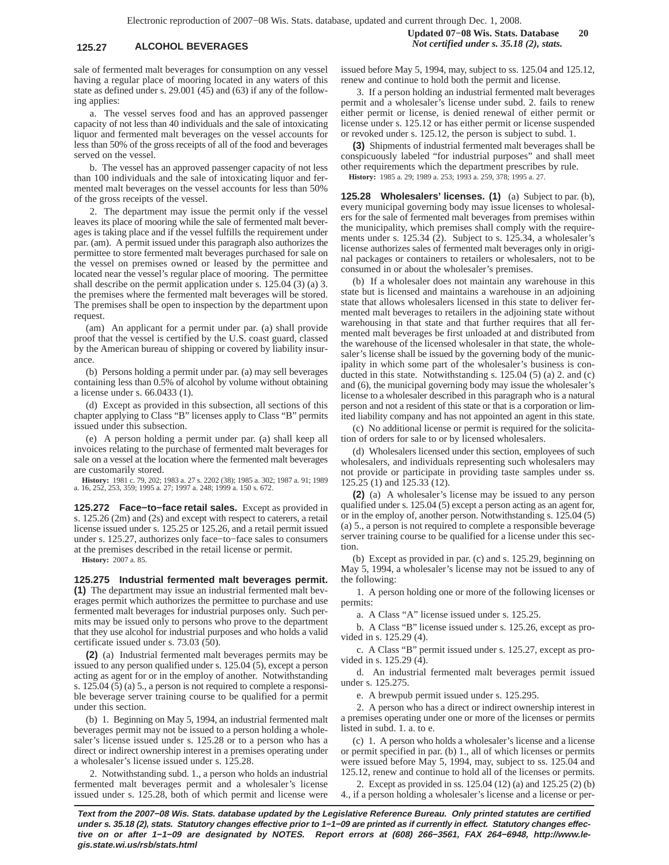sale of fermented malt beverages for consumption on any vessel having a regular place of mooring located in any waters of this state as defined under s. 29.001 (45) and (63) if any of the following applies:

a. The vessel serves food and has an approved passenger capacity of not less than 40 individuals and the sale of intoxicating liquor and fermented malt beverages on the vessel accounts for less than 50% of the gross receipts of all of the food and beverages served on the vessel.

b. The vessel has an approved passenger capacity of not less than 100 individuals and the sale of intoxicating liquor and fermented malt beverages on the vessel accounts for less than 50% of the gross receipts of the vessel.

2. The department may issue the permit only if the vessel leaves its place of mooring while the sale of fermented malt beverages is taking place and if the vessel fulfills the requirement under par. (am). A permit issued under this paragraph also authorizes the permittee to store fermented malt beverages purchased for sale on the vessel on premises owned or leased by the permittee and located near the vessel's regular place of mooring. The permittee shall describe on the permit application under s. 125.04 (3) (a) 3. the premises where the fermented malt beverages will be stored. The premises shall be open to inspection by the department upon request.

(am) An applicant for a permit under par. (a) shall provide proof that the vessel is certified by the U.S. coast guard, classed by the American bureau of shipping or covered by liability insurance.

(b) Persons holding a permit under par. (a) may sell beverages containing less than 0.5% of alcohol by volume without obtaining a license under s. 66.0433 (1).

(d) Except as provided in this subsection, all sections of this chapter applying to Class "B" licenses apply to Class "B" permits issued under this subsection.

(e) A person holding a permit under par. (a) shall keep all invoices relating to the purchase of fermented malt beverages for sale on a vessel at the location where the fermented malt beverages are customarily stored.

**History:** 1981 c. 79, 202; 1983 a. 27 s. 2202 (38); 1985 a. 302; 1987 a. 91; 1989 a. 16, 252, 253, 359; 1995 a. 27; 1997 a. 248; 1999 a. 150 s. 672.

**125.272 Face−to−face retail sales.** Except as provided in s. 125.26 (2m) and (2s) and except with respect to caterers, a retail license issued under s. 125.25 or 125.26, and a retail permit issued under s. 125.27, authorizes only face−to−face sales to consumers at the premises described in the retail license or permit.

**History:** 2007 a. 85.

**125.275 Industrial fermented malt beverages permit. (1)** The department may issue an industrial fermented malt beverages permit which authorizes the permittee to purchase and use fermented malt beverages for industrial purposes only. Such permits may be issued only to persons who prove to the department that they use alcohol for industrial purposes and who holds a valid certificate issued under s. 73.03 (50).

**(2)** (a) Industrial fermented malt beverages permits may be issued to any person qualified under s. 125.04 (5), except a person acting as agent for or in the employ of another. Notwithstanding s. 125.04 (5) (a) 5., a person is not required to complete a responsible beverage server training course to be qualified for a permit under this section.

(b) 1. Beginning on May 5, 1994, an industrial fermented malt beverages permit may not be issued to a person holding a wholesaler's license issued under s. 125.28 or to a person who has a direct or indirect ownership interest in a premises operating under a wholesaler's license issued under s. 125.28.

2. Notwithstanding subd. 1., a person who holds an industrial fermented malt beverages permit and a wholesaler's license issued under s. 125.28, both of which permit and license were issued before May 5, 1994, may, subject to ss. 125.04 and 125.12, renew and continue to hold both the permit and license.

3. If a person holding an industrial fermented malt beverages permit and a wholesaler's license under subd. 2. fails to renew either permit or license, is denied renewal of either permit or license under s. 125.12 or has either permit or license suspended or revoked under s. 125.12, the person is subject to subd. 1.

**(3)** Shipments of industrial fermented malt beverages shall be conspicuously labeled "for industrial purposes" and shall meet other requirements which the department prescribes by rule. **History:** 1985 a. 29; 1989 a. 253; 1993 a. 259, 378; 1995 a. 27.

**125.28 Wholesalers' licenses. (1)** (a) Subject to par. (b), every municipal governing body may issue licenses to wholesalers for the sale of fermented malt beverages from premises within the municipality, which premises shall comply with the requirements under s. 125.34 (2). Subject to s. 125.34, a wholesaler's license authorizes sales of fermented malt beverages only in original packages or containers to retailers or wholesalers, not to be consumed in or about the wholesaler's premises.

(b) If a wholesaler does not maintain any warehouse in this state but is licensed and maintains a warehouse in an adjoining state that allows wholesalers licensed in this state to deliver fermented malt beverages to retailers in the adjoining state without warehousing in that state and that further requires that all fermented malt beverages be first unloaded at and distributed from the warehouse of the licensed wholesaler in that state, the wholesaler's license shall be issued by the governing body of the municipality in which some part of the wholesaler's business is conducted in this state. Notwithstanding s. 125.04 (5) (a) 2. and (c) and (6), the municipal governing body may issue the wholesaler's license to a wholesaler described in this paragraph who is a natural person and not a resident of this state or that is a corporation or limited liability company and has not appointed an agent in this state.

(c) No additional license or permit is required for the solicitation of orders for sale to or by licensed wholesalers.

(d) Wholesalers licensed under this section, employees of such wholesalers, and individuals representing such wholesalers may not provide or participate in providing taste samples under ss. 125.25 (1) and 125.33 (12).

**(2)** (a) A wholesaler's license may be issued to any person qualified under s. 125.04 (5) except a person acting as an agent for, or in the employ of, another person. Notwithstanding s. 125.04 (5) (a) 5., a person is not required to complete a responsible beverage server training course to be qualified for a license under this section.

(b) Except as provided in par. (c) and s. 125.29, beginning on May 5, 1994, a wholesaler's license may not be issued to any of the following:

1. A person holding one or more of the following licenses or permits:

a. A Class "A" license issued under s. 125.25.

b. A Class "B" license issued under s. 125.26, except as provided in s. 125.29 (4).

c. A Class "B" permit issued under s. 125.27, except as provided in s.  $125.29$  (4).

d. An industrial fermented malt beverages permit issued under s. 125.275.

e. A brewpub permit issued under s. 125.295.

2. A person who has a direct or indirect ownership interest in a premises operating under one or more of the licenses or permits listed in subd. 1. a. to e.

(c) 1. A person who holds a wholesaler's license and a license or permit specified in par. (b) 1., all of which licenses or permits were issued before May 5, 1994, may, subject to ss. 125.04 and 125.12, renew and continue to hold all of the licenses or permits.

2. Except as provided in ss. 125.04 (12) (a) and 125.25 (2) (b) 4., if a person holding a wholesaler's license and a license or per-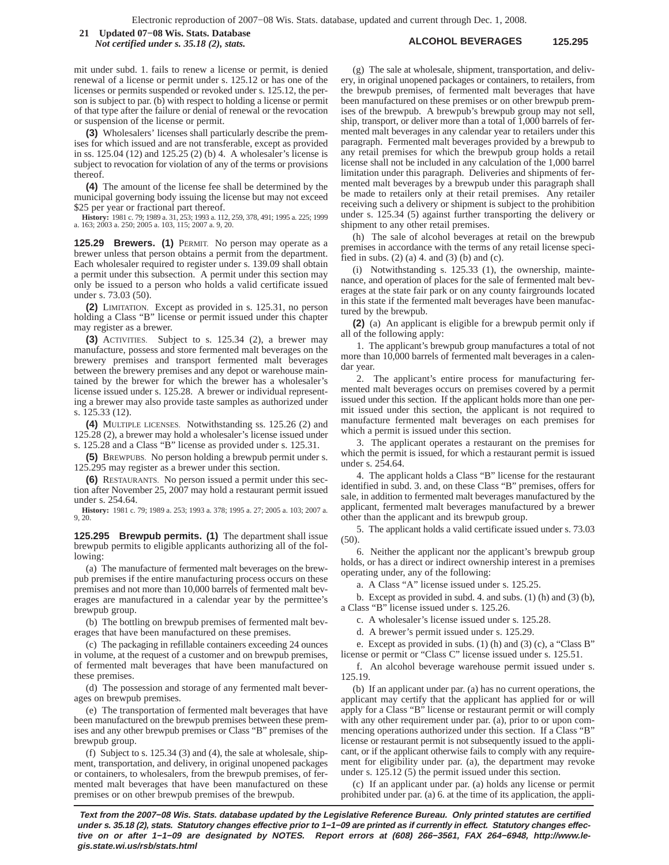**ALCOHOL BEVERAGES 125.295 21 Updated 07−08 Wis. Stats. Database** *Not certified under s. 35.18 (2), stats.*

mit under subd. 1. fails to renew a license or permit, is denied renewal of a license or permit under s. 125.12 or has one of the licenses or permits suspended or revoked under s. 125.12, the person is subject to par. (b) with respect to holding a license or permit of that type after the failure or denial of renewal or the revocation or suspension of the license or permit.

**(3)** Wholesalers' licenses shall particularly describe the premises for which issued and are not transferable, except as provided in ss. 125.04 (12) and 125.25 (2) (b) 4. A wholesaler's license is subject to revocation for violation of any of the terms or provisions thereof.

**(4)** The amount of the license fee shall be determined by the municipal governing body issuing the license but may not exceed \$25 per year or fractional part thereof.

**History:** 1981 c. 79; 1989 a. 31, 253; 1993 a. 112, 259, 378, 491; 1995 a. 225; 1999 a. 163; 2003 a. 250; 2005 a. 103, 115; 2007 a. 9, 20.

**125.29 Brewers. (1)** PERMIT. No person may operate as a brewer unless that person obtains a permit from the department. Each wholesaler required to register under s. 139.09 shall obtain a permit under this subsection. A permit under this section may only be issued to a person who holds a valid certificate issued under s. 73.03 (50).

**(2)** LIMITATION. Except as provided in s. 125.31, no person holding a Class "B" license or permit issued under this chapter may register as a brewer.

**(3)** ACTIVITIES. Subject to s. 125.34 (2), a brewer may manufacture, possess and store fermented malt beverages on the brewery premises and transport fermented malt beverages between the brewery premises and any depot or warehouse maintained by the brewer for which the brewer has a wholesaler's license issued under s. 125.28. A brewer or individual representing a brewer may also provide taste samples as authorized under s. 125.33 (12).

**(4)** MULTIPLE LICENSES. Notwithstanding ss. 125.26 (2) and 125.28 (2), a brewer may hold a wholesaler's license issued under s. 125.28 and a Class "B" license as provided under s. 125.31.

**(5)** BREWPUBS. No person holding a brewpub permit under s. 125.295 may register as a brewer under this section.

**(6)** RESTAURANTS. No person issued a permit under this section after November 25, 2007 may hold a restaurant permit issued under s. 254.64.

**History:** 1981 c. 79; 1989 a. 253; 1993 a. 378; 1995 a. 27; 2005 a. 103; 2007 a. 9, 20.

**125.295 Brewpub permits. (1)** The department shall issue brewpub permits to eligible applicants authorizing all of the following:

(a) The manufacture of fermented malt beverages on the brewpub premises if the entire manufacturing process occurs on these premises and not more than 10,000 barrels of fermented malt beverages are manufactured in a calendar year by the permittee's brewpub group.

(b) The bottling on brewpub premises of fermented malt beverages that have been manufactured on these premises.

(c) The packaging in refillable containers exceeding 24 ounces in volume, at the request of a customer and on brewpub premises, of fermented malt beverages that have been manufactured on these premises.

(d) The possession and storage of any fermented malt beverages on brewpub premises.

(e) The transportation of fermented malt beverages that have been manufactured on the brewpub premises between these premises and any other brewpub premises or Class "B" premises of the brewpub group.

(f) Subject to s.  $125.34$  (3) and (4), the sale at wholesale, shipment, transportation, and delivery, in original unopened packages or containers, to wholesalers, from the brewpub premises, of fermented malt beverages that have been manufactured on these premises or on other brewpub premises of the brewpub.

(g) The sale at wholesale, shipment, transportation, and delivery, in original unopened packages or containers, to retailers, from the brewpub premises, of fermented malt beverages that have been manufactured on these premises or on other brewpub premises of the brewpub. A brewpub's brewpub group may not sell, ship, transport, or deliver more than a total of 1,000 barrels of fermented malt beverages in any calendar year to retailers under this paragraph. Fermented malt beverages provided by a brewpub to any retail premises for which the brewpub group holds a retail license shall not be included in any calculation of the 1,000 barrel limitation under this paragraph. Deliveries and shipments of fermented malt beverages by a brewpub under this paragraph shall be made to retailers only at their retail premises. Any retailer receiving such a delivery or shipment is subject to the prohibition under s. 125.34 (5) against further transporting the delivery or shipment to any other retail premises.

(h) The sale of alcohol beverages at retail on the brewpub premises in accordance with the terms of any retail license specified in subs. (2) (a) 4. and (3) (b) and (c).

(i) Notwithstanding s. 125.33 (1), the ownership, maintenance, and operation of places for the sale of fermented malt beverages at the state fair park or on any county fairgrounds located in this state if the fermented malt beverages have been manufactured by the brewpub.

**(2)** (a) An applicant is eligible for a brewpub permit only if all of the following apply:

1. The applicant's brewpub group manufactures a total of not more than 10,000 barrels of fermented malt beverages in a calendar year.

2. The applicant's entire process for manufacturing fermented malt beverages occurs on premises covered by a permit issued under this section. If the applicant holds more than one permit issued under this section, the applicant is not required to manufacture fermented malt beverages on each premises for which a permit is issued under this section.

3. The applicant operates a restaurant on the premises for which the permit is issued, for which a restaurant permit is issued under s. 254.64.

4. The applicant holds a Class "B" license for the restaurant identified in subd. 3. and, on these Class "B" premises, offers for sale, in addition to fermented malt beverages manufactured by the applicant, fermented malt beverages manufactured by a brewer other than the applicant and its brewpub group.

5. The applicant holds a valid certificate issued under s. 73.03 (50).

6. Neither the applicant nor the applicant's brewpub group holds, or has a direct or indirect ownership interest in a premises operating under, any of the following:

a. A Class "A" license issued under s. 125.25.

b. Except as provided in subd. 4. and subs. (1) (h) and (3) (b), a Class "B" license issued under s. 125.26.

c. A wholesaler's license issued under s. 125.28.

d. A brewer's permit issued under s. 125.29.

e. Except as provided in subs. (1) (h) and (3) (c), a "Class B" license or permit or "Class C" license issued under s. 125.51.

f. An alcohol beverage warehouse permit issued under s. 125.19.

(b) If an applicant under par. (a) has no current operations, the applicant may certify that the applicant has applied for or will apply for a Class "B" license or restaurant permit or will comply with any other requirement under par. (a), prior to or upon commencing operations authorized under this section. If a Class "B" license or restaurant permit is not subsequently issued to the applicant, or if the applicant otherwise fails to comply with any requirement for eligibility under par. (a), the department may revoke under s. 125.12 (5) the permit issued under this section.

(c) If an applicant under par. (a) holds any license or permit prohibited under par. (a) 6. at the time of its application, the appli-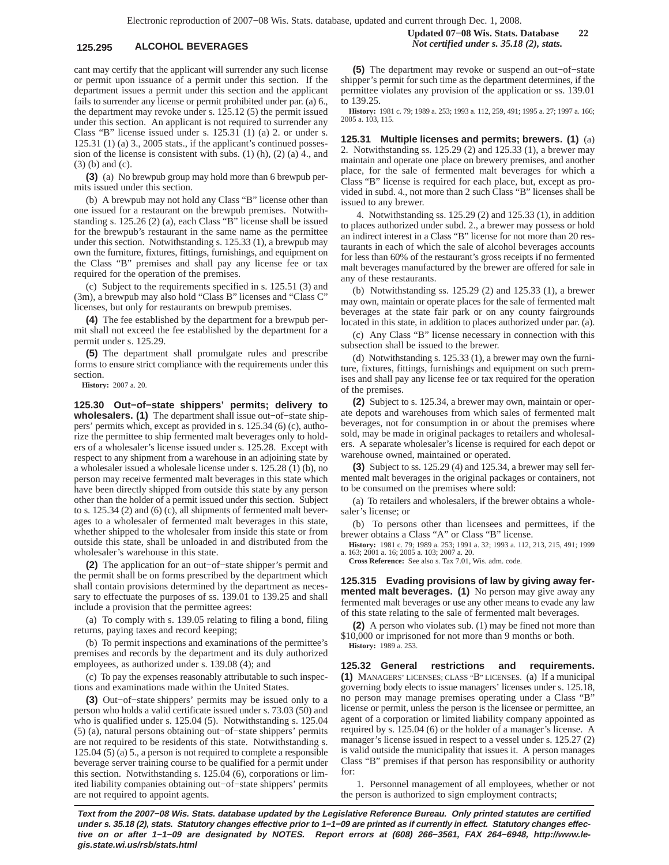# **125.295 ALCOHOL BEVERAGES** *Not certified under s. 35.18 (2), stats.*

cant may certify that the applicant will surrender any such license or permit upon issuance of a permit under this section. If the department issues a permit under this section and the applicant fails to surrender any license or permit prohibited under par. (a) 6., the department may revoke under s. 125.12 (5) the permit issued under this section. An applicant is not required to surrender any Class "B" license issued under s. 125.31 (1) (a) 2. or under s. 125.31 (1) (a) 3., 2005 stats., if the applicant's continued possession of the license is consistent with subs. (1) (h), (2) (a) 4., and (3) (b) and (c).

**(3)** (a) No brewpub group may hold more than 6 brewpub permits issued under this section.

(b) A brewpub may not hold any Class "B" license other than one issued for a restaurant on the brewpub premises. Notwithstanding s. 125.26 (2) (a), each Class "B" license shall be issued for the brewpub's restaurant in the same name as the permittee under this section. Notwithstanding s. 125.33 (1), a brewpub may own the furniture, fixtures, fittings, furnishings, and equipment on the Class "B" premises and shall pay any license fee or tax required for the operation of the premises.

(c) Subject to the requirements specified in s. 125.51 (3) and (3m), a brewpub may also hold "Class B" licenses and "Class C" licenses, but only for restaurants on brewpub premises.

**(4)** The fee established by the department for a brewpub permit shall not exceed the fee established by the department for a permit under s. 125.29.

**(5)** The department shall promulgate rules and prescribe forms to ensure strict compliance with the requirements under this section.

**History:** 2007 a. 20.

**125.30 Out−of−state shippers' permits; delivery to wholesalers. (1)** The department shall issue out−of−state shippers' permits which, except as provided in s. 125.34 (6) (c), authorize the permittee to ship fermented malt beverages only to holders of a wholesaler's license issued under s. 125.28. Except with respect to any shipment from a warehouse in an adjoining state by a wholesaler issued a wholesale license under s. 125.28 (1) (b), no person may receive fermented malt beverages in this state which have been directly shipped from outside this state by any person other than the holder of a permit issued under this section. Subject to s. 125.34 (2) and (6) (c), all shipments of fermented malt beverages to a wholesaler of fermented malt beverages in this state, whether shipped to the wholesaler from inside this state or from outside this state, shall be unloaded in and distributed from the wholesaler's warehouse in this state.

**(2)** The application for an out−of−state shipper's permit and the permit shall be on forms prescribed by the department which shall contain provisions determined by the department as necessary to effectuate the purposes of ss. 139.01 to 139.25 and shall include a provision that the permittee agrees:

(a) To comply with s. 139.05 relating to filing a bond, filing returns, paying taxes and record keeping;

(b) To permit inspections and examinations of the permittee's premises and records by the department and its duly authorized employees, as authorized under s. 139.08 (4); and

(c) To pay the expenses reasonably attributable to such inspections and examinations made within the United States.

**(3)** Out−of−state shippers' permits may be issued only to a person who holds a valid certificate issued under s. 73.03 (50) and who is qualified under s. 125.04 (5). Notwithstanding s. 125.04 (5) (a), natural persons obtaining out−of−state shippers' permits are not required to be residents of this state. Notwithstanding s. 125.04 (5) (a) 5., a person is not required to complete a responsible beverage server training course to be qualified for a permit under this section. Notwithstanding s. 125.04 (6), corporations or limited liability companies obtaining out−of−state shippers' permits are not required to appoint agents.

**(5)** The department may revoke or suspend an out−of−state shipper's permit for such time as the department determines, if the permittee violates any provision of the application or ss. 139.01 to 139.25.

**History:** 1981 c. 79; 1989 a. 253; 1993 a. 112, 259, 491; 1995 a. 27; 1997 a. 166; 2005 a. 103, 115.

**125.31 Multiple licenses and permits; brewers. (1)** (a) 2. Notwithstanding ss. 125.29 (2) and 125.33 (1), a brewer may maintain and operate one place on brewery premises, and another place, for the sale of fermented malt beverages for which a Class "B" license is required for each place, but, except as provided in subd. 4., not more than 2 such Class "B" licenses shall be issued to any brewer.

4. Notwithstanding ss. 125.29 (2) and 125.33 (1), in addition to places authorized under subd. 2., a brewer may possess or hold an indirect interest in a Class "B" license for not more than 20 restaurants in each of which the sale of alcohol beverages accounts for less than 60% of the restaurant's gross receipts if no fermented malt beverages manufactured by the brewer are offered for sale in any of these restaurants.

(b) Notwithstanding ss. 125.29 (2) and 125.33 (1), a brewer may own, maintain or operate places for the sale of fermented malt beverages at the state fair park or on any county fairgrounds located in this state, in addition to places authorized under par. (a).

(c) Any Class "B" license necessary in connection with this subsection shall be issued to the brewer.

(d) Notwithstanding s. 125.33 (1), a brewer may own the furniture, fixtures, fittings, furnishings and equipment on such premises and shall pay any license fee or tax required for the operation of the premises.

**(2)** Subject to s. 125.34, a brewer may own, maintain or operate depots and warehouses from which sales of fermented malt beverages, not for consumption in or about the premises where sold, may be made in original packages to retailers and wholesalers. A separate wholesaler's license is required for each depot or warehouse owned, maintained or operated.

**(3)** Subject to ss. 125.29 (4) and 125.34, a brewer may sell fermented malt beverages in the original packages or containers, not to be consumed on the premises where sold:

(a) To retailers and wholesalers, if the brewer obtains a wholesaler's license; or

(b) To persons other than licensees and permittees, if the brewer obtains a Class "A" or Class "B" license.

**History:** 1981 c. 79; 1989 a. 253; 1991 a. 32; 1993 a. 112, 213, 215, 491; 1999 a. 163; 2001 a. 16; 2005 a. 103; 2007 a. 20.

**Cross Reference:** See also s. Tax 7.01, Wis. adm. code.

**125.315 Evading provisions of law by giving away fermented malt beverages. (1)** No person may give away any fermented malt beverages or use any other means to evade any law of this state relating to the sale of fermented malt beverages.

**(2)** A person who violates sub. (1) may be fined not more than \$10,000 or imprisoned for not more than 9 months or both. **History:** 1989 a. 253.

**125.32 General restrictions and requirements. (1)** MANAGERS' LICENSES; CLASS "B" LICENSES. (a) If a municipal governing body elects to issue managers' licenses under s. 125.18, no person may manage premises operating under a Class "B" license or permit, unless the person is the licensee or permittee, an agent of a corporation or limited liability company appointed as required by s. 125.04 (6) or the holder of a manager's license. A manager's license issued in respect to a vessel under s. 125.27 (2) is valid outside the municipality that issues it. A person manages Class "B" premises if that person has responsibility or authority for:

1. Personnel management of all employees, whether or not the person is authorized to sign employment contracts;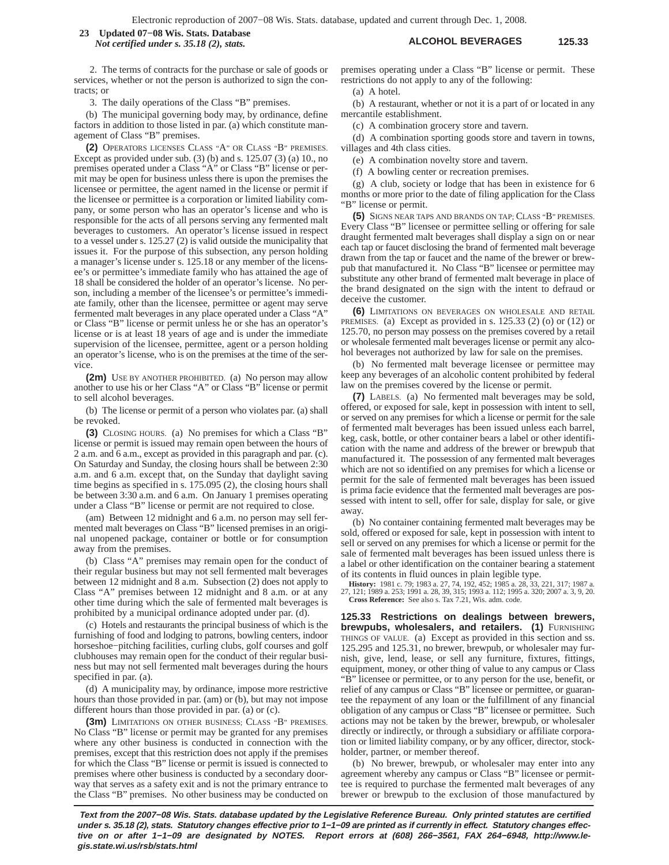**ALCOHOL BEVERAGES 125.33 23 Updated 07−08 Wis. Stats. Database** *Not certified under s. 35.18 (2), stats.*

2. The terms of contracts for the purchase or sale of goods or services, whether or not the person is authorized to sign the contracts; or

3. The daily operations of the Class "B" premises.

(b) The municipal governing body may, by ordinance, define factors in addition to those listed in par. (a) which constitute management of Class "B" premises.

**(2)** OPERATORS LICENSES CLASS "A" OR CLASS "B" PREMISES. Except as provided under sub.  $(3)$  (b) and s. 125.07  $(3)$  (a) 10., no premises operated under a Class "A" or Class "B" license or permit may be open for business unless there is upon the premises the licensee or permittee, the agent named in the license or permit if the licensee or permittee is a corporation or limited liability company, or some person who has an operator's license and who is responsible for the acts of all persons serving any fermented malt beverages to customers. An operator's license issued in respect to a vessel under s. 125.27 (2) is valid outside the municipality that issues it. For the purpose of this subsection, any person holding a manager's license under s. 125.18 or any member of the licensee's or permittee's immediate family who has attained the age of 18 shall be considered the holder of an operator's license. No person, including a member of the licensee's or permittee's immediate family, other than the licensee, permittee or agent may serve fermented malt beverages in any place operated under a Class "A" or Class "B" license or permit unless he or she has an operator's license or is at least 18 years of age and is under the immediate supervision of the licensee, permittee, agent or a person holding an operator's license, who is on the premises at the time of the service.

**(2m)** USE BY ANOTHER PROHIBITED. (a) No person may allow another to use his or her Class "A" or Class "B" license or permit to sell alcohol beverages.

(b) The license or permit of a person who violates par. (a) shall be revoked.

**(3)** CLOSING HOURS. (a) No premises for which a Class "B" license or permit is issued may remain open between the hours of 2 a.m. and 6 a.m., except as provided in this paragraph and par. (c). On Saturday and Sunday, the closing hours shall be between 2:30 a.m. and 6 a.m. except that, on the Sunday that daylight saving time begins as specified in s. 175.095 (2), the closing hours shall be between 3:30 a.m. and 6 a.m. On January 1 premises operating under a Class "B" license or permit are not required to close.

(am) Between 12 midnight and 6 a.m. no person may sell fermented malt beverages on Class "B" licensed premises in an original unopened package, container or bottle or for consumption away from the premises.

(b) Class "A" premises may remain open for the conduct of their regular business but may not sell fermented malt beverages between 12 midnight and 8 a.m. Subsection (2) does not apply to Class "A" premises between 12 midnight and 8 a.m. or at any other time during which the sale of fermented malt beverages is prohibited by a municipal ordinance adopted under par. (d).

(c) Hotels and restaurants the principal business of which is the furnishing of food and lodging to patrons, bowling centers, indoor horseshoe−pitching facilities, curling clubs, golf courses and golf clubhouses may remain open for the conduct of their regular business but may not sell fermented malt beverages during the hours specified in par. (a).

(d) A municipality may, by ordinance, impose more restrictive hours than those provided in par. (am) or (b), but may not impose different hours than those provided in par. (a) or (c).

**(3m)** LIMITATIONS ON OTHER BUSINESS; CLASS "B" PREMISES. No Class "B" license or permit may be granted for any premises where any other business is conducted in connection with the premises, except that this restriction does not apply if the premises for which the Class "B" license or permit is issued is connected to premises where other business is conducted by a secondary doorway that serves as a safety exit and is not the primary entrance to the Class "B" premises. No other business may be conducted on premises operating under a Class "B" license or permit. These restrictions do not apply to any of the following:

(a) A hotel.

(b) A restaurant, whether or not it is a part of or located in any mercantile establishment.

(c) A combination grocery store and tavern.

(d) A combination sporting goods store and tavern in towns, villages and 4th class cities.

(e) A combination novelty store and tavern.

(f) A bowling center or recreation premises.

(g) A club, society or lodge that has been in existence for 6 months or more prior to the date of filing application for the Class "B" license or permit.

**(5)** SIGNS NEAR TAPS AND BRANDS ON TAP; CLASS "B" PREMISES. Every Class "B" licensee or permittee selling or offering for sale draught fermented malt beverages shall display a sign on or near each tap or faucet disclosing the brand of fermented malt beverage drawn from the tap or faucet and the name of the brewer or brewpub that manufactured it. No Class "B" licensee or permittee may substitute any other brand of fermented malt beverage in place of the brand designated on the sign with the intent to defraud or deceive the customer.

**(6)** LIMITATIONS ON BEVERAGES ON WHOLESALE AND RETAIL PREMISES. (a) Except as provided in s. 125.33 (2) (o) or (12) or 125.70, no person may possess on the premises covered by a retail or wholesale fermented malt beverages license or permit any alcohol beverages not authorized by law for sale on the premises.

(b) No fermented malt beverage licensee or permittee may keep any beverages of an alcoholic content prohibited by federal law on the premises covered by the license or permit.

**(7)** LABELS. (a) No fermented malt beverages may be sold, offered, or exposed for sale, kept in possession with intent to sell, or served on any premises for which a license or permit for the sale of fermented malt beverages has been issued unless each barrel, keg, cask, bottle, or other container bears a label or other identification with the name and address of the brewer or brewpub that manufactured it. The possession of any fermented malt beverages which are not so identified on any premises for which a license or permit for the sale of fermented malt beverages has been issued is prima facie evidence that the fermented malt beverages are possessed with intent to sell, offer for sale, display for sale, or give away.

(b) No container containing fermented malt beverages may be sold, offered or exposed for sale, kept in possession with intent to sell or served on any premises for which a license or permit for the sale of fermented malt beverages has been issued unless there is a label or other identification on the container bearing a statement of its contents in fluid ounces in plain legible type.

**History:** 1981 c. 79; 1983 a. 27, 74, 192, 452; 1985 a. 28, 33, 221, 317; 1987 a. 27, 121; 1989 a. 253; 1991 a. 28, 39, 315; 1993 a. 112; 1995 a. 320; 2007 a. 3, 9, 20. **Cross Reference:** See also s. Tax 7.21, Wis. adm. code.

**125.33 Restrictions on dealings between brewers, brewpubs, wholesalers, and retailers. (1)** FURNISHING THINGS OF VALUE. (a) Except as provided in this section and ss. 125.295 and 125.31, no brewer, brewpub, or wholesaler may furnish, give, lend, lease, or sell any furniture, fixtures, fittings, equipment, money, or other thing of value to any campus or Class "B" licensee or permittee, or to any person for the use, benefit, or relief of any campus or Class "B" licensee or permittee, or guarantee the repayment of any loan or the fulfillment of any financial obligation of any campus or Class "B" licensee or permittee. Such actions may not be taken by the brewer, brewpub, or wholesaler directly or indirectly, or through a subsidiary or affiliate corporation or limited liability company, or by any officer, director, stockholder, partner, or member thereof.

(b) No brewer, brewpub, or wholesaler may enter into any agreement whereby any campus or Class "B" licensee or permittee is required to purchase the fermented malt beverages of any brewer or brewpub to the exclusion of those manufactured by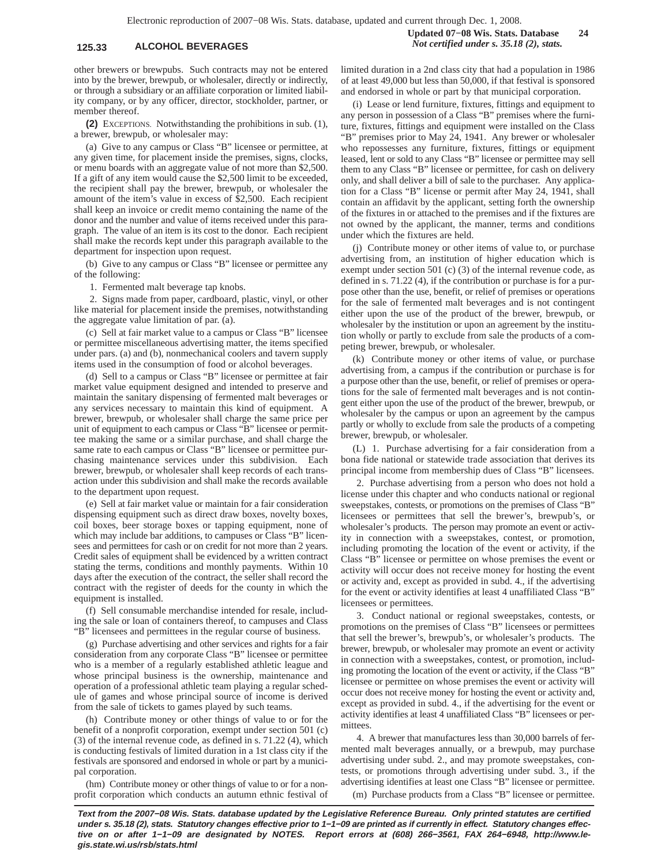# **125.33 ALCOHOL BEVERAGES** *Not certified under s. 35.18 (2), stats.*

other brewers or brewpubs. Such contracts may not be entered into by the brewer, brewpub, or wholesaler, directly or indirectly, or through a subsidiary or an affiliate corporation or limited liability company, or by any officer, director, stockholder, partner, or member thereof.

**(2)** EXCEPTIONS. Notwithstanding the prohibitions in sub. (1), a brewer, brewpub, or wholesaler may:

(a) Give to any campus or Class "B" licensee or permittee, at any given time, for placement inside the premises, signs, clocks, or menu boards with an aggregate value of not more than \$2,500. If a gift of any item would cause the \$2,500 limit to be exceeded, the recipient shall pay the brewer, brewpub, or wholesaler the amount of the item's value in excess of \$2,500. Each recipient shall keep an invoice or credit memo containing the name of the donor and the number and value of items received under this paragraph. The value of an item is its cost to the donor. Each recipient shall make the records kept under this paragraph available to the department for inspection upon request.

(b) Give to any campus or Class "B" licensee or permittee any of the following:

1. Fermented malt beverage tap knobs.

2. Signs made from paper, cardboard, plastic, vinyl, or other like material for placement inside the premises, notwithstanding the aggregate value limitation of par. (a).

(c) Sell at fair market value to a campus or Class "B" licensee or permittee miscellaneous advertising matter, the items specified under pars. (a) and (b), nonmechanical coolers and tavern supply items used in the consumption of food or alcohol beverages.

(d) Sell to a campus or Class "B" licensee or permittee at fair market value equipment designed and intended to preserve and maintain the sanitary dispensing of fermented malt beverages or any services necessary to maintain this kind of equipment. A brewer, brewpub, or wholesaler shall charge the same price per unit of equipment to each campus or Class "B" licensee or permittee making the same or a similar purchase, and shall charge the same rate to each campus or Class "B" licensee or permittee purchasing maintenance services under this subdivision. Each brewer, brewpub, or wholesaler shall keep records of each transaction under this subdivision and shall make the records available to the department upon request.

(e) Sell at fair market value or maintain for a fair consideration dispensing equipment such as direct draw boxes, novelty boxes, coil boxes, beer storage boxes or tapping equipment, none of which may include bar additions, to campuses or Class "B" licensees and permittees for cash or on credit for not more than 2 years. Credit sales of equipment shall be evidenced by a written contract stating the terms, conditions and monthly payments. Within 10 days after the execution of the contract, the seller shall record the contract with the register of deeds for the county in which the equipment is installed.

(f) Sell consumable merchandise intended for resale, including the sale or loan of containers thereof, to campuses and Class "B" licensees and permittees in the regular course of business.

(g) Purchase advertising and other services and rights for a fair consideration from any corporate Class "B" licensee or permittee who is a member of a regularly established athletic league and whose principal business is the ownership, maintenance and operation of a professional athletic team playing a regular schedule of games and whose principal source of income is derived from the sale of tickets to games played by such teams.

(h) Contribute money or other things of value to or for the benefit of a nonprofit corporation, exempt under section 501 (c) (3) of the internal revenue code, as defined in s. 71.22 (4), which is conducting festivals of limited duration in a 1st class city if the festivals are sponsored and endorsed in whole or part by a municipal corporation.

(hm) Contribute money or other things of value to or for a nonprofit corporation which conducts an autumn ethnic festival of **Updated 07−08 Wis. Stats. Database 24**

limited duration in a 2nd class city that had a population in 1986 of at least 49,000 but less than 50,000, if that festival is sponsored and endorsed in whole or part by that municipal corporation.

(i) Lease or lend furniture, fixtures, fittings and equipment to any person in possession of a Class "B" premises where the furniture, fixtures, fittings and equipment were installed on the Class "B" premises prior to May 24, 1941. Any brewer or wholesaler who repossesses any furniture, fixtures, fittings or equipment leased, lent or sold to any Class "B" licensee or permittee may sell them to any Class "B" licensee or permittee, for cash on delivery only, and shall deliver a bill of sale to the purchaser. Any application for a Class "B" license or permit after May 24, 1941, shall contain an affidavit by the applicant, setting forth the ownership of the fixtures in or attached to the premises and if the fixtures are not owned by the applicant, the manner, terms and conditions under which the fixtures are held.

(j) Contribute money or other items of value to, or purchase advertising from, an institution of higher education which is exempt under section 501 (c) (3) of the internal revenue code, as defined in s. 71.22 (4), if the contribution or purchase is for a purpose other than the use, benefit, or relief of premises or operations for the sale of fermented malt beverages and is not contingent either upon the use of the product of the brewer, brewpub, or wholesaler by the institution or upon an agreement by the institution wholly or partly to exclude from sale the products of a competing brewer, brewpub, or wholesaler.

(k) Contribute money or other items of value, or purchase advertising from, a campus if the contribution or purchase is for a purpose other than the use, benefit, or relief of premises or operations for the sale of fermented malt beverages and is not contingent either upon the use of the product of the brewer, brewpub, or wholesaler by the campus or upon an agreement by the campus partly or wholly to exclude from sale the products of a competing brewer, brewpub, or wholesaler.

(L) 1. Purchase advertising for a fair consideration from a bona fide national or statewide trade association that derives its principal income from membership dues of Class "B" licensees.

2. Purchase advertising from a person who does not hold a license under this chapter and who conducts national or regional sweepstakes, contests, or promotions on the premises of Class "B" licensees or permittees that sell the brewer's, brewpub's, or wholesaler's products. The person may promote an event or activity in connection with a sweepstakes, contest, or promotion, including promoting the location of the event or activity, if the Class "B" licensee or permittee on whose premises the event or activity will occur does not receive money for hosting the event or activity and, except as provided in subd. 4., if the advertising for the event or activity identifies at least 4 unaffiliated Class "B" licensees or permittees.

3. Conduct national or regional sweepstakes, contests, or promotions on the premises of Class "B" licensees or permittees that sell the brewer's, brewpub's, or wholesaler's products. The brewer, brewpub, or wholesaler may promote an event or activity in connection with a sweepstakes, contest, or promotion, including promoting the location of the event or activity, if the Class "B" licensee or permittee on whose premises the event or activity will occur does not receive money for hosting the event or activity and, except as provided in subd. 4., if the advertising for the event or activity identifies at least 4 unaffiliated Class "B" licensees or permittees.

4. A brewer that manufactures less than 30,000 barrels of fermented malt beverages annually, or a brewpub, may purchase advertising under subd. 2., and may promote sweepstakes, contests, or promotions through advertising under subd. 3., if the advertising identifies at least one Class "B" licensee or permittee.

(m) Purchase products from a Class "B" licensee or permittee.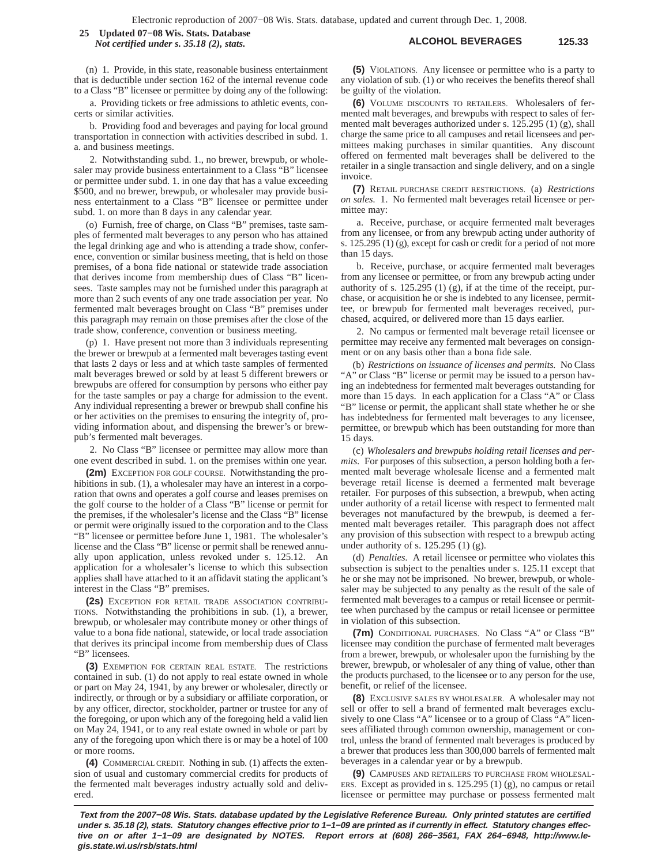**ALCOHOL BEVERAGES 125.33 25 Updated 07−08 Wis. Stats. Database** *Not certified under s. 35.18 (2), stats.*

(n) 1. Provide, in this state, reasonable business entertainment that is deductible under section 162 of the internal revenue code to a Class "B" licensee or permittee by doing any of the following:

a. Providing tickets or free admissions to athletic events, concerts or similar activities.

b. Providing food and beverages and paying for local ground transportation in connection with activities described in subd. 1. a. and business meetings.

2. Notwithstanding subd. 1., no brewer, brewpub, or wholesaler may provide business entertainment to a Class "B" licensee or permittee under subd. 1. in one day that has a value exceeding \$500, and no brewer, brewpub, or wholesaler may provide business entertainment to a Class "B" licensee or permittee under subd. 1. on more than 8 days in any calendar year.

(o) Furnish, free of charge, on Class "B" premises, taste samples of fermented malt beverages to any person who has attained the legal drinking age and who is attending a trade show, conference, convention or similar business meeting, that is held on those premises, of a bona fide national or statewide trade association that derives income from membership dues of Class "B" licensees. Taste samples may not be furnished under this paragraph at more than 2 such events of any one trade association per year. No fermented malt beverages brought on Class "B" premises under this paragraph may remain on those premises after the close of the trade show, conference, convention or business meeting.

(p) 1. Have present not more than 3 individuals representing the brewer or brewpub at a fermented malt beverages tasting event that lasts 2 days or less and at which taste samples of fermented malt beverages brewed or sold by at least 5 different brewers or brewpubs are offered for consumption by persons who either pay for the taste samples or pay a charge for admission to the event. Any individual representing a brewer or brewpub shall confine his or her activities on the premises to ensuring the integrity of, providing information about, and dispensing the brewer's or brewpub's fermented malt beverages.

2. No Class "B" licensee or permittee may allow more than one event described in subd. 1. on the premises within one year.

**(2m)** EXCEPTION FOR GOLF COURSE. Notwithstanding the prohibitions in sub. (1), a wholesaler may have an interest in a corporation that owns and operates a golf course and leases premises on the golf course to the holder of a Class "B" license or permit for the premises, if the wholesaler's license and the Class "B" license or permit were originally issued to the corporation and to the Class "B" licensee or permittee before June 1, 1981. The wholesaler's license and the Class "B" license or permit shall be renewed annually upon application, unless revoked under s. 125.12. An application for a wholesaler's license to which this subsection applies shall have attached to it an affidavit stating the applicant's interest in the Class "B" premises.

**(2s)** EXCEPTION FOR RETAIL TRADE ASSOCIATION CONTRIBU-TIONS. Notwithstanding the prohibitions in sub. (1), a brewer, brewpub, or wholesaler may contribute money or other things of value to a bona fide national, statewide, or local trade association that derives its principal income from membership dues of Class "B" licensees.

**(3)** EXEMPTION FOR CERTAIN REAL ESTATE. The restrictions contained in sub. (1) do not apply to real estate owned in whole or part on May 24, 1941, by any brewer or wholesaler, directly or indirectly, or through or by a subsidiary or affiliate corporation, or by any officer, director, stockholder, partner or trustee for any of the foregoing, or upon which any of the foregoing held a valid lien on May 24, 1941, or to any real estate owned in whole or part by any of the foregoing upon which there is or may be a hotel of 100 or more rooms.

**(4)** COMMERCIAL CREDIT. Nothing in sub. (1) affects the extension of usual and customary commercial credits for products of the fermented malt beverages industry actually sold and delivered.

**(5)** VIOLATIONS. Any licensee or permittee who is a party to any violation of sub. (1) or who receives the benefits thereof shall be guilty of the violation.

**(6)** VOLUME DISCOUNTS TO RETAILERS. Wholesalers of fermented malt beverages, and brewpubs with respect to sales of fermented malt beverages authorized under s. 125.295 (1) (g), shall charge the same price to all campuses and retail licensees and permittees making purchases in similar quantities. Any discount offered on fermented malt beverages shall be delivered to the retailer in a single transaction and single delivery, and on a single invoice.

**(7)** RETAIL PURCHASE CREDIT RESTRICTIONS. (a) *Restrictions on sales.* 1. No fermented malt beverages retail licensee or permittee may:

a. Receive, purchase, or acquire fermented malt beverages from any licensee, or from any brewpub acting under authority of s. 125.295 (1) (g), except for cash or credit for a period of not more than 15 days.

b. Receive, purchase, or acquire fermented malt beverages from any licensee or permittee, or from any brewpub acting under authority of s. 125.295 (1) (g), if at the time of the receipt, purchase, or acquisition he or she is indebted to any licensee, permittee, or brewpub for fermented malt beverages received, purchased, acquired, or delivered more than 15 days earlier.

2. No campus or fermented malt beverage retail licensee or permittee may receive any fermented malt beverages on consignment or on any basis other than a bona fide sale.

(b) *Restrictions on issuance of licenses and permits.* No Class "A" or Class "B" license or permit may be issued to a person having an indebtedness for fermented malt beverages outstanding for more than 15 days. In each application for a Class "A" or Class "B" license or permit, the applicant shall state whether he or she has indebtedness for fermented malt beverages to any licensee, permittee, or brewpub which has been outstanding for more than 15 days.

(c) *Wholesalers and brewpubs holding retail licenses and permits.* For purposes of this subsection, a person holding both a fermented malt beverage wholesale license and a fermented malt beverage retail license is deemed a fermented malt beverage retailer. For purposes of this subsection, a brewpub, when acting under authority of a retail license with respect to fermented malt beverages not manufactured by the brewpub, is deemed a fermented malt beverages retailer. This paragraph does not affect any provision of this subsection with respect to a brewpub acting under authority of s. 125.295 (1) (g).

(d) *Penalties.* A retail licensee or permittee who violates this subsection is subject to the penalties under s. 125.11 except that he or she may not be imprisoned. No brewer, brewpub, or wholesaler may be subjected to any penalty as the result of the sale of fermented malt beverages to a campus or retail licensee or permittee when purchased by the campus or retail licensee or permittee in violation of this subsection.

**(7m)** CONDITIONAL PURCHASES. No Class "A" or Class "B" licensee may condition the purchase of fermented malt beverages from a brewer, brewpub, or wholesaler upon the furnishing by the brewer, brewpub, or wholesaler of any thing of value, other than the products purchased, to the licensee or to any person for the use, benefit, or relief of the licensee.

**(8)** EXCLUSIVE SALES BY WHOLESALER. A wholesaler may not sell or offer to sell a brand of fermented malt beverages exclusively to one Class "A" licensee or to a group of Class "A" licensees affiliated through common ownership, management or control, unless the brand of fermented malt beverages is produced by a brewer that produces less than 300,000 barrels of fermented malt beverages in a calendar year or by a brewpub.

**(9)** CAMPUSES AND RETAILERS TO PURCHASE FROM WHOLESAL-ERS. Except as provided in s. 125.295 (1) (g), no campus or retail licensee or permittee may purchase or possess fermented malt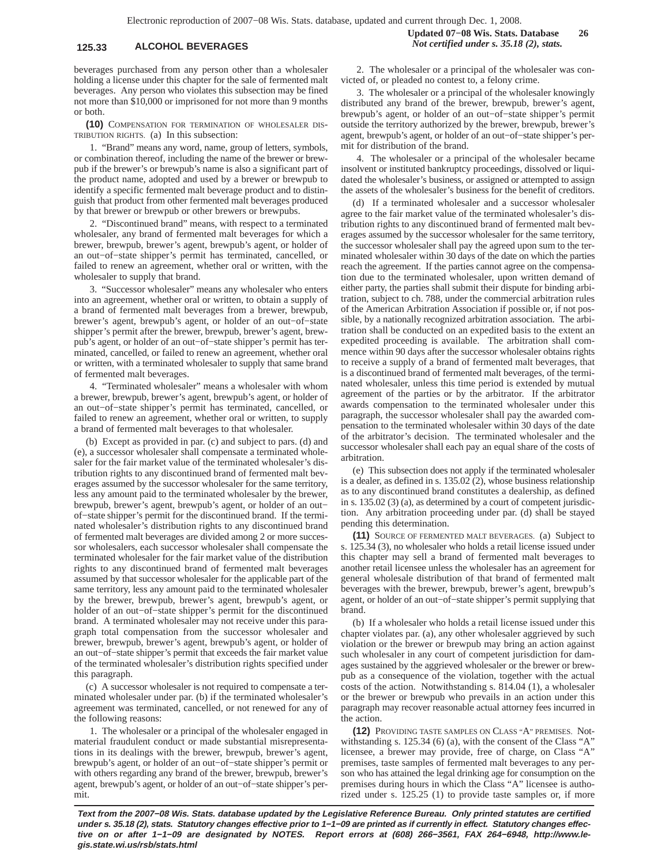beverages purchased from any person other than a wholesaler holding a license under this chapter for the sale of fermented malt beverages. Any person who violates this subsection may be fined not more than \$10,000 or imprisoned for not more than 9 months or both.

**(10)** COMPENSATION FOR TERMINATION OF WHOLESALER DIS-TRIBUTION RIGHTS. (a) In this subsection:

1. "Brand" means any word, name, group of letters, symbols, or combination thereof, including the name of the brewer or brewpub if the brewer's or brewpub's name is also a significant part of the product name, adopted and used by a brewer or brewpub to identify a specific fermented malt beverage product and to distinguish that product from other fermented malt beverages produced by that brewer or brewpub or other brewers or brewpubs.

2. "Discontinued brand" means, with respect to a terminated wholesaler, any brand of fermented malt beverages for which a brewer, brewpub, brewer's agent, brewpub's agent, or holder of an out−of−state shipper's permit has terminated, cancelled, or failed to renew an agreement, whether oral or written, with the wholesaler to supply that brand.

3. "Successor wholesaler" means any wholesaler who enters into an agreement, whether oral or written, to obtain a supply of a brand of fermented malt beverages from a brewer, brewpub, brewer's agent, brewpub's agent, or holder of an out−of−state shipper's permit after the brewer, brewpub, brewer's agent, brewpub's agent, or holder of an out−of−state shipper's permit has terminated, cancelled, or failed to renew an agreement, whether oral or written, with a terminated wholesaler to supply that same brand of fermented malt beverages.

4. "Terminated wholesaler" means a wholesaler with whom a brewer, brewpub, brewer's agent, brewpub's agent, or holder of an out−of−state shipper's permit has terminated, cancelled, or failed to renew an agreement, whether oral or written, to supply a brand of fermented malt beverages to that wholesaler.

(b) Except as provided in par. (c) and subject to pars. (d) and (e), a successor wholesaler shall compensate a terminated wholesaler for the fair market value of the terminated wholesaler's distribution rights to any discontinued brand of fermented malt beverages assumed by the successor wholesaler for the same territory, less any amount paid to the terminated wholesaler by the brewer, brewpub, brewer's agent, brewpub's agent, or holder of an out− of−state shipper's permit for the discontinued brand. If the terminated wholesaler's distribution rights to any discontinued brand of fermented malt beverages are divided among 2 or more successor wholesalers, each successor wholesaler shall compensate the terminated wholesaler for the fair market value of the distribution rights to any discontinued brand of fermented malt beverages assumed by that successor wholesaler for the applicable part of the same territory, less any amount paid to the terminated wholesaler by the brewer, brewpub, brewer's agent, brewpub's agent, or holder of an out−of−state shipper's permit for the discontinued brand. A terminated wholesaler may not receive under this paragraph total compensation from the successor wholesaler and brewer, brewpub, brewer's agent, brewpub's agent, or holder of an out−of−state shipper's permit that exceeds the fair market value of the terminated wholesaler's distribution rights specified under this paragraph.

(c) A successor wholesaler is not required to compensate a terminated wholesaler under par. (b) if the terminated wholesaler's agreement was terminated, cancelled, or not renewed for any of the following reasons:

1. The wholesaler or a principal of the wholesaler engaged in material fraudulent conduct or made substantial misrepresentations in its dealings with the brewer, brewpub, brewer's agent, brewpub's agent, or holder of an out−of−state shipper's permit or with others regarding any brand of the brewer, brewpub, brewer's agent, brewpub's agent, or holder of an out−of−state shipper's permit.

2. The wholesaler or a principal of the wholesaler was convicted of, or pleaded no contest to, a felony crime.

3. The wholesaler or a principal of the wholesaler knowingly distributed any brand of the brewer, brewpub, brewer's agent, brewpub's agent, or holder of an out−of−state shipper's permit outside the territory authorized by the brewer, brewpub, brewer's agent, brewpub's agent, or holder of an out−of−state shipper's permit for distribution of the brand.

4. The wholesaler or a principal of the wholesaler became insolvent or instituted bankruptcy proceedings, dissolved or liquidated the wholesaler's business, or assigned or attempted to assign the assets of the wholesaler's business for the benefit of creditors.

(d) If a terminated wholesaler and a successor wholesaler agree to the fair market value of the terminated wholesaler's distribution rights to any discontinued brand of fermented malt beverages assumed by the successor wholesaler for the same territory, the successor wholesaler shall pay the agreed upon sum to the terminated wholesaler within 30 days of the date on which the parties reach the agreement. If the parties cannot agree on the compensation due to the terminated wholesaler, upon written demand of either party, the parties shall submit their dispute for binding arbitration, subject to ch. 788, under the commercial arbitration rules of the American Arbitration Association if possible or, if not possible, by a nationally recognized arbitration association. The arbitration shall be conducted on an expedited basis to the extent an expedited proceeding is available. The arbitration shall commence within 90 days after the successor wholesaler obtains rights to receive a supply of a brand of fermented malt beverages, that is a discontinued brand of fermented malt beverages, of the terminated wholesaler, unless this time period is extended by mutual agreement of the parties or by the arbitrator. If the arbitrator awards compensation to the terminated wholesaler under this paragraph, the successor wholesaler shall pay the awarded compensation to the terminated wholesaler within 30 days of the date of the arbitrator's decision. The terminated wholesaler and the successor wholesaler shall each pay an equal share of the costs of arbitration.

(e) This subsection does not apply if the terminated wholesaler is a dealer, as defined in s. 135.02 (2), whose business relationship as to any discontinued brand constitutes a dealership, as defined in s. 135.02 (3) (a), as determined by a court of competent jurisdiction. Any arbitration proceeding under par. (d) shall be stayed pending this determination.

**(11)** SOURCE OF FERMENTED MALT BEVERAGES. (a) Subject to s. 125.34 (3), no wholesaler who holds a retail license issued under this chapter may sell a brand of fermented malt beverages to another retail licensee unless the wholesaler has an agreement for general wholesale distribution of that brand of fermented malt beverages with the brewer, brewpub, brewer's agent, brewpub's agent, or holder of an out−of−state shipper's permit supplying that brand.

(b) If a wholesaler who holds a retail license issued under this chapter violates par. (a), any other wholesaler aggrieved by such violation or the brewer or brewpub may bring an action against such wholesaler in any court of competent jurisdiction for damages sustained by the aggrieved wholesaler or the brewer or brewpub as a consequence of the violation, together with the actual costs of the action. Notwithstanding s. 814.04 (1), a wholesaler or the brewer or brewpub who prevails in an action under this paragraph may recover reasonable actual attorney fees incurred in the action.

**(12)** PROVIDING TASTE SAMPLES ON CLASS "A" PREMISES. Notwithstanding s. 125.34 (6) (a), with the consent of the Class "A" licensee, a brewer may provide, free of charge, on Class "A" premises, taste samples of fermented malt beverages to any person who has attained the legal drinking age for consumption on the premises during hours in which the Class "A" licensee is authorized under s. 125.25 (1) to provide taste samples or, if more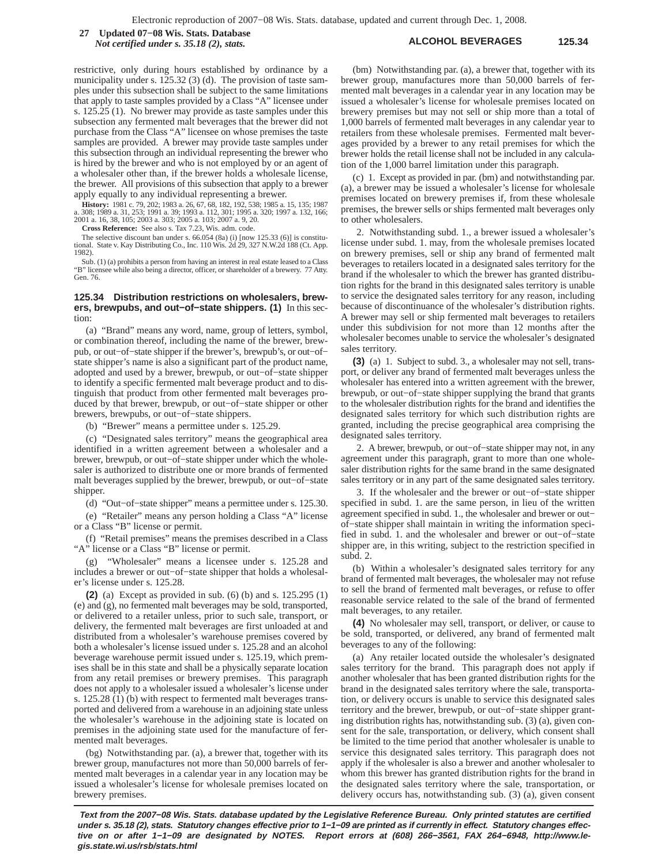**ALCOHOL BEVERAGES 125.34 27 Updated 07−08 Wis. Stats. Database** *Not certified under s. 35.18 (2), stats.*

restrictive, only during hours established by ordinance by a municipality under s. 125.32 (3) (d). The provision of taste samples under this subsection shall be subject to the same limitations that apply to taste samples provided by a Class "A" licensee under s. 125.25 (1). No brewer may provide as taste samples under this subsection any fermented malt beverages that the brewer did not purchase from the Class "A" licensee on whose premises the taste samples are provided. A brewer may provide taste samples under this subsection through an individual representing the brewer who is hired by the brewer and who is not employed by or an agent of a wholesaler other than, if the brewer holds a wholesale license, the brewer. All provisions of this subsection that apply to a brewer apply equally to any individual representing a brewer.

**History:** 1981 c. 79, 202; 1983 a. 26, 67, 68, 182, 192, 538; 1985 a. 15, 135; 1987 a. 308; 1989 a. 31, 253; 1991 a. 39; 1993 a. 112, 301; 1995 a. 320; 1997 a. 132, 166; 2001 a. 16, 38, 105; 2003 a. 303; 2005 a. 103; 2007 a. 9, 20. **Cross Reference:** See also s. Tax 7.23, Wis. adm. code.

The selective discount ban under s. 66.054 (8a) (i) [now 125.33 (6)] is constitu-tional. State v. Kay Distributing Co., Inc. 110 Wis. 2d 29, 327 N.W.2d 188 (Ct. App. 1982).

Sub. (1) (a) prohibits a person from having an interest in real estate leased to a Class "B" licensee while also being a director, officer, or shareholder of a brewery. 77 Atty. Gen. 76.

### **125.34 Distribution restrictions on wholesalers, brewers, brewpubs, and out−of−state shippers. (1)** In this section:

(a) "Brand" means any word, name, group of letters, symbol, or combination thereof, including the name of the brewer, brewpub, or out−of−state shipper if the brewer's, brewpub's, or out−of− state shipper's name is also a significant part of the product name, adopted and used by a brewer, brewpub, or out−of−state shipper to identify a specific fermented malt beverage product and to distinguish that product from other fermented malt beverages produced by that brewer, brewpub, or out−of−state shipper or other brewers, brewpubs, or out−of−state shippers.

(b) "Brewer" means a permittee under s. 125.29.

(c) "Designated sales territory" means the geographical area identified in a written agreement between a wholesaler and a brewer, brewpub, or out−of−state shipper under which the wholesaler is authorized to distribute one or more brands of fermented malt beverages supplied by the brewer, brewpub, or out−of−state shipper.

(d) "Out−of−state shipper" means a permittee under s. 125.30.

(e) "Retailer" means any person holding a Class "A" license or a Class "B" license or permit.

(f) "Retail premises" means the premises described in a Class "A" license or a Class "B" license or permit.

(g) "Wholesaler" means a licensee under s. 125.28 and includes a brewer or out−of−state shipper that holds a wholesaler's license under s. 125.28.

**(2)** (a) Except as provided in sub. (6) (b) and s. 125.295 (1) (e) and (g), no fermented malt beverages may be sold, transported, or delivered to a retailer unless, prior to such sale, transport, or delivery, the fermented malt beverages are first unloaded at and distributed from a wholesaler's warehouse premises covered by both a wholesaler's license issued under s. 125.28 and an alcohol beverage warehouse permit issued under s. 125.19, which premises shall be in this state and shall be a physically separate location from any retail premises or brewery premises. This paragraph does not apply to a wholesaler issued a wholesaler's license under s. 125.28 (1) (b) with respect to fermented malt beverages transported and delivered from a warehouse in an adjoining state unless the wholesaler's warehouse in the adjoining state is located on premises in the adjoining state used for the manufacture of fermented malt beverages.

(bg) Notwithstanding par. (a), a brewer that, together with its brewer group, manufactures not more than 50,000 barrels of fermented malt beverages in a calendar year in any location may be issued a wholesaler's license for wholesale premises located on brewery premises.

(bm) Notwithstanding par. (a), a brewer that, together with its brewer group, manufactures more than 50,000 barrels of fermented malt beverages in a calendar year in any location may be issued a wholesaler's license for wholesale premises located on brewery premises but may not sell or ship more than a total of 1,000 barrels of fermented malt beverages in any calendar year to retailers from these wholesale premises. Fermented malt beverages provided by a brewer to any retail premises for which the brewer holds the retail license shall not be included in any calculation of the 1,000 barrel limitation under this paragraph.

(c) 1. Except as provided in par. (bm) and notwithstanding par. (a), a brewer may be issued a wholesaler's license for wholesale premises located on brewery premises if, from these wholesale premises, the brewer sells or ships fermented malt beverages only to other wholesalers.

2. Notwithstanding subd. 1., a brewer issued a wholesaler's license under subd. 1. may, from the wholesale premises located on brewery premises, sell or ship any brand of fermented malt beverages to retailers located in a designated sales territory for the brand if the wholesaler to which the brewer has granted distribution rights for the brand in this designated sales territory is unable to service the designated sales territory for any reason, including because of discontinuance of the wholesaler's distribution rights. A brewer may sell or ship fermented malt beverages to retailers under this subdivision for not more than 12 months after the wholesaler becomes unable to service the wholesaler's designated sales territory.

**(3)** (a) 1. Subject to subd. 3., a wholesaler may not sell, transport, or deliver any brand of fermented malt beverages unless the wholesaler has entered into a written agreement with the brewer, brewpub, or out−of−state shipper supplying the brand that grants to the wholesaler distribution rights for the brand and identifies the designated sales territory for which such distribution rights are granted, including the precise geographical area comprising the designated sales territory.

2. A brewer, brewpub, or out−of−state shipper may not, in any agreement under this paragraph, grant to more than one wholesaler distribution rights for the same brand in the same designated sales territory or in any part of the same designated sales territory.

3. If the wholesaler and the brewer or out−of−state shipper specified in subd. 1. are the same person, in lieu of the written agreement specified in subd. 1., the wholesaler and brewer or out− of−state shipper shall maintain in writing the information specified in subd. 1. and the wholesaler and brewer or out−of−state shipper are, in this writing, subject to the restriction specified in subd. 2.

(b) Within a wholesaler's designated sales territory for any brand of fermented malt beverages, the wholesaler may not refuse to sell the brand of fermented malt beverages, or refuse to offer reasonable service related to the sale of the brand of fermented malt beverages, to any retailer.

**(4)** No wholesaler may sell, transport, or deliver, or cause to be sold, transported, or delivered, any brand of fermented malt beverages to any of the following:

(a) Any retailer located outside the wholesaler's designated sales territory for the brand. This paragraph does not apply if another wholesaler that has been granted distribution rights for the brand in the designated sales territory where the sale, transportation, or delivery occurs is unable to service this designated sales territory and the brewer, brewpub, or out−of−state shipper granting distribution rights has, notwithstanding sub. (3) (a), given consent for the sale, transportation, or delivery, which consent shall be limited to the time period that another wholesaler is unable to service this designated sales territory. This paragraph does not apply if the wholesaler is also a brewer and another wholesaler to whom this brewer has granted distribution rights for the brand in the designated sales territory where the sale, transportation, or delivery occurs has, notwithstanding sub. (3) (a), given consent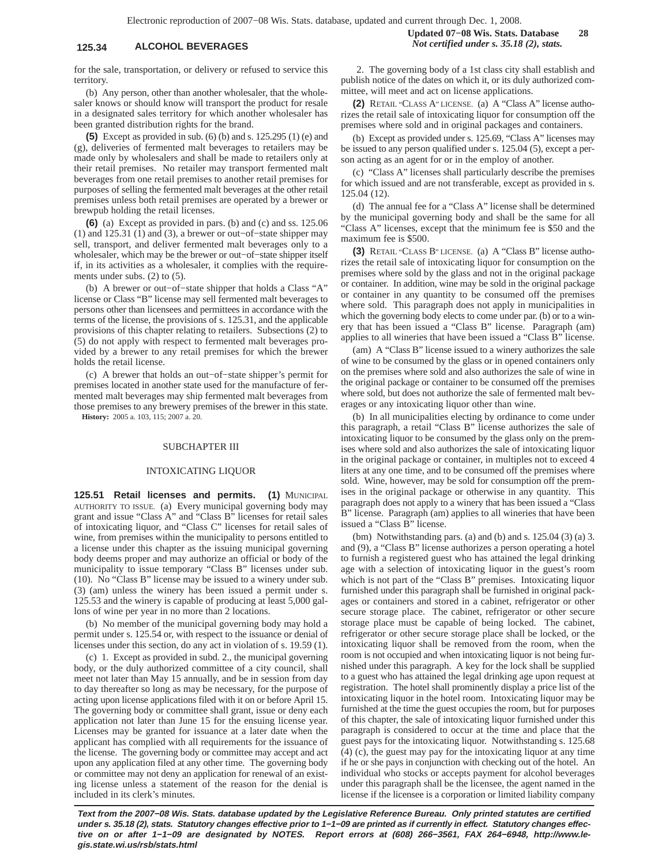for the sale, transportation, or delivery or refused to service this territory.

(b) Any person, other than another wholesaler, that the wholesaler knows or should know will transport the product for resale in a designated sales territory for which another wholesaler has been granted distribution rights for the brand.

**(5)** Except as provided in sub. (6) (b) and s. 125.295 (1) (e) and (g), deliveries of fermented malt beverages to retailers may be made only by wholesalers and shall be made to retailers only at their retail premises. No retailer may transport fermented malt beverages from one retail premises to another retail premises for purposes of selling the fermented malt beverages at the other retail premises unless both retail premises are operated by a brewer or brewpub holding the retail licenses.

**(6)** (a) Except as provided in pars. (b) and (c) and ss. 125.06 (1) and 125.31 (1) and (3), a brewer or out−of−state shipper may sell, transport, and deliver fermented malt beverages only to a wholesaler, which may be the brewer or out−of−state shipper itself if, in its activities as a wholesaler, it complies with the requirements under subs. (2) to (5).

(b) A brewer or out−of−state shipper that holds a Class "A" license or Class "B" license may sell fermented malt beverages to persons other than licensees and permittees in accordance with the terms of the license, the provisions of s. 125.31, and the applicable provisions of this chapter relating to retailers. Subsections (2) to (5) do not apply with respect to fermented malt beverages provided by a brewer to any retail premises for which the brewer holds the retail license.

(c) A brewer that holds an out−of−state shipper's permit for premises located in another state used for the manufacture of fermented malt beverages may ship fermented malt beverages from those premises to any brewery premises of the brewer in this state.

**History:** 2005 a. 103, 115; 2007 a. 20.

## SUBCHAPTER III

### INTOXICATING LIQUOR

**125.51 Retail licenses and permits. (1)** MUNICIPAL AUTHORITY TO ISSUE. (a) Every municipal governing body may grant and issue "Class A" and "Class B" licenses for retail sales of intoxicating liquor, and "Class C" licenses for retail sales of wine, from premises within the municipality to persons entitled to a license under this chapter as the issuing municipal governing body deems proper and may authorize an official or body of the municipality to issue temporary "Class B" licenses under sub. (10). No "Class B" license may be issued to a winery under sub. (3) (am) unless the winery has been issued a permit under s. 125.53 and the winery is capable of producing at least 5,000 gallons of wine per year in no more than 2 locations.

(b) No member of the municipal governing body may hold a permit under s. 125.54 or, with respect to the issuance or denial of licenses under this section, do any act in violation of s. 19.59 (1).

(c) 1. Except as provided in subd. 2., the municipal governing body, or the duly authorized committee of a city council, shall meet not later than May 15 annually, and be in session from day to day thereafter so long as may be necessary, for the purpose of acting upon license applications filed with it on or before April 15. The governing body or committee shall grant, issue or deny each application not later than June 15 for the ensuing license year. Licenses may be granted for issuance at a later date when the applicant has complied with all requirements for the issuance of the license. The governing body or committee may accept and act upon any application filed at any other time. The governing body or committee may not deny an application for renewal of an existing license unless a statement of the reason for the denial is included in its clerk's minutes.

2. The governing body of a 1st class city shall establish and publish notice of the dates on which it, or its duly authorized committee, will meet and act on license applications.

**(2)** RETAIL "CLASS A" LICENSE. (a) A "Class A" license authorizes the retail sale of intoxicating liquor for consumption off the premises where sold and in original packages and containers.

(b) Except as provided under s. 125.69, "Class A" licenses may be issued to any person qualified under s. 125.04 (5), except a person acting as an agent for or in the employ of another.

(c) "Class A" licenses shall particularly describe the premises for which issued and are not transferable, except as provided in s. 125.04 (12).

(d) The annual fee for a "Class A" license shall be determined by the municipal governing body and shall be the same for all "Class A" licenses, except that the minimum fee is \$50 and the maximum fee is \$500.

**(3)** RETAIL "CLASS B" LICENSE. (a) A "Class B" license authorizes the retail sale of intoxicating liquor for consumption on the premises where sold by the glass and not in the original package or container. In addition, wine may be sold in the original package or container in any quantity to be consumed off the premises where sold. This paragraph does not apply in municipalities in which the governing body elects to come under par. (b) or to a winery that has been issued a "Class B" license. Paragraph (am) applies to all wineries that have been issued a "Class B" license.

(am) A "Class B" license issued to a winery authorizes the sale of wine to be consumed by the glass or in opened containers only on the premises where sold and also authorizes the sale of wine in the original package or container to be consumed off the premises where sold, but does not authorize the sale of fermented malt beverages or any intoxicating liquor other than wine.

(b) In all municipalities electing by ordinance to come under this paragraph, a retail "Class B" license authorizes the sale of intoxicating liquor to be consumed by the glass only on the premises where sold and also authorizes the sale of intoxicating liquor in the original package or container, in multiples not to exceed 4 liters at any one time, and to be consumed off the premises where sold. Wine, however, may be sold for consumption off the premises in the original package or otherwise in any quantity. This paragraph does not apply to a winery that has been issued a "Class B" license. Paragraph (am) applies to all wineries that have been issued a "Class B" license.

(bm) Notwithstanding pars. (a) and (b) and s. 125.04 (3) (a) 3. and (9), a "Class B" license authorizes a person operating a hotel to furnish a registered guest who has attained the legal drinking age with a selection of intoxicating liquor in the guest's room which is not part of the "Class B" premises. Intoxicating liquor furnished under this paragraph shall be furnished in original packages or containers and stored in a cabinet, refrigerator or other secure storage place. The cabinet, refrigerator or other secure storage place must be capable of being locked. The cabinet, refrigerator or other secure storage place shall be locked, or the intoxicating liquor shall be removed from the room, when the room is not occupied and when intoxicating liquor is not being furnished under this paragraph. A key for the lock shall be supplied to a guest who has attained the legal drinking age upon request at registration. The hotel shall prominently display a price list of the intoxicating liquor in the hotel room. Intoxicating liquor may be furnished at the time the guest occupies the room, but for purposes of this chapter, the sale of intoxicating liquor furnished under this paragraph is considered to occur at the time and place that the guest pays for the intoxicating liquor. Notwithstanding s. 125.68 (4) (c), the guest may pay for the intoxicating liquor at any time if he or she pays in conjunction with checking out of the hotel. An individual who stocks or accepts payment for alcohol beverages under this paragraph shall be the licensee, the agent named in the license if the licensee is a corporation or limited liability company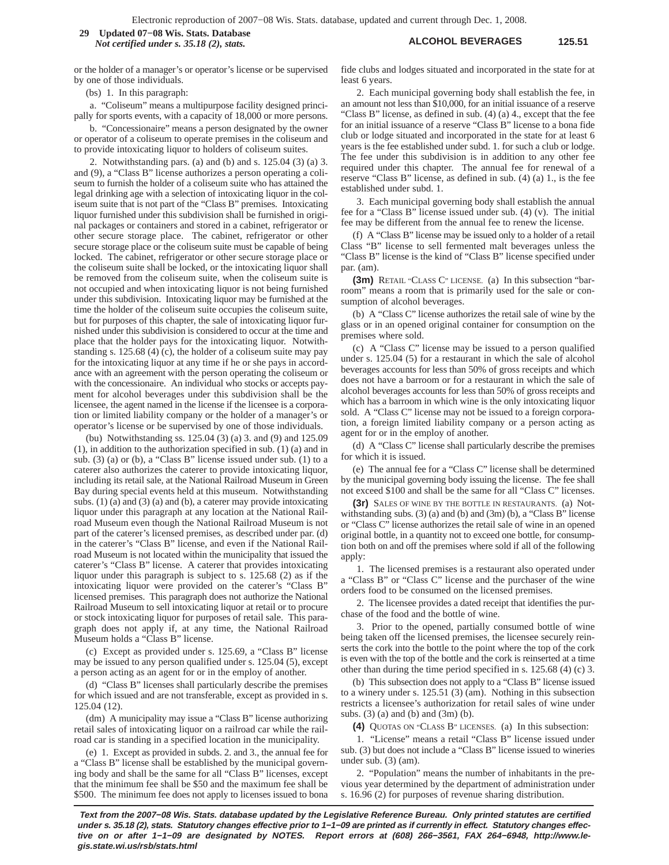## **ALCOHOL BEVERAGES 125.51 29 Updated 07−08 Wis. Stats. Database** *Not certified under s. 35.18 (2), stats.*

or the holder of a manager's or operator's license or be supervised by one of those individuals.

(bs) 1. In this paragraph:

a. "Coliseum" means a multipurpose facility designed principally for sports events, with a capacity of 18,000 or more persons.

b. "Concessionaire" means a person designated by the owner or operator of a coliseum to operate premises in the coliseum and to provide intoxicating liquor to holders of coliseum suites.

2. Notwithstanding pars. (a) and (b) and s. 125.04 (3) (a) 3. and (9), a "Class B" license authorizes a person operating a coliseum to furnish the holder of a coliseum suite who has attained the legal drinking age with a selection of intoxicating liquor in the coliseum suite that is not part of the "Class B" premises. Intoxicating liquor furnished under this subdivision shall be furnished in original packages or containers and stored in a cabinet, refrigerator or other secure storage place. The cabinet, refrigerator or other secure storage place or the coliseum suite must be capable of being locked. The cabinet, refrigerator or other secure storage place or the coliseum suite shall be locked, or the intoxicating liquor shall be removed from the coliseum suite, when the coliseum suite is not occupied and when intoxicating liquor is not being furnished under this subdivision. Intoxicating liquor may be furnished at the time the holder of the coliseum suite occupies the coliseum suite, but for purposes of this chapter, the sale of intoxicating liquor furnished under this subdivision is considered to occur at the time and place that the holder pays for the intoxicating liquor. Notwithstanding s. 125.68 (4) (c), the holder of a coliseum suite may pay for the intoxicating liquor at any time if he or she pays in accordance with an agreement with the person operating the coliseum or with the concessionaire. An individual who stocks or accepts payment for alcohol beverages under this subdivision shall be the licensee, the agent named in the license if the licensee is a corporation or limited liability company or the holder of a manager's or operator's license or be supervised by one of those individuals.

(bu) Notwithstanding ss. 125.04 (3) (a) 3. and (9) and 125.09 (1), in addition to the authorization specified in sub. (1) (a) and in sub. (3) (a) or (b), a "Class B" license issued under sub. (1) to a caterer also authorizes the caterer to provide intoxicating liquor, including its retail sale, at the National Railroad Museum in Green Bay during special events held at this museum. Notwithstanding subs. (1) (a) and (3) (a) and (b), a caterer may provide intoxicating liquor under this paragraph at any location at the National Railroad Museum even though the National Railroad Museum is not part of the caterer's licensed premises, as described under par. (d) in the caterer's "Class B" license, and even if the National Railroad Museum is not located within the municipality that issued the caterer's "Class B" license. A caterer that provides intoxicating liquor under this paragraph is subject to s. 125.68 (2) as if the intoxicating liquor were provided on the caterer's "Class B" licensed premises. This paragraph does not authorize the National Railroad Museum to sell intoxicating liquor at retail or to procure or stock intoxicating liquor for purposes of retail sale. This paragraph does not apply if, at any time, the National Railroad Museum holds a "Class B" license.

(c) Except as provided under s. 125.69, a "Class B" license may be issued to any person qualified under s. 125.04 (5), except a person acting as an agent for or in the employ of another.

(d) "Class B" licenses shall particularly describe the premises for which issued and are not transferable, except as provided in s. 125.04 (12).

(dm) A municipality may issue a "Class B" license authorizing retail sales of intoxicating liquor on a railroad car while the railroad car is standing in a specified location in the municipality.

(e) 1. Except as provided in subds. 2. and 3., the annual fee for a "Class B" license shall be established by the municipal governing body and shall be the same for all "Class B" licenses, except that the minimum fee shall be \$50 and the maximum fee shall be \$500. The minimum fee does not apply to licenses issued to bona fide clubs and lodges situated and incorporated in the state for at least 6 years.

2. Each municipal governing body shall establish the fee, in an amount not less than \$10,000, for an initial issuance of a reserve "Class B" license, as defined in sub. (4) (a) 4., except that the fee for an initial issuance of a reserve "Class B" license to a bona fide club or lodge situated and incorporated in the state for at least 6 years is the fee established under subd. 1. for such a club or lodge. The fee under this subdivision is in addition to any other fee required under this chapter. The annual fee for renewal of a reserve "Class B" license, as defined in sub. (4) (a) 1., is the fee established under subd. 1.

3. Each municipal governing body shall establish the annual fee for a "Class B" license issued under sub. (4) (v). The initial fee may be different from the annual fee to renew the license.

(f) A "Class B" license may be issued only to a holder of a retail Class "B" license to sell fermented malt beverages unless the "Class B" license is the kind of "Class B" license specified under par. (am).

**(3m)** RETAIL "CLASS C" LICENSE. (a) In this subsection "barroom" means a room that is primarily used for the sale or consumption of alcohol beverages.

(b) A "Class C" license authorizes the retail sale of wine by the glass or in an opened original container for consumption on the premises where sold.

(c) A "Class C" license may be issued to a person qualified under s. 125.04 (5) for a restaurant in which the sale of alcohol beverages accounts for less than 50% of gross receipts and which does not have a barroom or for a restaurant in which the sale of alcohol beverages accounts for less than 50% of gross receipts and which has a barroom in which wine is the only intoxicating liquor sold. A "Class C" license may not be issued to a foreign corporation, a foreign limited liability company or a person acting as agent for or in the employ of another.

(d) A "Class C" license shall particularly describe the premises for which it is issued.

(e) The annual fee for a "Class C" license shall be determined by the municipal governing body issuing the license. The fee shall not exceed \$100 and shall be the same for all "Class C" licenses.

**(3r)** SALES OF WINE BY THE BOTTLE IN RESTAURANTS. (a) Notwithstanding subs.  $(3)$  (a) and (b) and  $(3m)$  (b), a "Class B" license or "Class C" license authorizes the retail sale of wine in an opened original bottle, in a quantity not to exceed one bottle, for consumption both on and off the premises where sold if all of the following apply:

1. The licensed premises is a restaurant also operated under a "Class B" or "Class C" license and the purchaser of the wine orders food to be consumed on the licensed premises.

2. The licensee provides a dated receipt that identifies the purchase of the food and the bottle of wine.

3. Prior to the opened, partially consumed bottle of wine being taken off the licensed premises, the licensee securely reinserts the cork into the bottle to the point where the top of the cork is even with the top of the bottle and the cork is reinserted at a time other than during the time period specified in s. 125.68 (4) (c) 3.

(b) This subsection does not apply to a "Class B" license issued to a winery under s. 125.51 (3) (am). Nothing in this subsection restricts a licensee's authorization for retail sales of wine under subs.  $(3)$  (a) and (b) and  $(3m)$  (b).

**(4)** QUOTAS ON "CLASS B" LICENSES. (a) In this subsection:

1. "License" means a retail "Class B" license issued under sub. (3) but does not include a "Class B" license issued to wineries under sub. (3) (am).

2. "Population" means the number of inhabitants in the previous year determined by the department of administration under s. 16.96 (2) for purposes of revenue sharing distribution.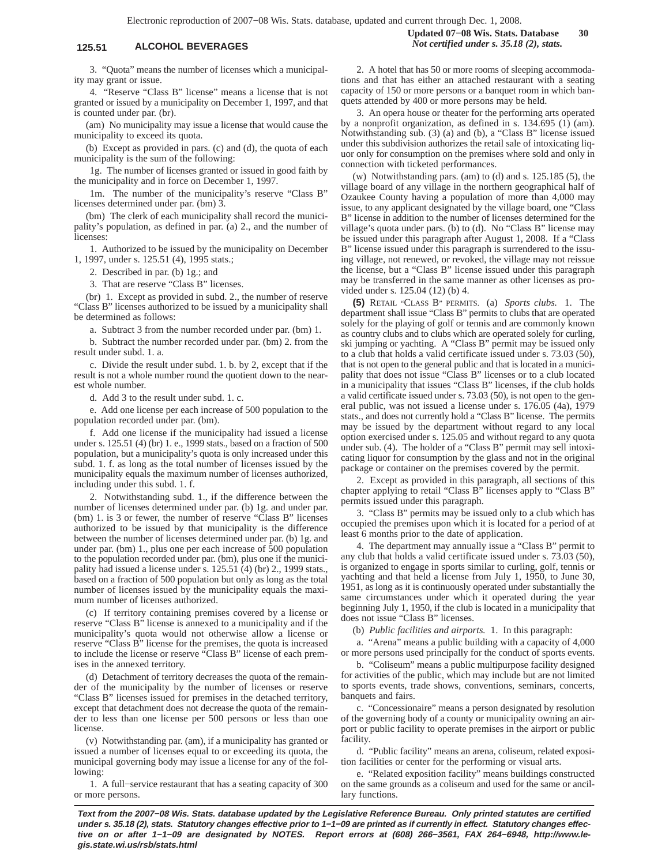3. "Quota" means the number of licenses which a municipality may grant or issue.

4. "Reserve "Class B" license" means a license that is not granted or issued by a municipality on December 1, 1997, and that is counted under par. (br).

(am) No municipality may issue a license that would cause the municipality to exceed its quota.

(b) Except as provided in pars. (c) and (d), the quota of each municipality is the sum of the following:

1g. The number of licenses granted or issued in good faith by the municipality and in force on December 1, 1997.

1m. The number of the municipality's reserve "Class B" licenses determined under par. (bm) 3.

(bm) The clerk of each municipality shall record the municipality's population, as defined in par. (a) 2., and the number of licenses:

1. Authorized to be issued by the municipality on December 1, 1997, under s. 125.51 (4), 1995 stats.;

2. Described in par. (b) 1g.; and

3. That are reserve "Class B" licenses.

(br) 1. Except as provided in subd. 2., the number of reserve "Class B" licenses authorized to be issued by a municipality shall be determined as follows:

a. Subtract 3 from the number recorded under par. (bm) 1.

b. Subtract the number recorded under par. (bm) 2. from the result under subd. 1. a.

c. Divide the result under subd. 1. b. by 2, except that if the result is not a whole number round the quotient down to the nearest whole number.

d. Add 3 to the result under subd. 1. c.

e. Add one license per each increase of 500 population to the population recorded under par. (bm).

f. Add one license if the municipality had issued a license under s. 125.51 (4) (br) 1. e., 1999 stats., based on a fraction of 500 population, but a municipality's quota is only increased under this subd. 1. f. as long as the total number of licenses issued by the municipality equals the maximum number of licenses authorized, including under this subd. 1. f.

2. Notwithstanding subd. 1., if the difference between the number of licenses determined under par. (b) 1g. and under par. (bm) 1. is 3 or fewer, the number of reserve "Class B" licenses authorized to be issued by that municipality is the difference between the number of licenses determined under par. (b) 1g. and under par. (bm) 1., plus one per each increase of 500 population to the population recorded under par. (bm), plus one if the municipality had issued a license under s. 125.51 (4) (br) 2., 1999 stats., based on a fraction of 500 population but only as long as the total number of licenses issued by the municipality equals the maximum number of licenses authorized.

(c) If territory containing premises covered by a license or reserve "Class B" license is annexed to a municipality and if the municipality's quota would not otherwise allow a license or reserve "Class B" license for the premises, the quota is increased to include the license or reserve "Class B" license of each premises in the annexed territory.

(d) Detachment of territory decreases the quota of the remainder of the municipality by the number of licenses or reserve "Class B" licenses issued for premises in the detached territory, except that detachment does not decrease the quota of the remainder to less than one license per 500 persons or less than one license.

(v) Notwithstanding par. (am), if a municipality has granted or issued a number of licenses equal to or exceeding its quota, the municipal governing body may issue a license for any of the following:

1. A full−service restaurant that has a seating capacity of 300 or more persons.

**Updated 07−08 Wis. Stats. Database 30 125.51 ALCOHOL BEVERAGES** *Not certified under s. 35.18 (2), stats.*

> 2. A hotel that has 50 or more rooms of sleeping accommodations and that has either an attached restaurant with a seating capacity of 150 or more persons or a banquet room in which banquets attended by 400 or more persons may be held.

> 3. An opera house or theater for the performing arts operated by a nonprofit organization, as defined in s. 134.695 (1) (am). Notwithstanding sub. (3) (a) and (b), a "Class B" license issued under this subdivision authorizes the retail sale of intoxicating liquor only for consumption on the premises where sold and only in connection with ticketed performances.

> (w) Notwithstanding pars. (am) to (d) and s. 125.185 (5), the village board of any village in the northern geographical half of Ozaukee County having a population of more than 4,000 may issue, to any applicant designated by the village board, one "Class B" license in addition to the number of licenses determined for the village's quota under pars. (b) to (d). No "Class B" license may be issued under this paragraph after August 1, 2008. If a "Class B" license issued under this paragraph is surrendered to the issuing village, not renewed, or revoked, the village may not reissue the license, but a "Class B" license issued under this paragraph may be transferred in the same manner as other licenses as provided under s. 125.04 (12) (b) 4.

> **(5)** RETAIL "CLASS B" PERMITS. (a) *Sports clubs.* 1. The department shall issue "Class B" permits to clubs that are operated solely for the playing of golf or tennis and are commonly known as country clubs and to clubs which are operated solely for curling, ski jumping or yachting. A "Class B" permit may be issued only to a club that holds a valid certificate issued under s. 73.03 (50), that is not open to the general public and that is located in a municipality that does not issue "Class B" licenses or to a club located in a municipality that issues "Class B" licenses, if the club holds a valid certificate issued under s. 73.03 (50), is not open to the general public, was not issued a license under s. 176.05 (4a), 1979 stats., and does not currently hold a "Class B" license. The permits may be issued by the department without regard to any local option exercised under s. 125.05 and without regard to any quota under sub. (4). The holder of a "Class B" permit may sell intoxicating liquor for consumption by the glass and not in the original package or container on the premises covered by the permit.

> 2. Except as provided in this paragraph, all sections of this chapter applying to retail "Class B" licenses apply to "Class B" permits issued under this paragraph.

> 3. "Class B" permits may be issued only to a club which has occupied the premises upon which it is located for a period of at least 6 months prior to the date of application.

> 4. The department may annually issue a "Class B" permit to any club that holds a valid certificate issued under s. 73.03 (50), is organized to engage in sports similar to curling, golf, tennis or yachting and that held a license from July 1, 1950, to June 30, 1951, as long as it is continuously operated under substantially the same circumstances under which it operated during the year beginning July 1, 1950, if the club is located in a municipality that does not issue "Class B" licenses.

(b) *Public facilities and airports.* 1. In this paragraph:

a. "Arena" means a public building with a capacity of 4,000 or more persons used principally for the conduct of sports events.

b. "Coliseum" means a public multipurpose facility designed for activities of the public, which may include but are not limited to sports events, trade shows, conventions, seminars, concerts, banquets and fairs.

c. "Concessionaire" means a person designated by resolution of the governing body of a county or municipality owning an airport or public facility to operate premises in the airport or public facility.

d. "Public facility" means an arena, coliseum, related exposition facilities or center for the performing or visual arts.

e. "Related exposition facility" means buildings constructed on the same grounds as a coliseum and used for the same or ancillary functions.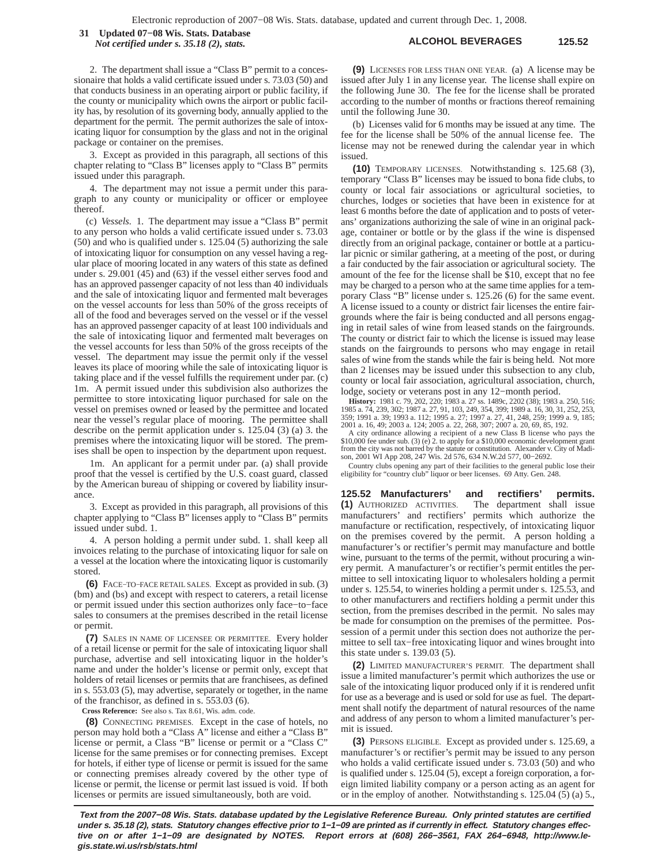**ALCOHOL BEVERAGES 125.52 31 Updated 07−08 Wis. Stats. Database** *Not certified under s. 35.18 (2), stats.*

2. The department shall issue a "Class B" permit to a concessionaire that holds a valid certificate issued under s. 73.03 (50) and that conducts business in an operating airport or public facility, if the county or municipality which owns the airport or public facility has, by resolution of its governing body, annually applied to the department for the permit. The permit authorizes the sale of intoxicating liquor for consumption by the glass and not in the original package or container on the premises.

3. Except as provided in this paragraph, all sections of this chapter relating to "Class B" licenses apply to "Class B" permits issued under this paragraph.

4. The department may not issue a permit under this paragraph to any county or municipality or officer or employee thereof.

(c) *Vessels.* 1. The department may issue a "Class B" permit to any person who holds a valid certificate issued under s. 73.03 (50) and who is qualified under s. 125.04 (5) authorizing the sale of intoxicating liquor for consumption on any vessel having a regular place of mooring located in any waters of this state as defined under s. 29.001 (45) and (63) if the vessel either serves food and has an approved passenger capacity of not less than 40 individuals and the sale of intoxicating liquor and fermented malt beverages on the vessel accounts for less than 50% of the gross receipts of all of the food and beverages served on the vessel or if the vessel has an approved passenger capacity of at least 100 individuals and the sale of intoxicating liquor and fermented malt beverages on the vessel accounts for less than 50% of the gross receipts of the vessel. The department may issue the permit only if the vessel leaves its place of mooring while the sale of intoxicating liquor is taking place and if the vessel fulfills the requirement under par. (c) 1m. A permit issued under this subdivision also authorizes the permittee to store intoxicating liquor purchased for sale on the vessel on premises owned or leased by the permittee and located near the vessel's regular place of mooring. The permittee shall describe on the permit application under s. 125.04 (3) (a) 3. the premises where the intoxicating liquor will be stored. The premises shall be open to inspection by the department upon request.

1m. An applicant for a permit under par. (a) shall provide proof that the vessel is certified by the U.S. coast guard, classed by the American bureau of shipping or covered by liability insurance.

3. Except as provided in this paragraph, all provisions of this chapter applying to "Class B" licenses apply to "Class B" permits issued under subd. 1.

4. A person holding a permit under subd. 1. shall keep all invoices relating to the purchase of intoxicating liquor for sale on a vessel at the location where the intoxicating liquor is customarily stored.

**(6)** FACE−TO−FACE RETAIL SALES. Except as provided in sub. (3) (bm) and (bs) and except with respect to caterers, a retail license or permit issued under this section authorizes only face−to−face sales to consumers at the premises described in the retail license or permit.

**(7)** SALES IN NAME OF LICENSEE OR PERMITTEE. Every holder of a retail license or permit for the sale of intoxicating liquor shall purchase, advertise and sell intoxicating liquor in the holder's name and under the holder's license or permit only, except that holders of retail licenses or permits that are franchisees, as defined in s. 553.03 (5), may advertise, separately or together, in the name of the franchisor, as defined in s. 553.03 (6).

**Cross Reference:** See also s. Tax 8.61, Wis. adm. code.

**(8)** CONNECTING PREMISES. Except in the case of hotels, no person may hold both a "Class A" license and either a "Class B" license or permit, a Class "B" license or permit or a "Class C" license for the same premises or for connecting premises. Except for hotels, if either type of license or permit is issued for the same or connecting premises already covered by the other type of license or permit, the license or permit last issued is void. If both licenses or permits are issued simultaneously, both are void.

**(9)** LICENSES FOR LESS THAN ONE YEAR. (a) A license may be issued after July 1 in any license year. The license shall expire on the following June 30. The fee for the license shall be prorated according to the number of months or fractions thereof remaining until the following June 30.

(b) Licenses valid for 6 months may be issued at any time. The fee for the license shall be 50% of the annual license fee. The license may not be renewed during the calendar year in which issued.

**(10)** TEMPORARY LICENSES. Notwithstanding s. 125.68 (3), temporary "Class B" licenses may be issued to bona fide clubs, to county or local fair associations or agricultural societies, to churches, lodges or societies that have been in existence for at least 6 months before the date of application and to posts of veterans' organizations authorizing the sale of wine in an original package, container or bottle or by the glass if the wine is dispensed directly from an original package, container or bottle at a particular picnic or similar gathering, at a meeting of the post, or during a fair conducted by the fair association or agricultural society. The amount of the fee for the license shall be \$10, except that no fee may be charged to a person who at the same time applies for a temporary Class "B" license under s. 125.26 (6) for the same event. A license issued to a county or district fair licenses the entire fairgrounds where the fair is being conducted and all persons engaging in retail sales of wine from leased stands on the fairgrounds. The county or district fair to which the license is issued may lease stands on the fairgrounds to persons who may engage in retail sales of wine from the stands while the fair is being held. Not more than 2 licenses may be issued under this subsection to any club, county or local fair association, agricultural association, church, lodge, society or veterans post in any 12−month period.

**History:** 1981 c. 79, 202, 220; 1983 a. 27 ss. 1489c, 2202 (38); 1983 a. 250, 516; 1985 a. 74, 239, 302; 1987 a. 27, 91, 103, 249, 354, 399; 1989 a. 16, 30, 31, 252, 253, 359; 1991 a. 39; 1993 a. 112; 1995 a. 27; 1997 a. 27, 41, 248, 259; 1999 a. 9, 185; 2001 a. 16, 49; 2003 a. 124; 2005 a. 22, 268, 307; 2007 a. 20, 69, 85, 192.

A city ordinance allowing a recipient of a new Class B license who pays the \$10,000 fee under sub. (3) (e) 2. to apply for a \$10,000 economic development grant from the city was not barred by the statute or constitution. son, 2001 WI App 208, 247 Wis. 2d 576, 634 N.W.2d 577, 00−2692.

Country clubs opening any part of their facilities to the general public lose their eligibility for "country club" liquor or beer licenses. 69 Atty. Gen. 248.

**125.52 Manufacturers' and rectifiers' permits. (1)** AUTHORIZED ACTIVITIES. The department shall issue manufacturers' and rectifiers' permits which authorize the manufacture or rectification, respectively, of intoxicating liquor on the premises covered by the permit. A person holding a manufacturer's or rectifier's permit may manufacture and bottle wine, pursuant to the terms of the permit, without procuring a winery permit. A manufacturer's or rectifier's permit entitles the permittee to sell intoxicating liquor to wholesalers holding a permit under s. 125.54, to wineries holding a permit under s. 125.53, and to other manufacturers and rectifiers holding a permit under this section, from the premises described in the permit. No sales may be made for consumption on the premises of the permittee. Possession of a permit under this section does not authorize the permittee to sell tax−free intoxicating liquor and wines brought into this state under s. 139.03 (5).

**(2)** LIMITED MANUFACTURER'S PERMIT. The department shall issue a limited manufacturer's permit which authorizes the use or sale of the intoxicating liquor produced only if it is rendered unfit for use as a beverage and is used or sold for use as fuel. The department shall notify the department of natural resources of the name and address of any person to whom a limited manufacturer's permit is issued.

**(3)** PERSONS ELIGIBLE. Except as provided under s. 125.69, a manufacturer's or rectifier's permit may be issued to any person who holds a valid certificate issued under s. 73.03 (50) and who is qualified under s. 125.04 (5), except a foreign corporation, a foreign limited liability company or a person acting as an agent for or in the employ of another. Notwithstanding s. 125.04 (5) (a) 5.,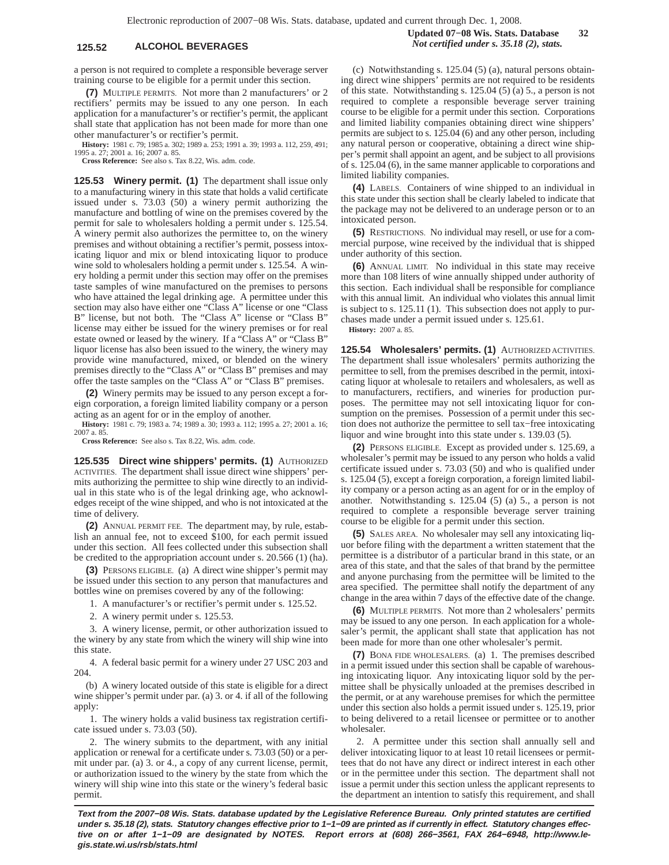# **125.52 ALCOHOL BEVERAGES** *Not certified under s. 35.18 (2), stats.*

a person is not required to complete a responsible beverage server training course to be eligible for a permit under this section.

**(7)** MULTIPLE PERMITS. Not more than 2 manufacturers' or 2 rectifiers' permits may be issued to any one person. In each application for a manufacturer's or rectifier's permit, the applicant shall state that application has not been made for more than one other manufacturer's or rectifier's permit.

**History:** 1981 c. 79; 1985 a. 302; 1989 a. 253; 1991 a. 39; 1993 a. 112, 259, 491; 1995 a. 27; 2001 a. 16; 2007 a. 85.

**Cross Reference:** See also s. Tax 8.22, Wis. adm. code.

**125.53 Winery permit. (1)** The department shall issue only to a manufacturing winery in this state that holds a valid certificate issued under s. 73.03 (50) a winery permit authorizing the manufacture and bottling of wine on the premises covered by the permit for sale to wholesalers holding a permit under s. 125.54. A winery permit also authorizes the permittee to, on the winery premises and without obtaining a rectifier's permit, possess intoxicating liquor and mix or blend intoxicating liquor to produce wine sold to wholesalers holding a permit under s. 125.54. A winery holding a permit under this section may offer on the premises taste samples of wine manufactured on the premises to persons who have attained the legal drinking age. A permittee under this section may also have either one "Class A" license or one "Class B" license, but not both. The "Class A" license or "Class B" license may either be issued for the winery premises or for real estate owned or leased by the winery. If a "Class A" or "Class B" liquor license has also been issued to the winery, the winery may provide wine manufactured, mixed, or blended on the winery premises directly to the "Class A" or "Class B" premises and may offer the taste samples on the "Class A" or "Class B" premises.

**(2)** Winery permits may be issued to any person except a foreign corporation, a foreign limited liability company or a person acting as an agent for or in the employ of another.

**History:** 1981 c. 79; 1983 a. 74; 1989 a. 30; 1993 a. 112; 1995 a. 27; 2001 a. 16; 2007 a. 8

**Cross Reference:** See also s. Tax 8.22, Wis. adm. code.

**125.535 Direct wine shippers' permits. (1)** AUTHORIZED ACTIVITIES. The department shall issue direct wine shippers' permits authorizing the permittee to ship wine directly to an individual in this state who is of the legal drinking age, who acknowledges receipt of the wine shipped, and who is not intoxicated at the time of delivery.

**(2)** ANNUAL PERMIT FEE. The department may, by rule, establish an annual fee, not to exceed \$100, for each permit issued under this section. All fees collected under this subsection shall be credited to the appropriation account under s. 20.566 (1) (ha).

**(3)** PERSONS ELIGIBLE. (a) A direct wine shipper's permit may be issued under this section to any person that manufactures and bottles wine on premises covered by any of the following:

1. A manufacturer's or rectifier's permit under s. 125.52.

2. A winery permit under s. 125.53.

3. A winery license, permit, or other authorization issued to the winery by any state from which the winery will ship wine into this state.

4. A federal basic permit for a winery under 27 USC 203 and 204.

(b) A winery located outside of this state is eligible for a direct wine shipper's permit under par. (a) 3. or 4. if all of the following apply:

1. The winery holds a valid business tax registration certificate issued under s. 73.03 (50).

2. The winery submits to the department, with any initial application or renewal for a certificate under s. 73.03 (50) or a permit under par. (a) 3. or 4., a copy of any current license, permit, or authorization issued to the winery by the state from which the winery will ship wine into this state or the winery's federal basic permit.

**Updated 07−08 Wis. Stats. Database 32**

(c) Notwithstanding s. 125.04 (5) (a), natural persons obtaining direct wine shippers' permits are not required to be residents of this state. Notwithstanding s. 125.04 (5) (a) 5., a person is not required to complete a responsible beverage server training course to be eligible for a permit under this section. Corporations and limited liability companies obtaining direct wine shippers' permits are subject to s. 125.04 (6) and any other person, including any natural person or cooperative, obtaining a direct wine shipper's permit shall appoint an agent, and be subject to all provisions of s. 125.04 (6), in the same manner applicable to corporations and limited liability companies.

**(4)** LABELS. Containers of wine shipped to an individual in this state under this section shall be clearly labeled to indicate that the package may not be delivered to an underage person or to an intoxicated person.

**(5)** RESTRICTIONS. No individual may resell, or use for a commercial purpose, wine received by the individual that is shipped under authority of this section.

**(6)** ANNUAL LIMIT. No individual in this state may receive more than 108 liters of wine annually shipped under authority of this section. Each individual shall be responsible for compliance with this annual limit. An individual who violates this annual limit is subject to s. 125.11 (1). This subsection does not apply to purchases made under a permit issued under s. 125.61.



**125.54 Wholesalers' permits. (1)** AUTHORIZED ACTIVITIES. The department shall issue wholesalers' permits authorizing the permittee to sell, from the premises described in the permit, intoxicating liquor at wholesale to retailers and wholesalers, as well as to manufacturers, rectifiers, and wineries for production purposes. The permittee may not sell intoxicating liquor for consumption on the premises. Possession of a permit under this section does not authorize the permittee to sell tax−free intoxicating liquor and wine brought into this state under s. 139.03 (5).

**(2)** PERSONS ELIGIBLE. Except as provided under s. 125.69, a wholesaler's permit may be issued to any person who holds a valid certificate issued under s. 73.03 (50) and who is qualified under s. 125.04 (5), except a foreign corporation, a foreign limited liability company or a person acting as an agent for or in the employ of another. Notwithstanding s. 125.04 (5) (a) 5., a person is not required to complete a responsible beverage server training course to be eligible for a permit under this section.

**(5)** SALES AREA. No wholesaler may sell any intoxicating liquor before filing with the department a written statement that the permittee is a distributor of a particular brand in this state, or an area of this state, and that the sales of that brand by the permittee and anyone purchasing from the permittee will be limited to the area specified. The permittee shall notify the department of any change in the area within 7 days of the effective date of the change.

**(6)** MULTIPLE PERMITS. Not more than 2 wholesalers' permits may be issued to any one person. In each application for a wholesaler's permit, the applicant shall state that application has not been made for more than one other wholesaler's permit.

**(7)** BONA FIDE WHOLESALERS. (a) 1. The premises described in a permit issued under this section shall be capable of warehousing intoxicating liquor. Any intoxicating liquor sold by the permittee shall be physically unloaded at the premises described in the permit, or at any warehouse premises for which the permittee under this section also holds a permit issued under s. 125.19, prior to being delivered to a retail licensee or permittee or to another wholesaler.

2. A permittee under this section shall annually sell and deliver intoxicating liquor to at least 10 retail licensees or permittees that do not have any direct or indirect interest in each other or in the permittee under this section. The department shall not issue a permit under this section unless the applicant represents to the department an intention to satisfy this requirement, and shall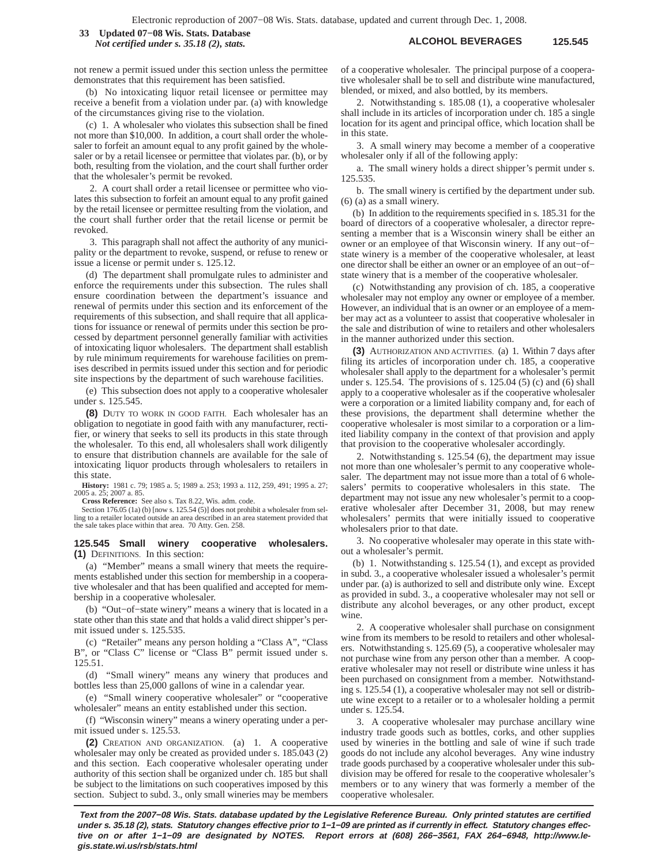## **ALCOHOL BEVERAGES 125.545 33 Updated 07−08 Wis. Stats. Database** *Not certified under s. 35.18 (2), stats.*

not renew a permit issued under this section unless the permittee demonstrates that this requirement has been satisfied.

(b) No intoxicating liquor retail licensee or permittee may receive a benefit from a violation under par. (a) with knowledge of the circumstances giving rise to the violation.

(c) 1. A wholesaler who violates this subsection shall be fined not more than \$10,000. In addition, a court shall order the wholesaler to forfeit an amount equal to any profit gained by the wholesaler or by a retail licensee or permittee that violates par. (b), or by both, resulting from the violation, and the court shall further order that the wholesaler's permit be revoked.

2. A court shall order a retail licensee or permittee who violates this subsection to forfeit an amount equal to any profit gained by the retail licensee or permittee resulting from the violation, and the court shall further order that the retail license or permit be revoked.

3. This paragraph shall not affect the authority of any municipality or the department to revoke, suspend, or refuse to renew or issue a license or permit under s. 125.12.

(d) The department shall promulgate rules to administer and enforce the requirements under this subsection. The rules shall ensure coordination between the department's issuance and renewal of permits under this section and its enforcement of the requirements of this subsection, and shall require that all applications for issuance or renewal of permits under this section be processed by department personnel generally familiar with activities of intoxicating liquor wholesalers. The department shall establish by rule minimum requirements for warehouse facilities on premises described in permits issued under this section and for periodic site inspections by the department of such warehouse facilities.

(e) This subsection does not apply to a cooperative wholesaler under s. 125.545.

**(8)** DUTY TO WORK IN GOOD FAITH. Each wholesaler has an obligation to negotiate in good faith with any manufacturer, rectifier, or winery that seeks to sell its products in this state through the wholesaler. To this end, all wholesalers shall work diligently to ensure that distribution channels are available for the sale of intoxicating liquor products through wholesalers to retailers in this state.

**History:** 1981 c. 79; 1985 a. 5; 1989 a. 253; 1993 a. 112, 259, 491; 1995 a. 27; 2005 a. 25; 2007 a. 85.

**Cross Reference:** See also s. Tax 8.22, Wis. adm. code.

Section 176.05 (1a) (b) [now s. 125.54 (5)] does not prohibit a wholesaler from selling to a retailer located outside an area described in an area statement provided that the sale takes place within that area. 70 Atty. Gen. 258.

### **125.545 Small winery cooperative wholesalers. (1)** DEFINITIONS. In this section:

(a) "Member" means a small winery that meets the requirements established under this section for membership in a cooperative wholesaler and that has been qualified and accepted for membership in a cooperative wholesaler.

(b) "Out−of−state winery" means a winery that is located in a state other than this state and that holds a valid direct shipper's permit issued under s. 125.535.

(c) "Retailer" means any person holding a "Class A", "Class B", or "Class C" license or "Class B" permit issued under s. 125.51.

(d) "Small winery" means any winery that produces and bottles less than 25,000 gallons of wine in a calendar year.

(e) "Small winery cooperative wholesaler" or "cooperative wholesaler" means an entity established under this section.

(f) "Wisconsin winery" means a winery operating under a permit issued under s. 125.53.

**(2)** CREATION AND ORGANIZATION. (a) 1. A cooperative wholesaler may only be created as provided under s. 185.043 (2) and this section. Each cooperative wholesaler operating under authority of this section shall be organized under ch. 185 but shall be subject to the limitations on such cooperatives imposed by this section. Subject to subd. 3., only small wineries may be members of a cooperative wholesaler. The principal purpose of a cooperative wholesaler shall be to sell and distribute wine manufactured, blended, or mixed, and also bottled, by its members.

2. Notwithstanding s. 185.08 (1), a cooperative wholesaler shall include in its articles of incorporation under ch. 185 a single location for its agent and principal office, which location shall be in this state.

3. A small winery may become a member of a cooperative wholesaler only if all of the following apply:

a. The small winery holds a direct shipper's permit under s. 125.535.

b. The small winery is certified by the department under sub. (6) (a) as a small winery.

(b) In addition to the requirements specified in s. 185.31 for the board of directors of a cooperative wholesaler, a director representing a member that is a Wisconsin winery shall be either an owner or an employee of that Wisconsin winery. If any out−of− state winery is a member of the cooperative wholesaler, at least one director shall be either an owner or an employee of an out−of− state winery that is a member of the cooperative wholesaler.

(c) Notwithstanding any provision of ch. 185, a cooperative wholesaler may not employ any owner or employee of a member. However, an individual that is an owner or an employee of a member may act as a volunteer to assist that cooperative wholesaler in the sale and distribution of wine to retailers and other wholesalers in the manner authorized under this section.

**(3)** AUTHORIZATION AND ACTIVITIES. (a) 1. Within 7 days after filing its articles of incorporation under ch. 185, a cooperative wholesaler shall apply to the department for a wholesaler's permit under s. 125.54. The provisions of s. 125.04 (5) (c) and (6) shall apply to a cooperative wholesaler as if the cooperative wholesaler were a corporation or a limited liability company and, for each of these provisions, the department shall determine whether the cooperative wholesaler is most similar to a corporation or a limited liability company in the context of that provision and apply that provision to the cooperative wholesaler accordingly.

2. Notwithstanding s. 125.54 (6), the department may issue not more than one wholesaler's permit to any cooperative wholesaler. The department may not issue more than a total of 6 wholesalers' permits to cooperative wholesalers in this state. The department may not issue any new wholesaler's permit to a cooperative wholesaler after December 31, 2008, but may renew wholesalers' permits that were initially issued to cooperative wholesalers prior to that date.

3. No cooperative wholesaler may operate in this state without a wholesaler's permit.

(b) 1. Notwithstanding s. 125.54 (1), and except as provided in subd. 3., a cooperative wholesaler issued a wholesaler's permit under par. (a) is authorized to sell and distribute only wine. Except as provided in subd. 3., a cooperative wholesaler may not sell or distribute any alcohol beverages, or any other product, except wine

2. A cooperative wholesaler shall purchase on consignment wine from its members to be resold to retailers and other wholesalers. Notwithstanding s. 125.69 (5), a cooperative wholesaler may not purchase wine from any person other than a member. A cooperative wholesaler may not resell or distribute wine unless it has been purchased on consignment from a member. Notwithstanding s. 125.54 (1), a cooperative wholesaler may not sell or distribute wine except to a retailer or to a wholesaler holding a permit under s. 125.54.

3. A cooperative wholesaler may purchase ancillary wine industry trade goods such as bottles, corks, and other supplies used by wineries in the bottling and sale of wine if such trade goods do not include any alcohol beverages. Any wine industry trade goods purchased by a cooperative wholesaler under this subdivision may be offered for resale to the cooperative wholesaler's members or to any winery that was formerly a member of the cooperative wholesaler.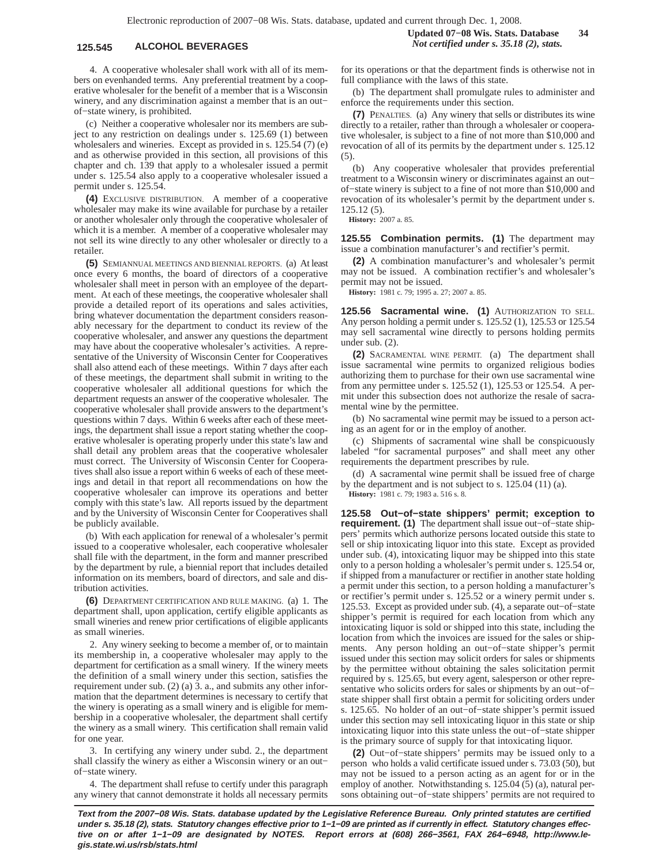4. A cooperative wholesaler shall work with all of its members on evenhanded terms. Any preferential treatment by a cooperative wholesaler for the benefit of a member that is a Wisconsin winery, and any discrimination against a member that is an out− of−state winery, is prohibited.

(c) Neither a cooperative wholesaler nor its members are subject to any restriction on dealings under s. 125.69 (1) between wholesalers and wineries. Except as provided in s. 125.54 (7) (e) and as otherwise provided in this section, all provisions of this chapter and ch. 139 that apply to a wholesaler issued a permit under s. 125.54 also apply to a cooperative wholesaler issued a permit under s. 125.54.

**(4)** EXCLUSIVE DISTRIBUTION. A member of a cooperative wholesaler may make its wine available for purchase by a retailer or another wholesaler only through the cooperative wholesaler of which it is a member. A member of a cooperative wholesaler may not sell its wine directly to any other wholesaler or directly to a retailer.

**(5)** SEMIANNUAL MEETINGS AND BIENNIAL REPORTS. (a) At least once every 6 months, the board of directors of a cooperative wholesaler shall meet in person with an employee of the department. At each of these meetings, the cooperative wholesaler shall provide a detailed report of its operations and sales activities, bring whatever documentation the department considers reasonably necessary for the department to conduct its review of the cooperative wholesaler, and answer any questions the department may have about the cooperative wholesaler's activities. A representative of the University of Wisconsin Center for Cooperatives shall also attend each of these meetings. Within 7 days after each of these meetings, the department shall submit in writing to the cooperative wholesaler all additional questions for which the department requests an answer of the cooperative wholesaler. The cooperative wholesaler shall provide answers to the department's questions within 7 days. Within 6 weeks after each of these meetings, the department shall issue a report stating whether the cooperative wholesaler is operating properly under this state's law and shall detail any problem areas that the cooperative wholesaler must correct. The University of Wisconsin Center for Cooperatives shall also issue a report within 6 weeks of each of these meetings and detail in that report all recommendations on how the cooperative wholesaler can improve its operations and better comply with this state's law. All reports issued by the department and by the University of Wisconsin Center for Cooperatives shall be publicly available.

(b) With each application for renewal of a wholesaler's permit issued to a cooperative wholesaler, each cooperative wholesaler shall file with the department, in the form and manner prescribed by the department by rule, a biennial report that includes detailed information on its members, board of directors, and sale and distribution activities.

**(6)** DEPARTMENT CERTIFICATION AND RULE MAKING. (a) 1. The department shall, upon application, certify eligible applicants as small wineries and renew prior certifications of eligible applicants as small wineries.

2. Any winery seeking to become a member of, or to maintain its membership in, a cooperative wholesaler may apply to the department for certification as a small winery. If the winery meets the definition of a small winery under this section, satisfies the requirement under sub. (2) (a) 3. a., and submits any other information that the department determines is necessary to certify that the winery is operating as a small winery and is eligible for membership in a cooperative wholesaler, the department shall certify the winery as a small winery. This certification shall remain valid for one year.

3. In certifying any winery under subd. 2., the department shall classify the winery as either a Wisconsin winery or an out− of−state winery.

4. The department shall refuse to certify under this paragraph any winery that cannot demonstrate it holds all necessary permits

for its operations or that the department finds is otherwise not in full compliance with the laws of this state.

(b) The department shall promulgate rules to administer and enforce the requirements under this section.

**(7)** PENALTIES. (a) Any winery that sells or distributes its wine directly to a retailer, rather than through a wholesaler or cooperative wholesaler, is subject to a fine of not more than \$10,000 and revocation of all of its permits by the department under s. 125.12 (5).

(b) Any cooperative wholesaler that provides preferential treatment to a Wisconsin winery or discriminates against an out− of−state winery is subject to a fine of not more than \$10,000 and revocation of its wholesaler's permit by the department under s. 125.12 (5).

**History:** 2007 a. 85.

**125.55 Combination permits. (1)** The department may issue a combination manufacturer's and rectifier's permit.

**(2)** A combination manufacturer's and wholesaler's permit may not be issued. A combination rectifier's and wholesaler's permit may not be issued.

**History:** 1981 c. 79; 1995 a. 27; 2007 a. 85.

**125.56 Sacramental wine. (1)** AUTHORIZATION TO SELL. Any person holding a permit under s. 125.52 (1), 125.53 or 125.54 may sell sacramental wine directly to persons holding permits under sub. (2).

**(2)** SACRAMENTAL WINE PERMIT. (a) The department shall issue sacramental wine permits to organized religious bodies authorizing them to purchase for their own use sacramental wine from any permittee under s. 125.52 (1), 125.53 or 125.54. A permit under this subsection does not authorize the resale of sacramental wine by the permittee.

(b) No sacramental wine permit may be issued to a person acting as an agent for or in the employ of another.

(c) Shipments of sacramental wine shall be conspicuously labeled "for sacramental purposes" and shall meet any other requirements the department prescribes by rule.

(d) A sacramental wine permit shall be issued free of charge by the department and is not subject to s. 125.04 (11) (a).

**History:** 1981 c. 79; 1983 a. 516 s. 8.

**125.58 Out−of−state shippers' permit; exception to requirement. (1)** The department shall issue out−of−state shippers' permits which authorize persons located outside this state to sell or ship intoxicating liquor into this state. Except as provided under sub. (4), intoxicating liquor may be shipped into this state only to a person holding a wholesaler's permit under s. 125.54 or, if shipped from a manufacturer or rectifier in another state holding a permit under this section, to a person holding a manufacturer's or rectifier's permit under s. 125.52 or a winery permit under s. 125.53. Except as provided under sub. (4), a separate out−of−state shipper's permit is required for each location from which any intoxicating liquor is sold or shipped into this state, including the location from which the invoices are issued for the sales or shipments. Any person holding an out−of−state shipper's permit issued under this section may solicit orders for sales or shipments by the permittee without obtaining the sales solicitation permit required by s. 125.65, but every agent, salesperson or other representative who solicits orders for sales or shipments by an out−of− state shipper shall first obtain a permit for soliciting orders under s. 125.65. No holder of an out−of−state shipper's permit issued under this section may sell intoxicating liquor in this state or ship intoxicating liquor into this state unless the out−of−state shipper is the primary source of supply for that intoxicating liquor.

**(2)** Out−of−state shippers' permits may be issued only to a person who holds a valid certificate issued under s. 73.03 (50), but may not be issued to a person acting as an agent for or in the employ of another. Notwithstanding s. 125.04 (5) (a), natural persons obtaining out−of−state shippers' permits are not required to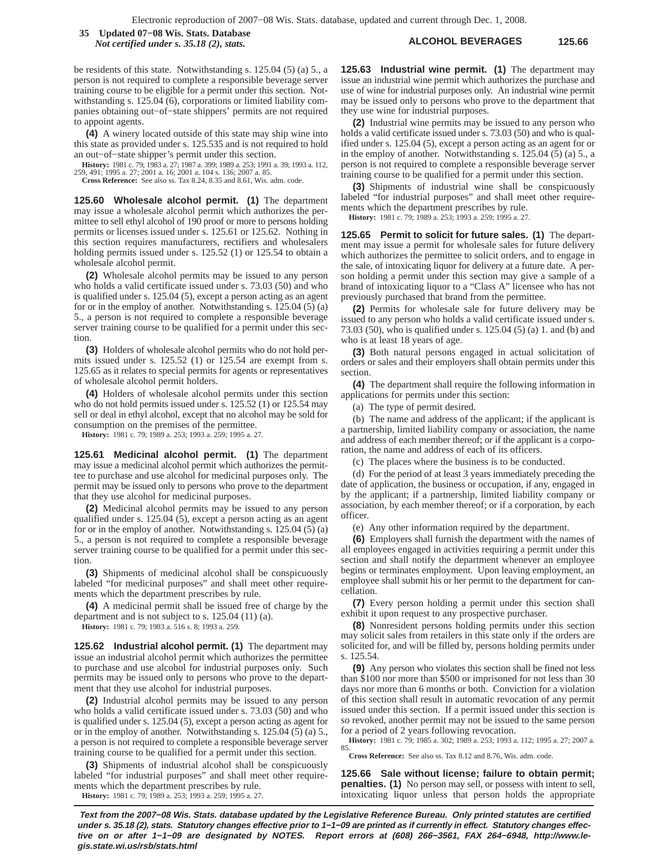**ALCOHOL BEVERAGES 125.66 35 Updated 07−08 Wis. Stats. Database** *Not certified under s. 35.18 (2), stats.*

be residents of this state. Notwithstanding s. 125.04 (5) (a) 5., a person is not required to complete a responsible beverage server training course to be eligible for a permit under this section. Notwithstanding s. 125.04 (6), corporations or limited liability companies obtaining out−of−state shippers' permits are not required to appoint agents.

**(4)** A winery located outside of this state may ship wine into this state as provided under s. 125.535 and is not required to hold an out−of−state shipper's permit under this section.

**History:** 1981 c. 79; 1983 a. 27; 1987 a. 399; 1989 a. 253; 1991 a. 39; 1993 a. 112, 259, 491; 1995 a. 27; 2001 a. 16; 2001 a. 104 s. 136; 2007 a. 85.

**Cross Reference:** See also ss. Tax 8.24, 8.35 and 8.61, Wis. adm. code.

**125.60 Wholesale alcohol permit. (1)** The department may issue a wholesale alcohol permit which authorizes the permittee to sell ethyl alcohol of 190 proof or more to persons holding permits or licenses issued under s. 125.61 or 125.62. Nothing in this section requires manufacturers, rectifiers and wholesalers holding permits issued under s. 125.52 (1) or 125.54 to obtain a wholesale alcohol permit.

**(2)** Wholesale alcohol permits may be issued to any person who holds a valid certificate issued under s. 73.03 (50) and who is qualified under s. 125.04 (5), except a person acting as an agent for or in the employ of another. Notwithstanding s. 125.04 (5) (a) 5., a person is not required to complete a responsible beverage server training course to be qualified for a permit under this section.

**(3)** Holders of wholesale alcohol permits who do not hold permits issued under s. 125.52 (1) or 125.54 are exempt from s. 125.65 as it relates to special permits for agents or representatives of wholesale alcohol permit holders.

**(4)** Holders of wholesale alcohol permits under this section who do not hold permits issued under s. 125.52 (1) or 125.54 may sell or deal in ethyl alcohol, except that no alcohol may be sold for consumption on the premises of the permittee.

**History:** 1981 c. 79; 1989 a. 253; 1993 a. 259; 1995 a. 27.

**125.61 Medicinal alcohol permit. (1)** The department may issue a medicinal alcohol permit which authorizes the permittee to purchase and use alcohol for medicinal purposes only. The permit may be issued only to persons who prove to the department that they use alcohol for medicinal purposes.

**(2)** Medicinal alcohol permits may be issued to any person qualified under s. 125.04 (5), except a person acting as an agent for or in the employ of another. Notwithstanding s. 125.04 (5) (a) 5., a person is not required to complete a responsible beverage server training course to be qualified for a permit under this section.

**(3)** Shipments of medicinal alcohol shall be conspicuously labeled "for medicinal purposes" and shall meet other requirements which the department prescribes by rule.

**(4)** A medicinal permit shall be issued free of charge by the department and is not subject to s. 125.04 (11) (a).

**History:** 1981 c. 79; 1983 a. 516 s. 8; 1993 a. 259.

**125.62 Industrial alcohol permit. (1)** The department may issue an industrial alcohol permit which authorizes the permittee to purchase and use alcohol for industrial purposes only. Such permits may be issued only to persons who prove to the department that they use alcohol for industrial purposes.

**(2)** Industrial alcohol permits may be issued to any person who holds a valid certificate issued under s. 73.03 (50) and who is qualified under s. 125.04 (5), except a person acting as agent for or in the employ of another. Notwithstanding s. 125.04 (5) (a) 5., a person is not required to complete a responsible beverage server training course to be qualified for a permit under this section.

**(3)** Shipments of industrial alcohol shall be conspicuously labeled "for industrial purposes" and shall meet other requirements which the department prescribes by rule.

**History:** 1981 c. 79; 1989 a. 253; 1993 a. 259; 1995 a. 27.

**125.63 Industrial wine permit. (1)** The department may issue an industrial wine permit which authorizes the purchase and use of wine for industrial purposes only. An industrial wine permit may be issued only to persons who prove to the department that they use wine for industrial purposes.

**(2)** Industrial wine permits may be issued to any person who holds a valid certificate issued under s. 73.03 (50) and who is qualified under s. 125.04 (5), except a person acting as an agent for or in the employ of another. Notwithstanding s. 125.04 (5) (a) 5., a person is not required to complete a responsible beverage server training course to be qualified for a permit under this section.

**(3)** Shipments of industrial wine shall be conspicuously labeled "for industrial purposes" and shall meet other requirements which the department prescribes by rule.

**History:** 1981 c. 79; 1989 a. 253; 1993 a. 259; 1995 a. 27.

**125.65 Permit to solicit for future sales. (1)** The department may issue a permit for wholesale sales for future delivery which authorizes the permittee to solicit orders, and to engage in the sale, of intoxicating liquor for delivery at a future date. A person holding a permit under this section may give a sample of a brand of intoxicating liquor to a "Class A" licensee who has not previously purchased that brand from the permittee.

**(2)** Permits for wholesale sale for future delivery may be issued to any person who holds a valid certificate issued under s. 73.03 (50), who is qualified under s. 125.04 (5) (a) 1. and (b) and who is at least 18 years of age.

**(3)** Both natural persons engaged in actual solicitation of orders or sales and their employers shall obtain permits under this section.

**(4)** The department shall require the following information in applications for permits under this section:

(a) The type of permit desired.

(b) The name and address of the applicant; if the applicant is a partnership, limited liability company or association, the name and address of each member thereof; or if the applicant is a corporation, the name and address of each of its officers.

(c) The places where the business is to be conducted.

(d) For the period of at least 3 years immediately preceding the date of application, the business or occupation, if any, engaged in by the applicant; if a partnership, limited liability company or association, by each member thereof; or if a corporation, by each officer.

(e) Any other information required by the department.

**(6)** Employers shall furnish the department with the names of all employees engaged in activities requiring a permit under this section and shall notify the department whenever an employee begins or terminates employment. Upon leaving employment, an employee shall submit his or her permit to the department for cancellation.

**(7)** Every person holding a permit under this section shall exhibit it upon request to any prospective purchaser.

**(8)** Nonresident persons holding permits under this section may solicit sales from retailers in this state only if the orders are solicited for, and will be filled by, persons holding permits under s. 125.54.

**(9)** Any person who violates this section shall be fined not less than \$100 nor more than \$500 or imprisoned for not less than 30 days nor more than 6 months or both. Conviction for a violation of this section shall result in automatic revocation of any permit issued under this section. If a permit issued under this section is so revoked, another permit may not be issued to the same person for a period of 2 years following revocation.

**History:** 1981 c. 79; 1985 a. 302; 1989 a. 253; 1993 a. 112; 1995 a. 27; 2007 a. 85. **Cross Reference:** See also ss. Tax 8.12 and 8.76, Wis. adm. code.

**125.66 Sale without license; failure to obtain permit; penalties. (1)** No person may sell, or possess with intent to sell, intoxicating liquor unless that person holds the appropriate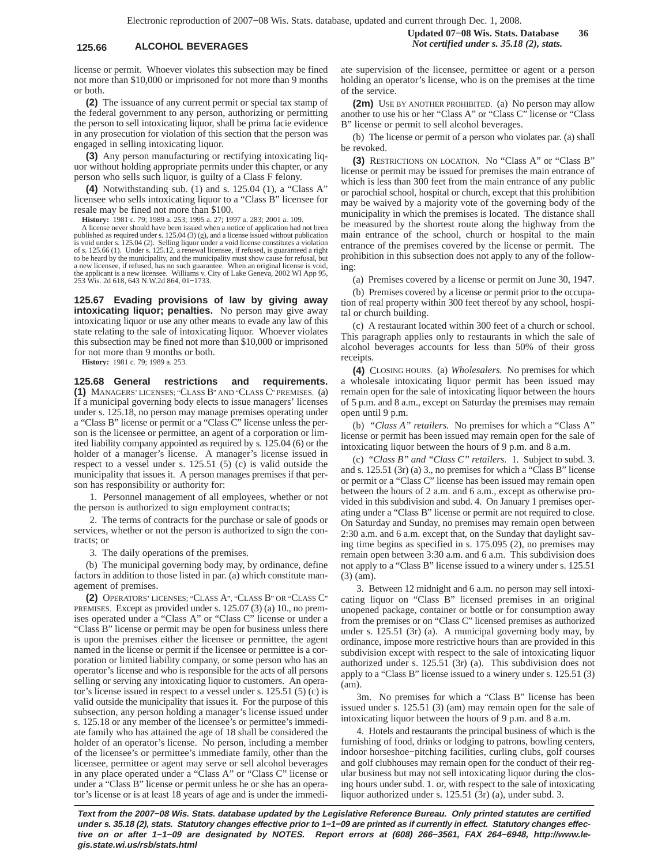## **125.66 ALCOHOL BEVERAGES** *Not certified under s. 35.18 (2), stats.*

license or permit. Whoever violates this subsection may be fined not more than \$10,000 or imprisoned for not more than 9 months or both.

**(2)** The issuance of any current permit or special tax stamp of the federal government to any person, authorizing or permitting the person to sell intoxicating liquor, shall be prima facie evidence in any prosecution for violation of this section that the person was engaged in selling intoxicating liquor.

**(3)** Any person manufacturing or rectifying intoxicating liquor without holding appropriate permits under this chapter, or any person who sells such liquor, is guilty of a Class F felony.

**(4)** Notwithstanding sub. (1) and s. 125.04 (1), a "Class A" licensee who sells intoxicating liquor to a "Class B" licensee for resale may be fined not more than \$100.

**History:** 1981 c. 79; 1989 a. 253; 1995 a. 27; 1997 a. 283; 2001 a. 109.

A license never should have been issued when a notice of application had not been published as required under s. 125.04 (3) (g), and a license issued without publication<br>is void under s. 125.04 (2). Selling liquor under a void license constitutes a violation<br>of s. 125.66 (1). Under s. 125.12, a renewal to be heard by the municipality, and the municipality must show cause for refusal, but a new licensee, if refused, has no such guarantee. When an original license is void, the applicant is a new licensee. Williams v. City of Lake Geneva, 2002 WI App 95, 253 Wis. 2d 618, 643 N.W.2d 864, 01−1733.

**125.67 Evading provisions of law by giving away intoxicating liquor; penalties.** No person may give away intoxicating liquor or use any other means to evade any law of this state relating to the sale of intoxicating liquor. Whoever violates this subsection may be fined not more than \$10,000 or imprisoned for not more than 9 months or both.

**History:** 1981 c. 79; 1989 a. 253.

**125.68 General restrictions and requirements. (1)** MANAGERS' LICENSES; "CLASS B" AND "CLASS C" PREMISES. (a) If a municipal governing body elects to issue managers' licenses under s. 125.18, no person may manage premises operating under a "Class B" license or permit or a "Class C" license unless the person is the licensee or permittee, an agent of a corporation or limited liability company appointed as required by s. 125.04 (6) or the holder of a manager's license. A manager's license issued in respect to a vessel under s.  $125.51$  (5) (c) is valid outside the municipality that issues it. A person manages premises if that person has responsibility or authority for:

1. Personnel management of all employees, whether or not the person is authorized to sign employment contracts;

2. The terms of contracts for the purchase or sale of goods or services, whether or not the person is authorized to sign the contracts; or

3. The daily operations of the premises.

(b) The municipal governing body may, by ordinance, define factors in addition to those listed in par. (a) which constitute management of premises.

**(2)** OPERATORS' LICENSES; "CLASS A", "CLASS B" OR "CLASS C" PREMISES. Except as provided under s. 125.07 (3) (a) 10., no premises operated under a "Class A" or "Class C" license or under a "Class B" license or permit may be open for business unless there is upon the premises either the licensee or permittee, the agent named in the license or permit if the licensee or permittee is a corporation or limited liability company, or some person who has an operator's license and who is responsible for the acts of all persons selling or serving any intoxicating liquor to customers. An operator's license issued in respect to a vessel under s. 125.51 (5) (c) is valid outside the municipality that issues it. For the purpose of this subsection, any person holding a manager's license issued under s. 125.18 or any member of the licensee's or permittee's immediate family who has attained the age of 18 shall be considered the holder of an operator's license. No person, including a member of the licensee's or permittee's immediate family, other than the licensee, permittee or agent may serve or sell alcohol beverages in any place operated under a "Class A" or "Class C" license or under a "Class B" license or permit unless he or she has an operator's license or is at least 18 years of age and is under the immediate supervision of the licensee, permittee or agent or a person holding an operator's license, who is on the premises at the time of the service.

**(2m)** USE BY ANOTHER PROHIBITED. (a) No person may allow another to use his or her "Class A" or "Class C" license or "Class B" license or permit to sell alcohol beverages.

(b) The license or permit of a person who violates par. (a) shall be revoked.

**(3)** RESTRICTIONS ON LOCATION. No "Class A" or "Class B" license or permit may be issued for premises the main entrance of which is less than 300 feet from the main entrance of any public or parochial school, hospital or church, except that this prohibition may be waived by a majority vote of the governing body of the municipality in which the premises is located. The distance shall be measured by the shortest route along the highway from the main entrance of the school, church or hospital to the main entrance of the premises covered by the license or permit. The prohibition in this subsection does not apply to any of the following:

(a) Premises covered by a license or permit on June 30, 1947.

(b) Premises covered by a license or permit prior to the occupation of real property within 300 feet thereof by any school, hospital or church building.

(c) A restaurant located within 300 feet of a church or school. This paragraph applies only to restaurants in which the sale of alcohol beverages accounts for less than 50% of their gross receipts.

**(4)** CLOSING HOURS. (a) *Wholesalers.* No premises for which a wholesale intoxicating liquor permit has been issued may remain open for the sale of intoxicating liquor between the hours of 5 p.m. and 8 a.m., except on Saturday the premises may remain open until 9 p.m.

(b) *"Class A" retailers.* No premises for which a "Class A" license or permit has been issued may remain open for the sale of intoxicating liquor between the hours of 9 p.m. and 8 a.m.

(c) *"Class B" and "Class C" retailers.* 1. Subject to subd. 3. and s. 125.51 (3r) (a) 3., no premises for which a "Class B" license or permit or a "Class C" license has been issued may remain open between the hours of 2 a.m. and 6 a.m., except as otherwise provided in this subdivision and subd. 4. On January 1 premises operating under a "Class B" license or permit are not required to close. On Saturday and Sunday, no premises may remain open between 2:30 a.m. and 6 a.m. except that, on the Sunday that daylight saving time begins as specified in s. 175.095 (2), no premises may remain open between 3:30 a.m. and 6 a.m. This subdivision does not apply to a "Class B" license issued to a winery under s. 125.51 (3) (am).

3. Between 12 midnight and 6 a.m. no person may sell intoxicating liquor on "Class B" licensed premises in an original unopened package, container or bottle or for consumption away from the premises or on "Class C" licensed premises as authorized under s. 125.51 (3r) (a). A municipal governing body may, by ordinance, impose more restrictive hours than are provided in this subdivision except with respect to the sale of intoxicating liquor authorized under s. 125.51 (3r) (a). This subdivision does not apply to a "Class B" license issued to a winery under s. 125.51 (3) (am).

3m. No premises for which a "Class B" license has been issued under s. 125.51 (3) (am) may remain open for the sale of intoxicating liquor between the hours of 9 p.m. and 8 a.m.

4. Hotels and restaurants the principal business of which is the furnishing of food, drinks or lodging to patrons, bowling centers, indoor horseshoe−pitching facilities, curling clubs, golf courses and golf clubhouses may remain open for the conduct of their regular business but may not sell intoxicating liquor during the closing hours under subd. 1. or, with respect to the sale of intoxicating liquor authorized under s. 125.51 (3r) (a), under subd. 3.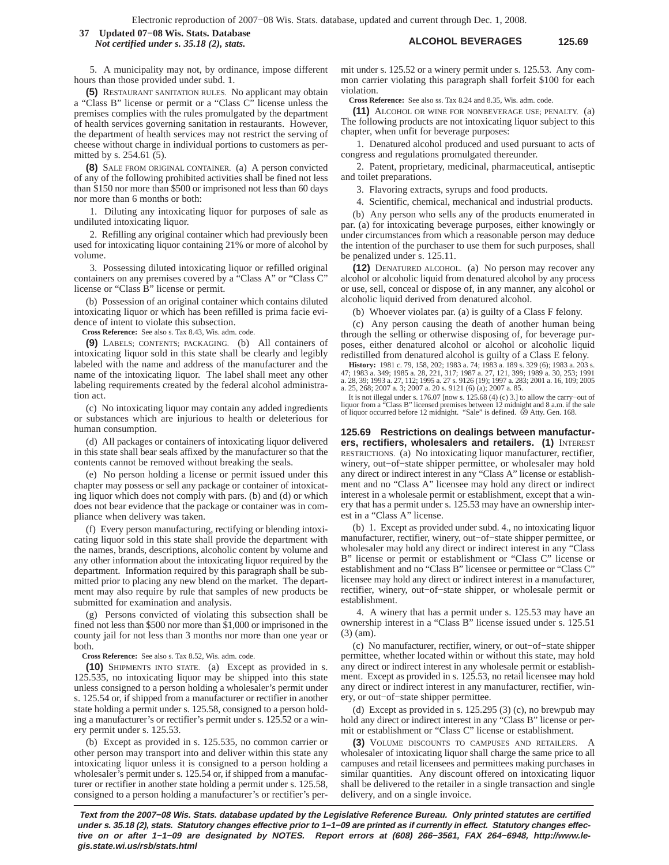## **ALCOHOL BEVERAGES 125.69 37 Updated 07−08 Wis. Stats. Database** *Not certified under s. 35.18 (2), stats.*

5. A municipality may not, by ordinance, impose different hours than those provided under subd. 1.

**(5)** RESTAURANT SANITATION RULES. No applicant may obtain a "Class B" license or permit or a "Class C" license unless the premises complies with the rules promulgated by the department of health services governing sanitation in restaurants. However, the department of health services may not restrict the serving of cheese without charge in individual portions to customers as permitted by s. 254.61 (5).

**(8)** SALE FROM ORIGINAL CONTAINER. (a) A person convicted of any of the following prohibited activities shall be fined not less than \$150 nor more than \$500 or imprisoned not less than 60 days nor more than 6 months or both:

1. Diluting any intoxicating liquor for purposes of sale as undiluted intoxicating liquor.

2. Refilling any original container which had previously been used for intoxicating liquor containing 21% or more of alcohol by volume.

3. Possessing diluted intoxicating liquor or refilled original containers on any premises covered by a "Class A" or "Class C" license or "Class B" license or permit.

(b) Possession of an original container which contains diluted intoxicating liquor or which has been refilled is prima facie evidence of intent to violate this subsection.

**Cross Reference:** See also s. Tax 8.43, Wis. adm. code.

**(9)** LABELS; CONTENTS; PACKAGING. (b) All containers of intoxicating liquor sold in this state shall be clearly and legibly labeled with the name and address of the manufacturer and the name of the intoxicating liquor. The label shall meet any other labeling requirements created by the federal alcohol administration act.

(c) No intoxicating liquor may contain any added ingredients or substances which are injurious to health or deleterious for human consumption.

(d) All packages or containers of intoxicating liquor delivered in this state shall bear seals affixed by the manufacturer so that the contents cannot be removed without breaking the seals.

(e) No person holding a license or permit issued under this chapter may possess or sell any package or container of intoxicating liquor which does not comply with pars. (b) and (d) or which does not bear evidence that the package or container was in compliance when delivery was taken.

(f) Every person manufacturing, rectifying or blending intoxicating liquor sold in this state shall provide the department with the names, brands, descriptions, alcoholic content by volume and any other information about the intoxicating liquor required by the department. Information required by this paragraph shall be submitted prior to placing any new blend on the market. The department may also require by rule that samples of new products be submitted for examination and analysis.

(g) Persons convicted of violating this subsection shall be fined not less than \$500 nor more than \$1,000 or imprisoned in the county jail for not less than 3 months nor more than one year or both.

**Cross Reference:** See also s. Tax 8.52, Wis. adm. code.

**(10)** SHIPMENTS INTO STATE. (a) Except as provided in s. 125.535, no intoxicating liquor may be shipped into this state unless consigned to a person holding a wholesaler's permit under s. 125.54 or, if shipped from a manufacturer or rectifier in another state holding a permit under s. 125.58, consigned to a person holding a manufacturer's or rectifier's permit under s. 125.52 or a winery permit under s. 125.53.

(b) Except as provided in s. 125.535, no common carrier or other person may transport into and deliver within this state any intoxicating liquor unless it is consigned to a person holding a wholesaler's permit under s. 125.54 or, if shipped from a manufacturer or rectifier in another state holding a permit under s. 125.58, consigned to a person holding a manufacturer's or rectifier's permit under s. 125.52 or a winery permit under s. 125.53. Any common carrier violating this paragraph shall forfeit \$100 for each violation.

**Cross Reference:** See also ss. Tax 8.24 and 8.35, Wis. adm. code.

**(11)** ALCOHOL OR WINE FOR NONBEVERAGE USE; PENALTY. (a) The following products are not intoxicating liquor subject to this chapter, when unfit for beverage purposes:

1. Denatured alcohol produced and used pursuant to acts of congress and regulations promulgated thereunder.

2. Patent, proprietary, medicinal, pharmaceutical, antiseptic and toilet preparations.

3. Flavoring extracts, syrups and food products.

4. Scientific, chemical, mechanical and industrial products.

(b) Any person who sells any of the products enumerated in par. (a) for intoxicating beverage purposes, either knowingly or under circumstances from which a reasonable person may deduce the intention of the purchaser to use them for such purposes, shall be penalized under s. 125.11.

**(12)** DENATURED ALCOHOL. (a) No person may recover any alcohol or alcoholic liquid from denatured alcohol by any process or use, sell, conceal or dispose of, in any manner, any alcohol or alcoholic liquid derived from denatured alcohol.

(b) Whoever violates par. (a) is guilty of a Class F felony.

(c) Any person causing the death of another human being through the selling or otherwise disposing of, for beverage purposes, either denatured alcohol or alcohol or alcoholic liquid redistilled from denatured alcohol is guilty of a Class E felony.

**History:** 1981 c. 79, 158, 202; 1983 a. 74; 1983 a. 189 s. 329 (6); 1983 a. 203 s.<br>47; 1983 a. 349; 1985 a. 28, 221, 317; 1987 a. 27, 121, 399; 1989 a. 30, 253; 1991<br>a. 28, 39; 1993 a. 27, 112; 1995 a. 27 s. 9126 (19); 19 a. 25, 268; 2007 a. 3; 2007 a. 20 s. 9121 (6) (a); 2007 a. 85.

It is not illegal under s. 176.07 [now s. 125.68 (4) (c) 3.] to allow the carry−out of liquor from a "Class B" licensed premises between 12 midnight and 8 a.m. if the sale of liquor occurred before 12 midnight. "Sale" is defined. 69 Atty. Gen. 168.

**125.69 Restrictions on dealings between manufacturers, rectifiers, wholesalers and retailers. (1)** INTEREST RESTRICTIONS. (a) No intoxicating liquor manufacturer, rectifier, winery, out−of−state shipper permittee, or wholesaler may hold any direct or indirect interest in any "Class A" license or establishment and no "Class A" licensee may hold any direct or indirect interest in a wholesale permit or establishment, except that a winery that has a permit under s. 125.53 may have an ownership interest in a "Class A" license.

(b) 1. Except as provided under subd. 4., no intoxicating liquor manufacturer, rectifier, winery, out−of−state shipper permittee, or wholesaler may hold any direct or indirect interest in any "Class B" license or permit or establishment or "Class C" license or establishment and no "Class B" licensee or permittee or "Class C" licensee may hold any direct or indirect interest in a manufacturer, rectifier, winery, out−of−state shipper, or wholesale permit or establishment.

4. A winery that has a permit under s. 125.53 may have an ownership interest in a "Class B" license issued under s. 125.51 (3) (am).

(c) No manufacturer, rectifier, winery, or out−of−state shipper permittee, whether located within or without this state, may hold any direct or indirect interest in any wholesale permit or establishment. Except as provided in s. 125.53, no retail licensee may hold any direct or indirect interest in any manufacturer, rectifier, winery, or out−of−state shipper permittee.

(d) Except as provided in s.  $125.295$  (3) (c), no brewpub may hold any direct or indirect interest in any "Class B" license or permit or establishment or "Class C" license or establishment.

**(3)** VOLUME DISCOUNTS TO CAMPUSES AND RETAILERS. A wholesaler of intoxicating liquor shall charge the same price to all campuses and retail licensees and permittees making purchases in similar quantities. Any discount offered on intoxicating liquor shall be delivered to the retailer in a single transaction and single delivery, and on a single invoice.